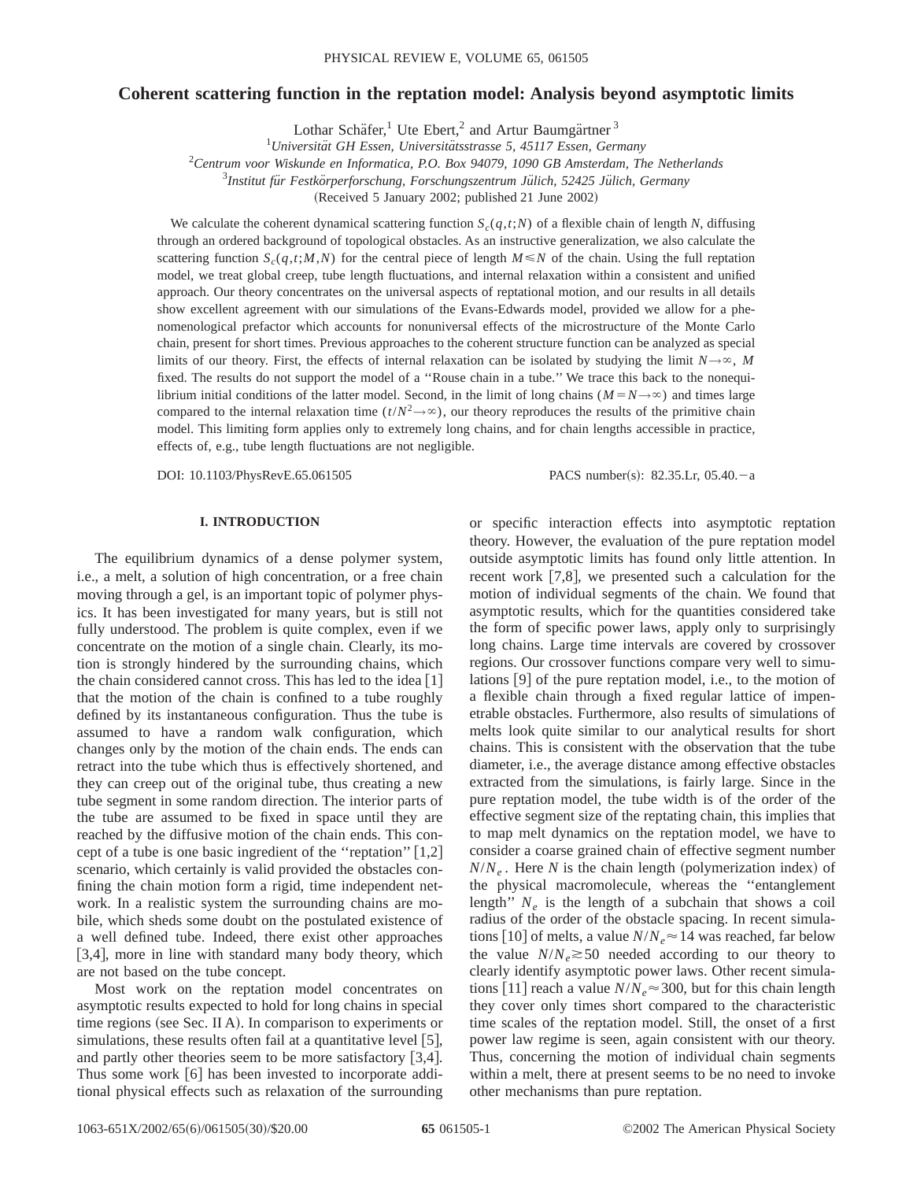## **Coherent scattering function in the reptation model: Analysis beyond asymptotic limits**

Lothar Schäfer,<sup>1</sup> Ute Ebert,<sup>2</sup> and Artur Baumgärtner<sup>3</sup>

<sup>1</sup>Universität GH Essen, Universitätsstrasse 5, 45117 Essen, Germany

2 *Centrum voor Wiskunde en Informatica, P.O. Box 94079, 1090 GB Amsterdam, The Netherlands*

<sup>3</sup>Institut für Festkörperforschung, Forschungszentrum Jülich, 52425 Jülich, Germany

(Received 5 January 2002; published 21 June 2002)

We calculate the coherent dynamical scattering function  $S_c(q,t;N)$  of a flexible chain of length *N*, diffusing through an ordered background of topological obstacles. As an instructive generalization, we also calculate the scattering function  $S_c(q, t; M, N)$  for the central piece of length  $M \le N$  of the chain. Using the full reptation model, we treat global creep, tube length fluctuations, and internal relaxation within a consistent and unified approach. Our theory concentrates on the universal aspects of reptational motion, and our results in all details show excellent agreement with our simulations of the Evans-Edwards model, provided we allow for a phenomenological prefactor which accounts for nonuniversal effects of the microstructure of the Monte Carlo chain, present for short times. Previous approaches to the coherent structure function can be analyzed as special limits of our theory. First, the effects of internal relaxation can be isolated by studying the limit  $N \rightarrow \infty$ , *M* fixed. The results do not support the model of a ''Rouse chain in a tube.'' We trace this back to the nonequilibrium initial conditions of the latter model. Second, in the limit of long chains ( $M=N\rightarrow\infty$ ) and times large compared to the internal relaxation time  $(t/N^2 \rightarrow \infty)$ , our theory reproduces the results of the primitive chain model. This limiting form applies only to extremely long chains, and for chain lengths accessible in practice, effects of, e.g., tube length fluctuations are not negligible.

DOI: 10.1103/PhysRevE.65.061505 PACS number(s): 82.35.Lr, 05.40.-a

## **I. INTRODUCTION**

The equilibrium dynamics of a dense polymer system, i.e., a melt, a solution of high concentration, or a free chain moving through a gel, is an important topic of polymer physics. It has been investigated for many years, but is still not fully understood. The problem is quite complex, even if we concentrate on the motion of a single chain. Clearly, its motion is strongly hindered by the surrounding chains, which the chain considered cannot cross. This has led to the idea  $[1]$ that the motion of the chain is confined to a tube roughly defined by its instantaneous configuration. Thus the tube is assumed to have a random walk configuration, which changes only by the motion of the chain ends. The ends can retract into the tube which thus is effectively shortened, and they can creep out of the original tube, thus creating a new tube segment in some random direction. The interior parts of the tube are assumed to be fixed in space until they are reached by the diffusive motion of the chain ends. This concept of a tube is one basic ingredient of the "reptation"  $[1,2]$ scenario, which certainly is valid provided the obstacles confining the chain motion form a rigid, time independent network. In a realistic system the surrounding chains are mobile, which sheds some doubt on the postulated existence of a well defined tube. Indeed, there exist other approaches [3,4], more in line with standard many body theory, which are not based on the tube concept.

Most work on the reptation model concentrates on asymptotic results expected to hold for long chains in special time regions (see Sec. II A). In comparison to experiments or simulations, these results often fail at a quantitative level  $[5]$ , and partly other theories seem to be more satisfactory  $[3,4]$ . Thus some work  $[6]$  has been invested to incorporate additional physical effects such as relaxation of the surrounding or specific interaction effects into asymptotic reptation theory. However, the evaluation of the pure reptation model outside asymptotic limits has found only little attention. In recent work  $[7,8]$ , we presented such a calculation for the motion of individual segments of the chain. We found that asymptotic results, which for the quantities considered take the form of specific power laws, apply only to surprisingly long chains. Large time intervals are covered by crossover regions. Our crossover functions compare very well to simulations  $[9]$  of the pure reptation model, i.e., to the motion of a flexible chain through a fixed regular lattice of impenetrable obstacles. Furthermore, also results of simulations of melts look quite similar to our analytical results for short chains. This is consistent with the observation that the tube diameter, i.e., the average distance among effective obstacles extracted from the simulations, is fairly large. Since in the pure reptation model, the tube width is of the order of the effective segment size of the reptating chain, this implies that to map melt dynamics on the reptation model, we have to consider a coarse grained chain of effective segment number  $N/N_e$ . Here *N* is the chain length (polymerization index) of the physical macromolecule, whereas the ''entanglement length'' *Ne* is the length of a subchain that shows a coil radius of the order of the obstacle spacing. In recent simulations [10] of melts, a value  $N/N_e \approx 14$  was reached, far below the value  $N/N_e \ge 50$  needed according to our theory to clearly identify asymptotic power laws. Other recent simulations [11] reach a value  $N/N_e \approx 300$ , but for this chain length they cover only times short compared to the characteristic time scales of the reptation model. Still, the onset of a first power law regime is seen, again consistent with our theory. Thus, concerning the motion of individual chain segments within a melt, there at present seems to be no need to invoke other mechanisms than pure reptation.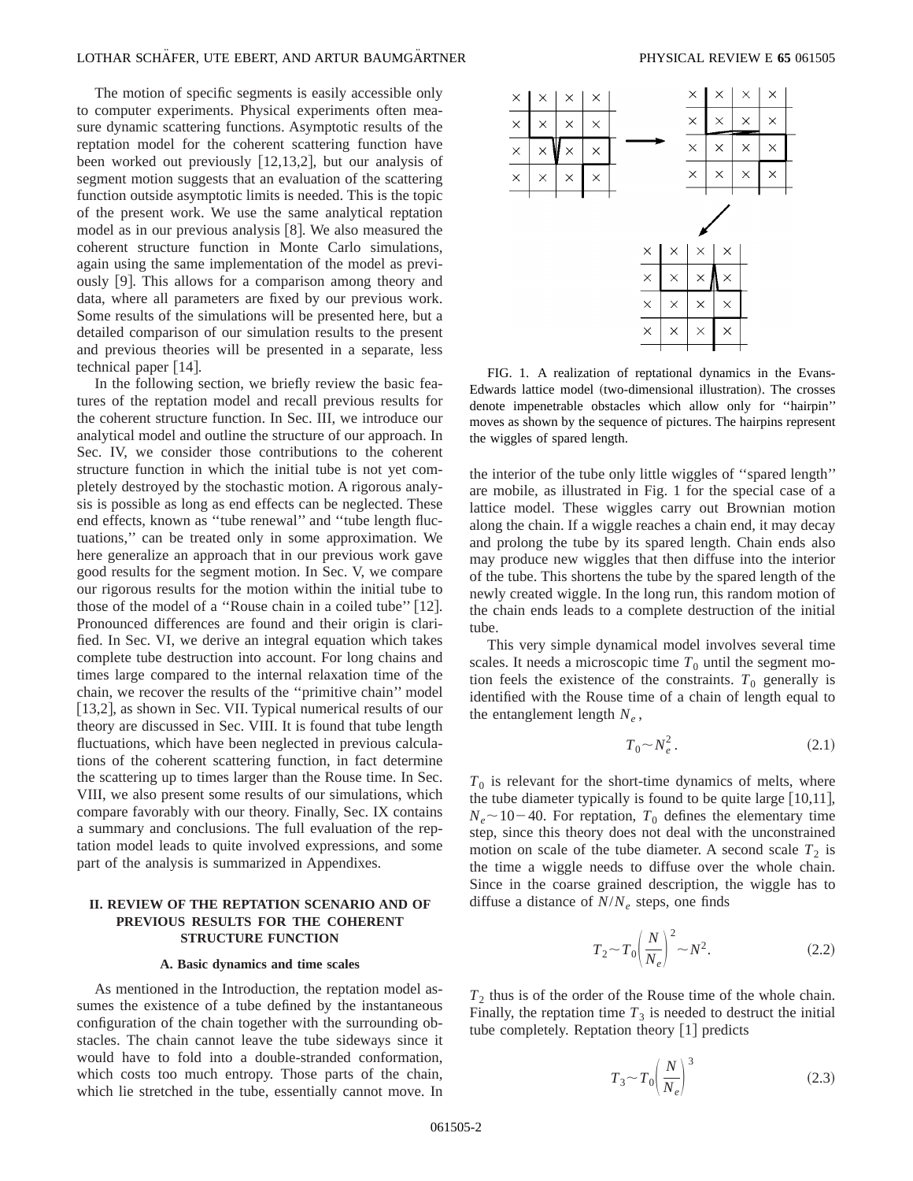The motion of specific segments is easily accessible only to computer experiments. Physical experiments often measure dynamic scattering functions. Asymptotic results of the reptation model for the coherent scattering function have been worked out previously  $[12,13,2]$ , but our analysis of segment motion suggests that an evaluation of the scattering function outside asymptotic limits is needed. This is the topic of the present work. We use the same analytical reptation model as in our previous analysis  $[8]$ . We also measured the coherent structure function in Monte Carlo simulations, again using the same implementation of the model as previously [9]. This allows for a comparison among theory and data, where all parameters are fixed by our previous work. Some results of the simulations will be presented here, but a detailed comparison of our simulation results to the present and previous theories will be presented in a separate, less technical paper  $[14]$ .

In the following section, we briefly review the basic features of the reptation model and recall previous results for the coherent structure function. In Sec. III, we introduce our analytical model and outline the structure of our approach. In Sec. IV, we consider those contributions to the coherent structure function in which the initial tube is not yet completely destroyed by the stochastic motion. A rigorous analysis is possible as long as end effects can be neglected. These end effects, known as ''tube renewal'' and ''tube length fluctuations,'' can be treated only in some approximation. We here generalize an approach that in our previous work gave good results for the segment motion. In Sec. V, we compare our rigorous results for the motion within the initial tube to those of the model of a "Rouse chain in a coiled tube"  $[12]$ . Pronounced differences are found and their origin is clarified. In Sec. VI, we derive an integral equation which takes complete tube destruction into account. For long chains and times large compared to the internal relaxation time of the chain, we recover the results of the ''primitive chain'' model [13,2], as shown in Sec. VII. Typical numerical results of our theory are discussed in Sec. VIII. It is found that tube length fluctuations, which have been neglected in previous calculations of the coherent scattering function, in fact determine the scattering up to times larger than the Rouse time. In Sec. VIII, we also present some results of our simulations, which compare favorably with our theory. Finally, Sec. IX contains a summary and conclusions. The full evaluation of the reptation model leads to quite involved expressions, and some part of the analysis is summarized in Appendixes.

## **II. REVIEW OF THE REPTATION SCENARIO AND OF PREVIOUS RESULTS FOR THE COHERENT STRUCTURE FUNCTION**

### **A. Basic dynamics and time scales**

As mentioned in the Introduction, the reptation model assumes the existence of a tube defined by the instantaneous configuration of the chain together with the surrounding obstacles. The chain cannot leave the tube sideways since it would have to fold into a double-stranded conformation, which costs too much entropy. Those parts of the chain, which lie stretched in the tube, essentially cannot move. In



FIG. 1. A realization of reptational dynamics in the Evans-Edwards lattice model (two-dimensional illustration). The crosses denote impenetrable obstacles which allow only for ''hairpin'' moves as shown by the sequence of pictures. The hairpins represent the wiggles of spared length.

the interior of the tube only little wiggles of ''spared length'' are mobile, as illustrated in Fig. 1 for the special case of a lattice model. These wiggles carry out Brownian motion along the chain. If a wiggle reaches a chain end, it may decay and prolong the tube by its spared length. Chain ends also may produce new wiggles that then diffuse into the interior of the tube. This shortens the tube by the spared length of the newly created wiggle. In the long run, this random motion of the chain ends leads to a complete destruction of the initial tube.

This very simple dynamical model involves several time scales. It needs a microscopic time  $T_0$  until the segment motion feels the existence of the constraints.  $T_0$  generally is identified with the Rouse time of a chain of length equal to the entanglement length  $N_e$ ,

$$
T_0 \sim N_e^2. \tag{2.1}
$$

 $T_0$  is relevant for the short-time dynamics of melts, where the tube diameter typically is found to be quite large  $[10,11]$ ,  $N_e \sim 10-40$ . For reptation,  $T_0$  defines the elementary time step, since this theory does not deal with the unconstrained motion on scale of the tube diameter. A second scale  $T_2$  is the time a wiggle needs to diffuse over the whole chain. Since in the coarse grained description, the wiggle has to diffuse a distance of *N*/*Ne* steps, one finds

$$
T_2 \sim T_0 \left(\frac{N}{N_e}\right)^2 \sim N^2. \tag{2.2}
$$

 $T_2$  thus is of the order of the Rouse time of the whole chain. Finally, the reptation time  $T_3$  is needed to destruct the initial tube completely. Reptation theory  $\lceil 1 \rceil$  predicts

$$
T_3 \sim T_0 \left(\frac{N}{N_e}\right)^3\tag{2.3}
$$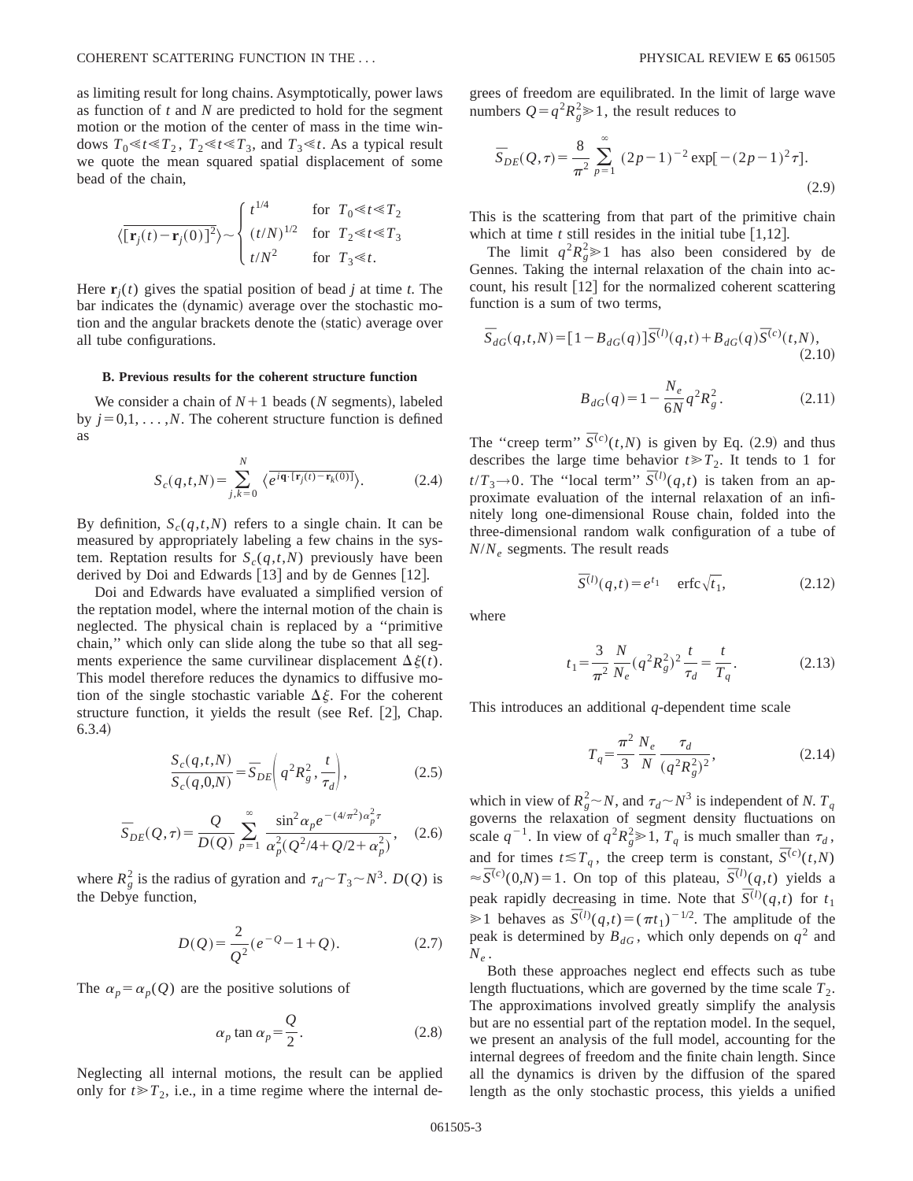as limiting result for long chains. Asymptotically, power laws as function of *t* and *N* are predicted to hold for the segment motion or the motion of the center of mass in the time windows  $T_0 \ll t \ll T_2$ ,  $T_2 \ll t \ll T_3$ , and  $T_3 \ll t$ . As a typical result we quote the mean squared spatial displacement of some bead of the chain,

$$
\langle \overline{[\mathbf{r}_j(t) - \mathbf{r}_j(0)]^2} \rangle \sim \begin{cases} t^{1/4} & \text{for } T_0 \ll t \ll T_2 \\ (t/N)^{1/2} & \text{for } T_2 \ll t \ll T_3 \\ t/N^2 & \text{for } T_3 \ll t. \end{cases}
$$

Here  $\mathbf{r}_i(t)$  gives the spatial position of bead *j* at time *t*. The bar indicates the (dynamic) average over the stochastic motion and the angular brackets denote the (static) average over all tube configurations.

### **B. Previous results for the coherent structure function**

We consider a chain of  $N+1$  beads (*N* segments), labeled by  $j=0,1,\ldots,N$ . The coherent structure function is defined as

$$
S_c(q, t, N) = \sum_{j,k=0}^{N} \langle e^{i\mathbf{q} \cdot (\mathbf{r}_j(t) - \mathbf{r}_k(0))} \rangle.
$$
 (2.4)

By definition,  $S_c(q,t,N)$  refers to a single chain. It can be measured by appropriately labeling a few chains in the system. Reptation results for  $S_c(q,t,N)$  previously have been derived by Doi and Edwards  $[13]$  and by de Gennes  $[12]$ .

Doi and Edwards have evaluated a simplified version of the reptation model, where the internal motion of the chain is neglected. The physical chain is replaced by a ''primitive chain,'' which only can slide along the tube so that all segments experience the same curvilinear displacement  $\Delta \xi(t)$ . This model therefore reduces the dynamics to diffusive motion of the single stochastic variable  $\Delta \xi$ . For the coherent structure function, it yields the result (see Ref.  $[2]$ , Chap.  $6.3.4)$ 

$$
\frac{S_c(q,t,N)}{S_c(q,0,N)} = \overline{S}_{DE}\left(q^2 R_g^2, \frac{t}{\tau_d}\right),\tag{2.5}
$$

$$
\overline{S}_{DE}(Q,\tau) = \frac{Q}{D(Q)} \sum_{p=1}^{\infty} \frac{\sin^2 \alpha_p e^{-(4/\pi^2)\alpha_p^2 \tau}}{\alpha_p^2 (Q^2/4 + Q/2 + \alpha_p^2)},
$$
 (2.6)

where  $R_g^2$  is the radius of gyration and  $\tau_d \sim T_3 \sim N^3$ .  $D(Q)$  is the Debye function,

$$
D(Q) = \frac{2}{Q^2} (e^{-Q} - 1 + Q).
$$
 (2.7)

The  $\alpha_p = \alpha_p(Q)$  are the positive solutions of

$$
\alpha_p \tan \alpha_p = \frac{Q}{2}.
$$
 (2.8)

Neglecting all internal motions, the result can be applied only for  $t \ge T_2$ , i.e., in a time regime where the internal degrees of freedom are equilibrated. In the limit of large wave numbers  $Q = q^2 R_g^2 \ge 1$ , the result reduces to

$$
\overline{S}_{DE}(Q,\tau) = \frac{8}{\pi^2} \sum_{p=1}^{\infty} (2p-1)^{-2} \exp[-(2p-1)^2 \tau].
$$
\n(2.9)

This is the scattering from that part of the primitive chain which at time  $t$  still resides in the initial tube  $\lceil 1,12 \rceil$ .

The limit  $q^2 R_g^2 \ge 1$  has also been considered by de Gennes. Taking the internal relaxation of the chain into account, his result  $[12]$  for the normalized coherent scattering function is a sum of two terms,

$$
\overline{S}_{dG}(q,t,N) = [1 - B_{dG}(q)]\overline{S}^{(l)}(q,t) + B_{dG}(q)\overline{S}^{(c)}(t,N),
$$
\n(2.10)

$$
B_{dG}(q) = 1 - \frac{N_e}{6N} q^2 R_g^2.
$$
 (2.11)

The "creep term"  $\overline{S}^{(c)}(t, N)$  is given by Eq. (2.9) and thus describes the large time behavior  $t \ge T_2$ . It tends to 1 for  $t/T_3 \rightarrow 0$ . The "local term"  $\overline{S}^{(l)}(q,t)$  is taken from an approximate evaluation of the internal relaxation of an infinitely long one-dimensional Rouse chain, folded into the three-dimensional random walk configuration of a tube of *N*/*Ne* segments. The result reads

$$
\overline{S}^{(l)}(q,t) = e^{t_1} \quad \text{erfc}\sqrt{t_1},\tag{2.12}
$$

where

$$
t_1 = \frac{3}{\pi^2} \frac{N}{N_e} (q^2 R_g^2)^2 \frac{t}{\tau_d} = \frac{t}{T_q}.
$$
 (2.13)

This introduces an additional *q*-dependent time scale

$$
T_q = \frac{\pi^2}{3} \frac{N_e}{N} \frac{\tau_d}{(q^2 R_g^2)^2},
$$
\n(2.14)

which in view of  $R_g^2 \sim N$ , and  $\tau_d \sim N^3$  is independent of *N*.  $T_q$ governs the relaxation of segment density fluctuations on scale  $q^{-1}$ . In view of  $q^2 R_g^2 \ge 1$ ,  $T_q$  is much smaller than  $\tau_d$ , and for times  $t \le T_q$ , the creep term is constant,  $\overline{S}^{(c)}(t,N)$  $\overline{S}^{(c)}(0,N) = 1$ . On top of this plateau,  $\overline{S}^{(l)}(q,t)$  yields a peak rapidly decreasing in time. Note that  $\overline{S}^{(l)}(q,t)$  for  $t_1$  $\geq 1$  behaves as  $\overline{S}^{(l)}(q,t)=(\pi t_1)^{-1/2}$ . The amplitude of the peak is determined by  $B_{dG}$ , which only depends on  $q^2$  and  $N_e$ .

Both these approaches neglect end effects such as tube length fluctuations, which are governed by the time scale  $T_2$ . The approximations involved greatly simplify the analysis but are no essential part of the reptation model. In the sequel, we present an analysis of the full model, accounting for the internal degrees of freedom and the finite chain length. Since all the dynamics is driven by the diffusion of the spared length as the only stochastic process, this yields a unified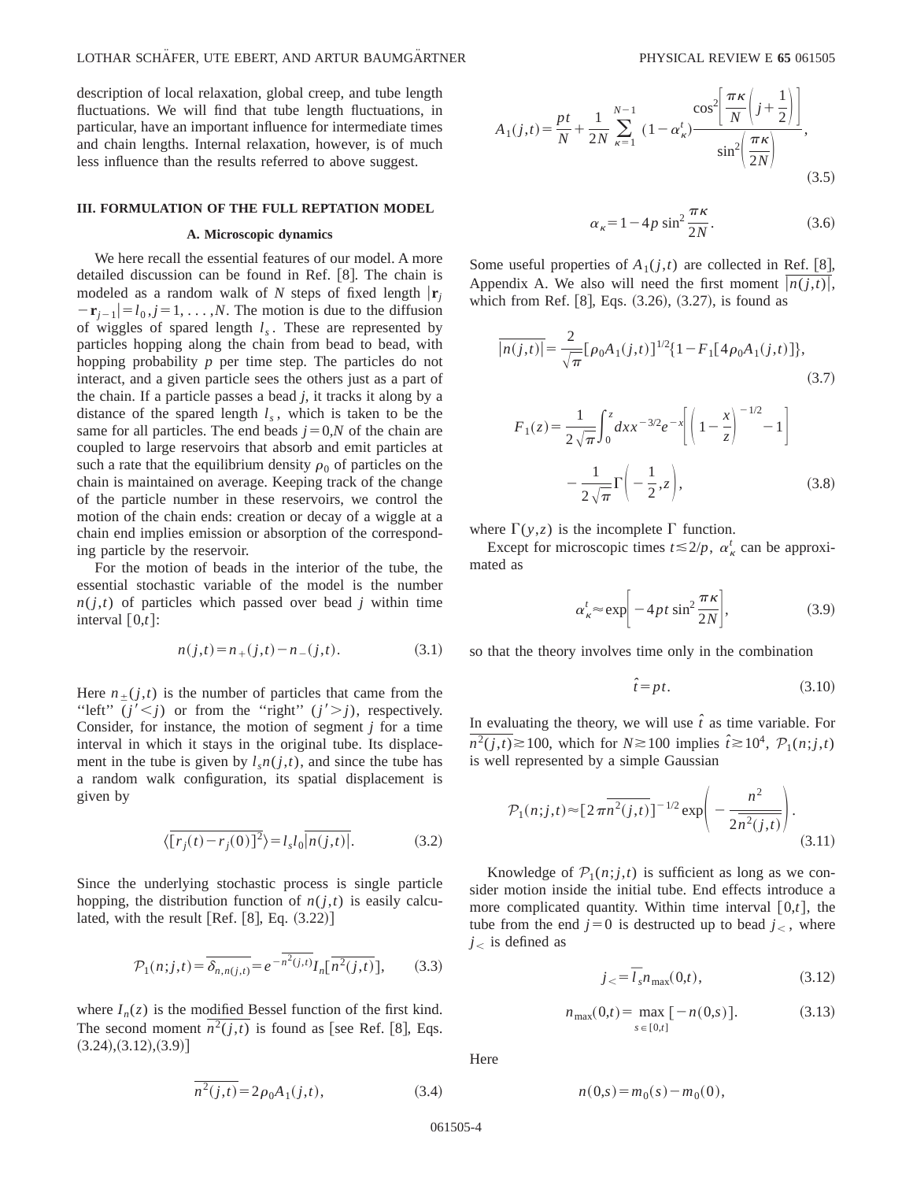description of local relaxation, global creep, and tube length fluctuations. We will find that tube length fluctuations, in particular, have an important influence for intermediate times and chain lengths. Internal relaxation, however, is of much less influence than the results referred to above suggest.

### **III. FORMULATION OF THE FULL REPTATION MODEL**

### **A. Microscopic dynamics**

We here recall the essential features of our model. A more detailed discussion can be found in Ref.  $[8]$ . The chain is modeled as a random walk of *N* steps of fixed length  $|\mathbf{r}_i|$  $-\mathbf{r}_{i-1}$  $=$   $l_0$ ,  $j$  = 1, . . . , *N*. The motion is due to the diffusion of wiggles of spared length *ls* . These are represented by particles hopping along the chain from bead to bead, with hopping probability *p* per time step. The particles do not interact, and a given particle sees the others just as a part of the chain. If a particle passes a bead *j*, it tracks it along by a distance of the spared length  $l_s$ , which is taken to be the same for all particles. The end beads  $j=0$ ,*N* of the chain are coupled to large reservoirs that absorb and emit particles at such a rate that the equilibrium density  $\rho_0$  of particles on the chain is maintained on average. Keeping track of the change of the particle number in these reservoirs, we control the motion of the chain ends: creation or decay of a wiggle at a chain end implies emission or absorption of the corresponding particle by the reservoir.

For the motion of beads in the interior of the tube, the essential stochastic variable of the model is the number  $n(j,t)$  of particles which passed over bead *j* within time interval  $[0,t]$ :

$$
n(j,t) = n_{+}(j,t) - n_{-}(j,t). \tag{3.1}
$$

Here  $n_{\pm}(j,t)$  is the number of particles that came from the "left"  $(j' \le j)$  or from the "right"  $(j' \ge j)$ , respectively. Consider, for instance, the motion of segment *j* for a time interval in which it stays in the original tube. Its displacement in the tube is given by  $l<sub>s</sub>n(j,t)$ , and since the tube has a random walk configuration, its spatial displacement is given by

$$
\langle \overline{[r_j(t) - r_j(0)]^2} \rangle = l_s l_0 \overline{|n(j,t)|}.
$$
 (3.2)

Since the underlying stochastic process is single particle hopping, the distribution function of  $n(j,t)$  is easily calculated, with the result  $[Ref. [8], Eq. (3.22)]$ 

$$
\mathcal{P}_1(n;j,t) = \overline{\delta_{n,n(j,t)}} = e^{-\overline{n^2(j,t)}} I_n[\overline{n^2(j,t)}],\qquad(3.3)
$$

where  $I_n(z)$  is the modified Bessel function of the first kind. The second moment  $\overline{n}^2(j,t)$  is found as [see Ref. [8], Eqs.  $(3.24)$ , $(3.12)$ , $(3.9)$ 

$$
A_1(j,t) = \frac{pt}{N} + \frac{1}{2N} \sum_{\kappa=1}^{N-1} (1 - \alpha_{\kappa}^t) \frac{\cos^2 \left( \frac{\pi \kappa}{N} \left( j + \frac{1}{2} \right) \right)}{\sin^2 \left( \frac{\pi \kappa}{2N} \right)},
$$
\n(3.5)

$$
\alpha_{\kappa} = 1 - 4p \sin^2 \frac{\pi \kappa}{2N}.
$$
 (3.6)

Some useful properties of  $A_1(j,t)$  are collected in Ref. [8], Appendix A. We also will need the first moment  $|n(j,t)|$ , which from Ref.  $[8]$ , Eqs.  $(3.26)$ ,  $(3.27)$ , is found as

$$
\overline{|n(j,t)|} = \frac{2}{\sqrt{\pi}} [\rho_0 A_1(j,t)]^{1/2} \{1 - F_1[4\rho_0 A_1(j,t)]\},
$$
\n(3.7)\n
$$
F_1(z) = \frac{1}{2\sqrt{\pi}} \int_0^z dx x^{-3/2} e^{-x} \left[ \left(1 - \frac{x}{z}\right)^{-1/2} - 1 \right]
$$
\n
$$
-\frac{1}{2\sqrt{\pi}} \Gamma\left(-\frac{1}{2}, z\right),
$$
\n(3.8)

where  $\Gamma(y, z)$  is the incomplete  $\Gamma$  function.

Except for microscopic times  $t \le 2/p$ ,  $\alpha_{\kappa}^{t}$  can be approximated as

$$
\alpha_{\kappa}^{t} \approx \exp\left[-4pt\sin^{2}\frac{\pi\kappa}{2N}\right],\tag{3.9}
$$

so that the theory involves time only in the combination

$$
\hat{t} = pt. \tag{3.10}
$$

In evaluating the theory, we will use  $\hat{t}$  as time variable. For  $n^2(j,t) \ge 100$ , which for  $N \ge 100$  implies  $\hat{t} \ge 10^4$ ,  $\mathcal{P}_1(n;j,t)$ is well represented by a simple Gaussian

$$
\mathcal{P}_1(n;j,t) \approx [2\pi \overline{n^2(j,t)}]^{-1/2} \exp\left(-\frac{n^2}{2\overline{n^2(j,t)}}\right).
$$
\n(3.11)

Knowledge of  $\mathcal{P}_1(n;j,t)$  is sufficient as long as we consider motion inside the initial tube. End effects introduce a more complicated quantity. Within time interval  $[0,t]$ , the tube from the end  $j=0$  is destructed up to bead  $j<$ , where  $j<$  is defined as

$$
j_{\leq} = \overline{l}_s n_{\text{max}}(0, t), \tag{3.12}
$$

$$
n_{\max}(0,t) = \max_{s \in [0,t]} [-n(0,s)]. \tag{3.13}
$$

Here

$$
n(0,s) = m_0(s) - m_0(0),
$$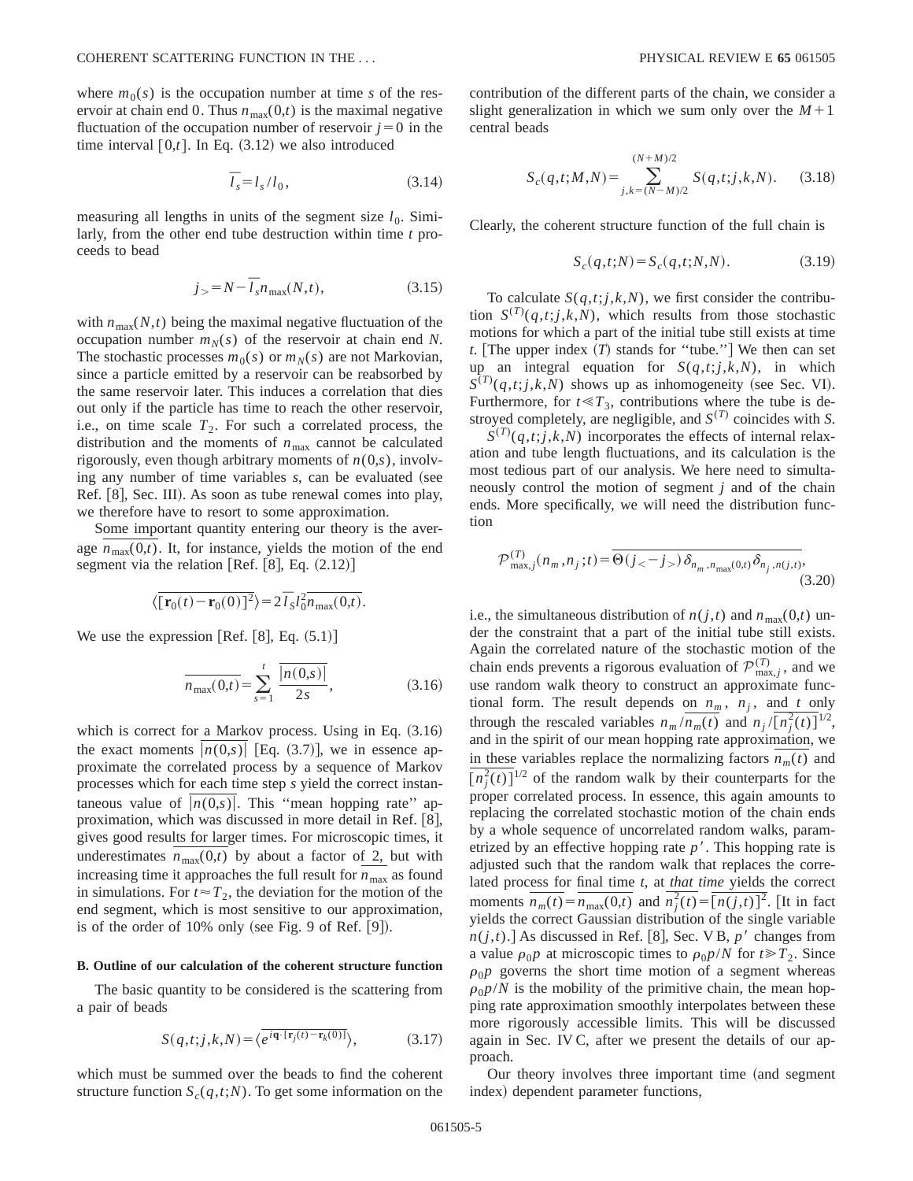where  $m_0(s)$  is the occupation number at time *s* of the reservoir at chain end 0. Thus  $n_{\text{max}}(0,t)$  is the maximal negative fluctuation of the occupation number of reservoir  $j=0$  in the time interval  $[0,t]$ . In Eq.  $(3.12)$  we also introduced

$$
\overline{l}_s = l_s / l_0, \tag{3.14}
$$

measuring all lengths in units of the segment size  $l_0$ . Similarly, from the other end tube destruction within time *t* proceeds to bead

$$
j_{>} = N - \overline{l}_s n_{\text{max}}(N, t), \qquad (3.15)
$$

with  $n_{\text{max}}(N,t)$  being the maximal negative fluctuation of the occupation number  $m_N(s)$  of the reservoir at chain end N. The stochastic processes  $m_0(s)$  or  $m_N(s)$  are not Markovian, since a particle emitted by a reservoir can be reabsorbed by the same reservoir later. This induces a correlation that dies out only if the particle has time to reach the other reservoir, i.e., on time scale  $T_2$ . For such a correlated process, the distribution and the moments of  $n_{\text{max}}$  cannot be calculated rigorously, even though arbitrary moments of  $n(0,s)$ , involving any number of time variables *s*, can be evaluated (see Ref.  $\lvert 8 \rvert$ , Sec. III). As soon as tube renewal comes into play, we therefore have to resort to some approximation.

Some important quantity entering our theory is the average  $n_{\text{max}}(0,t)$ . It, for instance, yields the motion of the end segment via the relation [Ref.  $[8]$ , Eq.  $(2.12)$ ]

$$
\langle \overline{\left[\mathbf{r}_0(t) - \mathbf{r}_0(0)\right]^2} \rangle = 2 \overline{I}_S l_0^2 \overline{n_{\text{max}}(0,t)}.
$$

We use the expression  $[Ref. [8], Eq. (5.1)]$ 

$$
\overline{n_{\max}(0,t)} = \sum_{s=1}^{t} \frac{\overline{|n(0,s)|}}{2s},
$$
\n(3.16)

which is correct for a Markov process. Using in Eq.  $(3.16)$ the exact moments  $|n(0,s)|$  [Eq. (3.7)], we in essence approximate the correlated process by a sequence of Markov processes which for each time step *s* yield the correct instantaneous value of  $|n(0,s)|$ . This "mean hopping rate" approximation, which was discussed in more detail in Ref.  $[8]$ , gives good results for larger times. For microscopic times, it underestimates  $n_{\text{max}}(0,t)$  by about a factor of 2, but with increasing time it approaches the full result for  $n_{\text{max}}$  as found in simulations. For  $t \approx T_2$ , the deviation for the motion of the end segment, which is most sensitive to our approximation, is of the order of  $10\%$  only (see Fig. 9 of Ref.  $[9]$ ).

### **B. Outline of our calculation of the coherent structure function**

The basic quantity to be considered is the scattering from a pair of beads

$$
S(q,t;j,k,N) = \langle e^{i\mathbf{q}\cdot[\mathbf{r}_j(t) - \mathbf{r}_k(0)]}\rangle, \tag{3.17}
$$

which must be summed over the beads to find the coherent structure function  $S_c(q,t;N)$ . To get some information on the contribution of the different parts of the chain, we consider a slight generalization in which we sum only over the  $M+1$ central beads

$$
S_c(q,t;M,N) = \sum_{j,k=(N-M)/2}^{(N+M)/2} S(q,t;j,k,N).
$$
 (3.18)

Clearly, the coherent structure function of the full chain is

$$
S_c(q, t; N) = S_c(q, t; N, N).
$$
 (3.19)

To calculate  $S(q,t; j, k, N)$ , we first consider the contribution  $S^{(T)}(q,t; j,k,N)$ , which results from those stochastic motions for which a part of the initial tube still exists at time *t*. The upper index  $(T)$  stands for "tube." We then can set up an integral equation for  $S(q,t;j,k,N)$ , in which  $S^{(T)}(q,t; j,k,N)$  shows up as inhomogeneity (see Sec. VI). Furthermore, for  $t \ll T_3$ , contributions where the tube is destroyed completely, are negligible, and  $S^{(T)}$  coincides with *S*.

 $S^{(T)}(q,t; j,k,N)$  incorporates the effects of internal relaxation and tube length fluctuations, and its calculation is the most tedious part of our analysis. We here need to simultaneously control the motion of segment *j* and of the chain ends. More specifically, we will need the distribution function

$$
\mathcal{P}_{\max,j}^{(T)}(n_m, n_j; t) = \overline{\Theta(j_{<} - j_{>})\delta_{n_m, n_{\max}(0, t)}\delta_{n_j, n(j, t)}},\tag{3.20}
$$

i.e., the simultaneous distribution of  $n(j,t)$  and  $n_{\text{max}}(0,t)$  under the constraint that a part of the initial tube still exists. Again the correlated nature of the stochastic motion of the chain ends prevents a rigorous evaluation of  $\mathcal{P}_{\text{max},j}^{(T)}$ , and we use random walk theory to construct an approximate functional form. The result depends on  $n_m$ ,  $n_j$ , and *t* only through the rescaled variables  $n_m / n_m(t)$  and  $n_j / (n_j^2(t))^{1/2}$ , and in the spirit of our mean hopping rate approximation, we in these variables replace the normalizing factors  $n_m(t)$  and  $\sqrt[n]{\binom{n^2}{j}}$  of the random walk by their counterparts for the proper correlated process. In essence, this again amounts to replacing the correlated stochastic motion of the chain ends by a whole sequence of uncorrelated random walks, parametrized by an effective hopping rate  $p<sup>7</sup>$ . This hopping rate is adjusted such that the random walk that replaces the correlated process for final time *t*, at *that time* yields the correct moments  $\overline{n_m(t)} = \overline{n_{\text{max}}(0,t)}$  and  $\overline{n_j^2(t)} = \overline{[n(j,t)]^2}$ . [It in fact yields the correct Gaussian distribution of the single variable  $n(j,t)$ .] As discussed in Ref. [8], Sec. V B,  $p'$  changes from a value  $\rho_0 p$  at microscopic times to  $\rho_0 p/N$  for  $t \ge T_2$ . Since  $\rho_0$ *p* governs the short time motion of a segment whereas  $\rho_0 p/N$  is the mobility of the primitive chain, the mean hopping rate approximation smoothly interpolates between these more rigorously accessible limits. This will be discussed again in Sec. IV C, after we present the details of our approach.

Our theory involves three important time (and segment index) dependent parameter functions,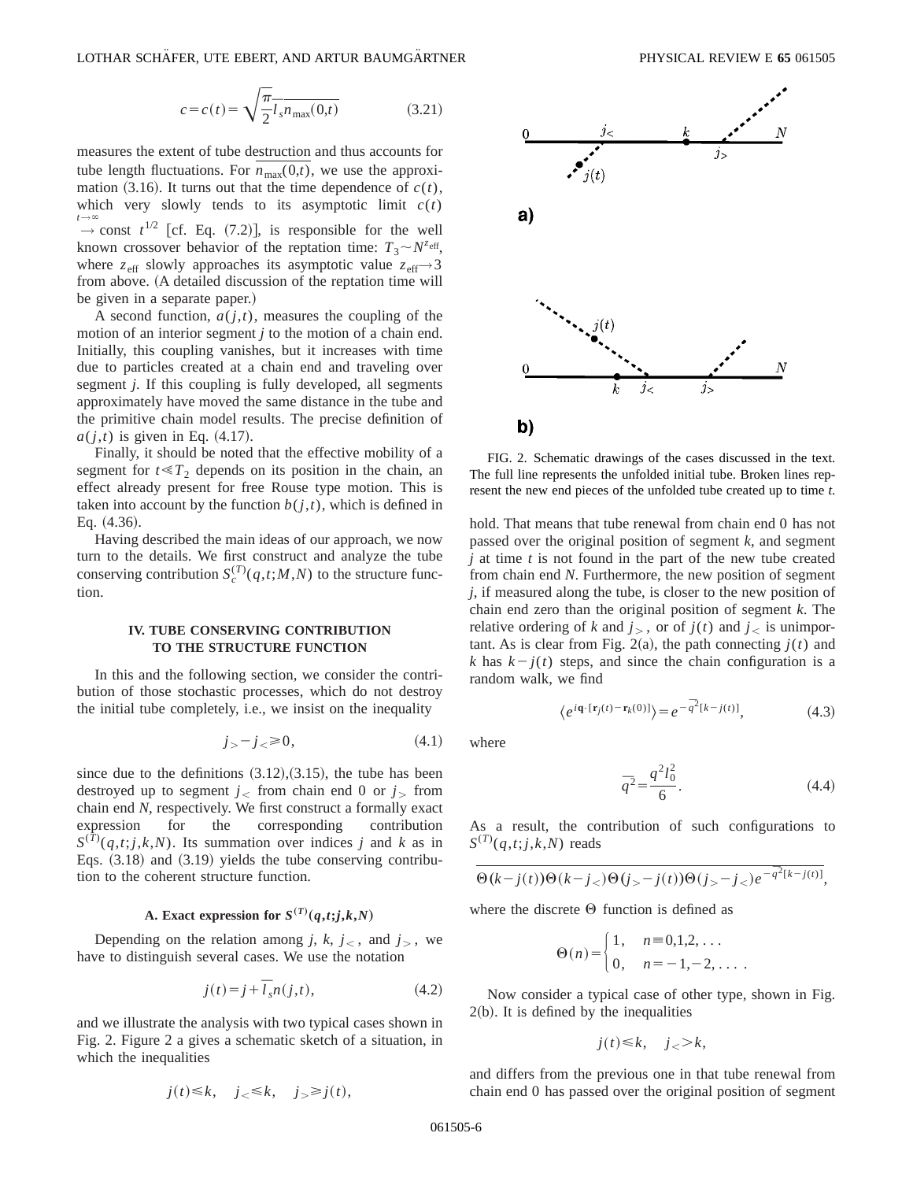$$
c = c(t) = \sqrt{\frac{\pi}{2}} \overline{l}_s \overline{n_{\text{max}}(0,t)}
$$
 (3.21)

measures the extent of tube destruction and thus accounts for tube length fluctuations. For  $n_{\text{max}}(0,t)$ , we use the approximation  $(3.16)$ . It turns out that the time dependence of  $c(t)$ , which very slowly tends to its asymptotic limit  $c(t)$  $\rightarrow$  const  $t^{1/2}$  [cf. Eq. (7.2)], is responsible for the well  $t\rightarrow\infty$ known crossover behavior of the reptation time:  $T_3 \sim N^{z_{\text{eff}}},$ where  $z_{\text{eff}}$  slowly approaches its asymptotic value  $z_{\text{eff}} \rightarrow 3$ from above. (A detailed discussion of the reptation time will be given in a separate paper.)

A second function,  $a(j,t)$ , measures the coupling of the motion of an interior segment *j* to the motion of a chain end. Initially, this coupling vanishes, but it increases with time due to particles created at a chain end and traveling over segment *j*. If this coupling is fully developed, all segments approximately have moved the same distance in the tube and the primitive chain model results. The precise definition of  $a(j,t)$  is given in Eq.  $(4.17)$ .

Finally, it should be noted that the effective mobility of a segment for  $t \ll T_2$  depends on its position in the chain, an effect already present for free Rouse type motion. This is taken into account by the function  $b(j,t)$ , which is defined in Eq.  $(4.36)$ .

Having described the main ideas of our approach, we now turn to the details. We first construct and analyze the tube conserving contribution  $S_c^{(T)}(q,t;M,N)$  to the structure function.

## **IV. TUBE CONSERVING CONTRIBUTION TO THE STRUCTURE FUNCTION**

In this and the following section, we consider the contribution of those stochastic processes, which do not destroy the initial tube completely, i.e., we insist on the inequality

$$
j_{>}-j_{<} \geq 0,\tag{4.1}
$$

since due to the definitions  $(3.12),(3.15)$ , the tube has been destroyed up to segment  $j<sub>lt</sub>$  from chain end 0 or  $j<sub>gt</sub>$  from chain end *N*, respectively. We first construct a formally exact expression for the corresponding contribution  $S^{(\overline{T})}(q,t; j,k,N)$ . Its summation over indices *j* and *k* as in Eqs.  $(3.18)$  and  $(3.19)$  yields the tube conserving contribution to the coherent structure function.

## **A.** Exact expression for  $S^{(T)}(q,t; j, k, N)$

Depending on the relation among *j*, *k*,  $j<sub>0</sub>$ , and  $j<sub>0</sub>$ , we have to distinguish several cases. We use the notation

$$
j(t) = j + \overline{l}_s n(j, t), \qquad (4.2)
$$

and we illustrate the analysis with two typical cases shown in Fig. 2. Figure 2 a gives a schematic sketch of a situation, in which the inequalities

$$
j(t) \le k, \quad j_{<} \le k, \quad j_{>} \ge j(t),
$$



FIG. 2. Schematic drawings of the cases discussed in the text. The full line represents the unfolded initial tube. Broken lines represent the new end pieces of the unfolded tube created up to time *t*.

hold. That means that tube renewal from chain end 0 has not passed over the original position of segment *k*, and segment *j* at time *t* is not found in the part of the new tube created from chain end *N*. Furthermore, the new position of segment *j*, if measured along the tube, is closer to the new position of chain end zero than the original position of segment *k*. The relative ordering of *k* and  $j<sub>></sub>$ , or of  $j(t)$  and  $j$  is unimportant. As is clear from Fig. 2(a), the path connecting  $j(t)$  and *k* has  $k - j(t)$  steps, and since the chain configuration is a random walk, we find

$$
\langle e^{i\mathbf{q}\cdot[\mathbf{r}_j(t)-\mathbf{r}_k(0)]}\rangle = e^{-\overline{q}^2[k-j(t)]},
$$
\n(4.3)

where

$$
\bar{q}^2 = \frac{q^2 l_0^2}{6}.
$$
\n(4.4)

As a result, the contribution of such configurations to  $S^{(T)}(q,t;j,k,N)$  reads

$$
\Theta(k-j(t))\Theta(k-j_<)\Theta(j_>-j(t))\Theta(j_>-j_<)e^{-\overline{q}^2[k-j(t)]},
$$

where the discrete  $\Theta$  function is defined as

$$
\Theta(n) = \begin{cases} 1, & n = 0, 1, 2, \dots \\ 0, & n = -1, -2, \dots \end{cases}
$$

Now consider a typical case of other type, shown in Fig.  $2(b)$ . It is defined by the inequalities

 $j(t) \leq k, \quad i > k,$ 

and differs from the previous one in that tube renewal from chain end 0 has passed over the original position of segment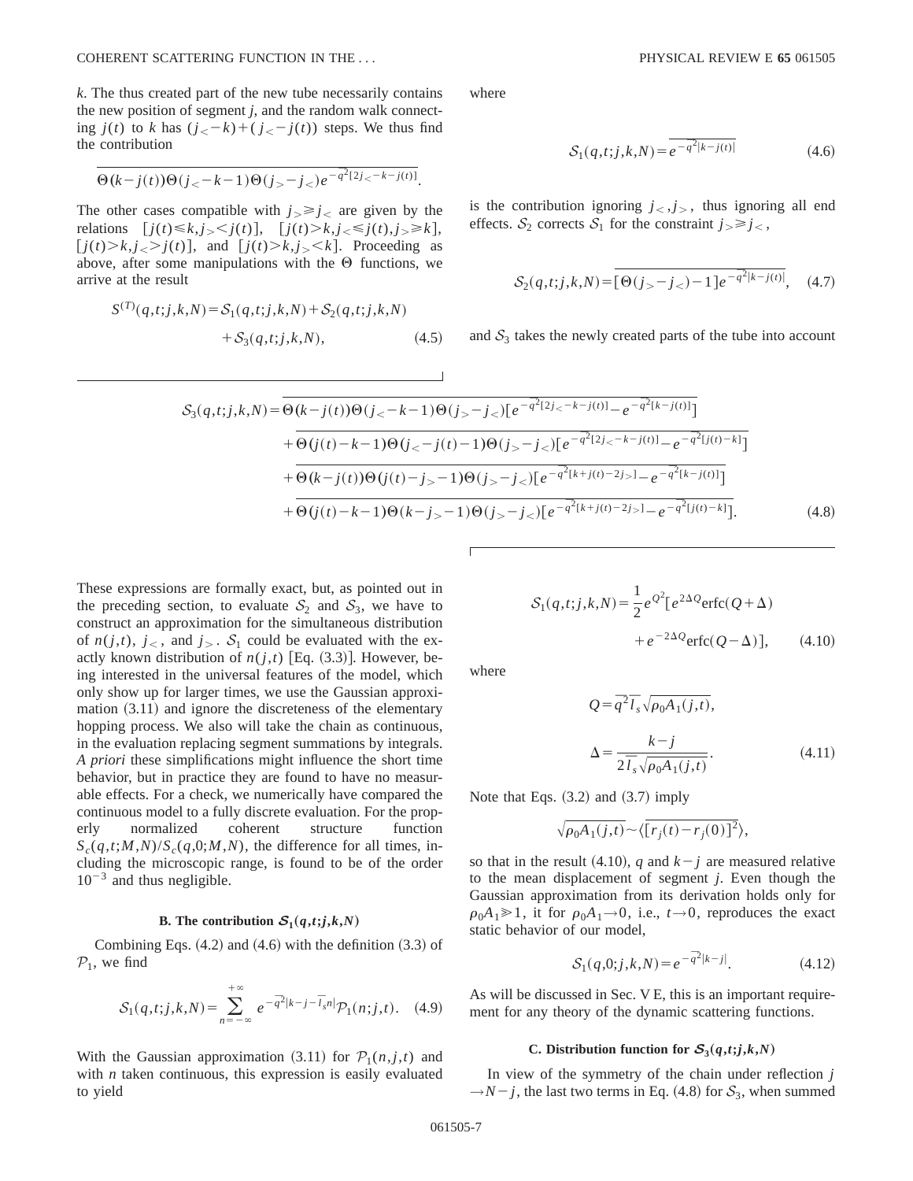*k*. The thus created part of the new tube necessarily contains the new position of segment *j*, and the random walk connecting  $j(t)$  to k has  $(j<sub><</sub> - k) + (j<sub><</sub> - j(t))$  steps. We thus find the contribution

$$
\Theta(k-j(t))\Theta(j<-k-1)\Theta(j>-j
$$

The other cases compatible with  $j > \ge j$ , are given by the relations  $[j(t) \le k, j_{>} < j(t)]$ ,  $[j(t) > k, j_{<} \le j(t), j_{>} \ge k]$ ,  $[j(t) > k, j_{lt} > j(t)]$ , and  $[j(t) > k, j_{lt} < k]$ . Proceeding as above, after some manipulations with the  $\Theta$  functions, we arrive at the result

$$
S^{(T)}(q,t;j,k,N) = S_1(q,t;j,k,N) + S_2(q,t;j,k,N) + S_3(q,t;j,k,N),
$$
\n(4.5)

where

$$
S_1(q, t; j, k, N) = \overline{e^{-\overline{q}^2|k - j(t)|}} \tag{4.6}
$$

is the contribution ignoring  $j<sub>lt</sub>, j<sub>gt</sub>$ , thus ignoring all end effects.  $S_2$  corrects  $S_1$  for the constraint  $j_{\geq} \geq j_{\leq}$ ,

$$
S_2(q,t;j,k,N) = \overline{[\Theta(j_>-j_<) - 1]e^{-\overline{q}^2|k-j(t)|}}, \quad (4.7)
$$

and  $S_3$  takes the newly created parts of the tube into account

$$
S_{3}(q,t;j,k,N) = \overline{\Theta(k-j(t))\Theta(j_{<-k-1)}\Theta(j_{>-j_{<})[e^{-\overline{q}^{2}[2j_{<-k-j(t)]}-e^{-\overline{q}^{2}[k-j(t)]}]}} + \overline{\Theta(j(t)-k-1)\Theta(j_{<-j(t)-1)}\Theta(j_{>-j_{<})[e^{-\overline{q}^{2}[2j_{<-k-j(t)]}-e^{-\overline{q}^{2}[j(t)-k]}]}} + \overline{\Theta(k-j(t))\Theta(j(t)-j_{>-1})\Theta(j_{>-j_{<})[e^{-\overline{q}^{2}[k+j(t)-2j_{>}]}-e^{-\overline{q}^{2}[k-j(t)]}]}} + \overline{\Theta(j(t)-k-1)\Theta(k-j_{>-1})\Theta(j_{>-j_{<})[e^{-\overline{q}^{2}[k+j(t)-2j_{>}]}-e^{-\overline{q}^{2}[j(t)-k]}]}. \tag{4.8}
$$

These expressions are formally exact, but, as pointed out in the preceding section, to evaluate  $S_2$  and  $S_3$ , we have to construct an approximation for the simultaneous distribution of  $n(j,t)$ ,  $j<sub>0</sub>$ , and  $j<sub>0</sub>$ . S<sub>1</sub> could be evaluated with the exactly known distribution of  $n(j,t)$  [Eq.  $(3.3)$ ]. However, being interested in the universal features of the model, which only show up for larger times, we use the Gaussian approximation  $(3.11)$  and ignore the discreteness of the elementary hopping process. We also will take the chain as continuous, in the evaluation replacing segment summations by integrals. *A priori* these simplifications might influence the short time behavior, but in practice they are found to have no measurable effects. For a check, we numerically have compared the continuous model to a fully discrete evaluation. For the properly normalized coherent structure function  $S_c(q,t;M,N)/S_c(q,0;M,N)$ , the difference for all times, including the microscopic range, is found to be of the order  $10^{-3}$  and thus negligible.

### **B.** The contribution  $S_1(q,t; j, k, N)$

Combining Eqs.  $(4.2)$  and  $(4.6)$  with the definition  $(3.3)$  of  $P_1$ , we find

$$
S_1(q,t;j,k,N) = \sum_{n=-\infty}^{+\infty} e^{-\overline{q}^2|k-j-\overline{l}_s n|} \mathcal{P}_1(n;j,t). \quad (4.9)
$$

With the Gaussian approximation  $(3.11)$  for  $P_1(n, j, t)$  and with *n* taken continuous, this expression is easily evaluated to yield

$$
S_1(q,t;j,k,N) = \frac{1}{2}e^{\mathcal{Q}^2}[e^{2\Delta Q}\text{erfc}(Q+\Delta) + e^{-2\Delta Q}\text{erfc}(Q-\Delta)], \qquad (4.10)
$$

where

$$
Q = \overline{q}^2 \overline{l}_s \sqrt{\rho_0 A_1(j,t)},
$$
  

$$
\Delta = \frac{k - j}{2 \overline{l}_s \sqrt{\rho_0 A_1(j,t)}}.
$$
 (4.11)

Note that Eqs.  $(3.2)$  and  $(3.7)$  imply

$$
\sqrt{\rho_0 A_1(j,t)} \sim \langle \overline{[r_j(t) - r_j(0)]^2} \rangle,
$$

so that in the result (4.10), *q* and  $k - j$  are measured relative to the mean displacement of segment *j*. Even though the Gaussian approximation from its derivation holds only for  $\rho_0A_1 \geq 1$ , it for  $\rho_0A_1 \rightarrow 0$ , i.e.,  $t \rightarrow 0$ , reproduces the exact static behavior of our model,

$$
S_1(q,0;j,k,N) = e^{-\overline{q}^2|k-j|}.
$$
 (4.12)

As will be discussed in Sec. V E, this is an important requirement for any theory of the dynamic scattering functions.

### C. Distribution function for  $S_3(q,t; j, k, N)$

In view of the symmetry of the chain under reflection *j*  $\rightarrow$ *N*-*j*, the last two terms in Eq. (4.8) for  $S_3$ , when summed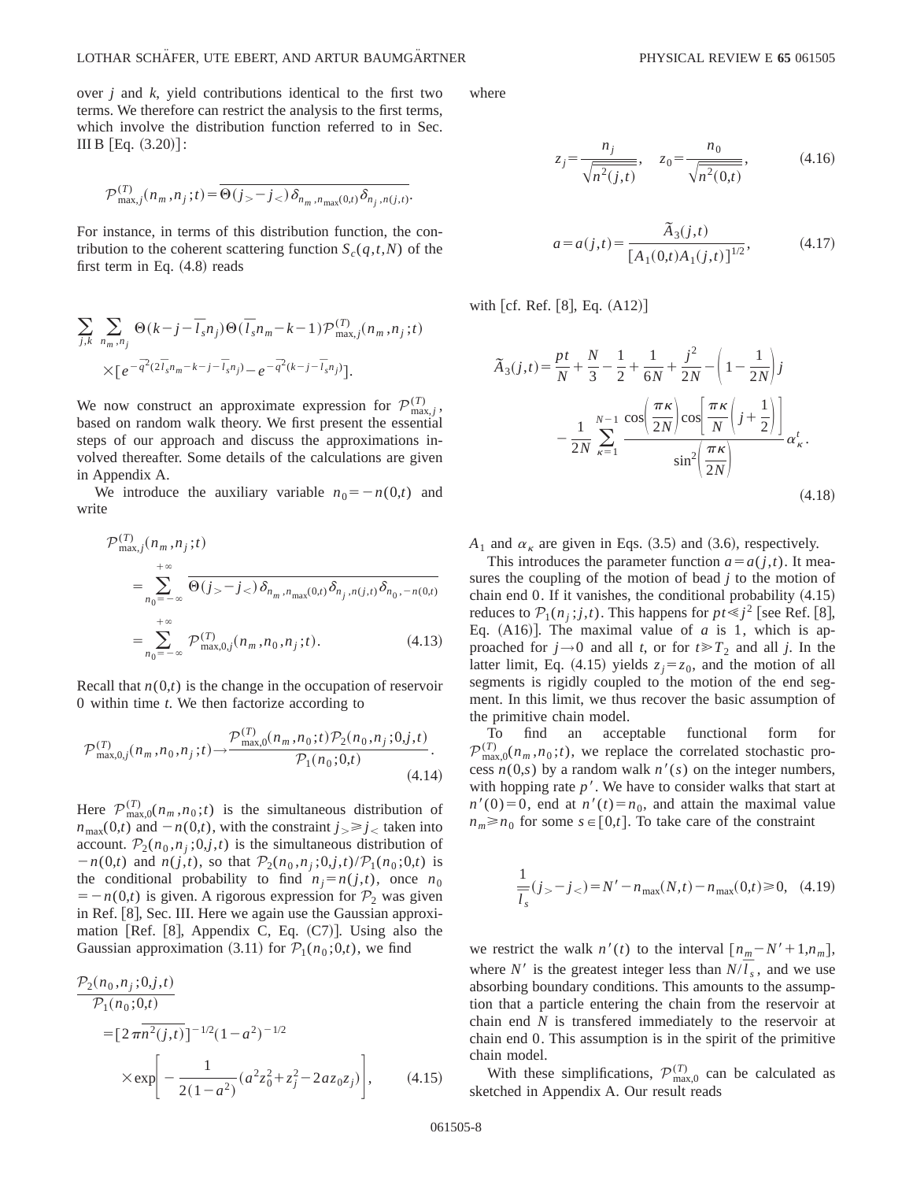over *j* and *k*, yield contributions identical to the first two terms. We therefore can restrict the analysis to the first terms, which involve the distribution function referred to in Sec. III B  $[Eq. (3.20)]$ :

$$
\mathcal{P}_{\max,j}^{(T)}(n_m, n_j; t) = \overline{\Theta(j_{>}-j_{<})\delta_{n_m, n_{\max}(0,t)}\delta_{n_j, n(j,t)}}.
$$

For instance, in terms of this distribution function, the contribution to the coherent scattering function  $S_c(q,t,N)$  of the first term in Eq.  $(4.8)$  reads

$$
\sum_{j,k} \sum_{n_m,n_j} \Theta(k-j-\overline{l}_s n_j) \Theta(\overline{l}_s n_m-k-1) \mathcal{P}^{(T)}_{\max,j}(n_m,n_j;t)
$$

$$
\times [e^{-\overline{q}^2 (2\overline{l}_s n_m-k-j-\overline{l}_s n_j)}-e^{-\overline{q}^2 (k-j-\overline{l}_s n_j)}].
$$

We now construct an approximate expression for  $\mathcal{P}_{\text{max},j}^{(T)}$ , based on random walk theory. We first present the essential steps of our approach and discuss the approximations involved thereafter. Some details of the calculations are given in Appendix A.

We introduce the auxiliary variable  $n_0 = -n(0,t)$  and write

$$
\mathcal{P}_{\max,j}^{(T)}(n_m, n_j; t) = \sum_{n_0 = -\infty}^{+\infty} \overline{\Theta(j_{>}-j_{<}) \delta_{n_m, n_{\max}(0,t)} \delta_{n_j, n(j,t)} \delta_{n_0, -n(0,t)}} \n= \sum_{n_0 = -\infty}^{+\infty} \mathcal{P}_{\max, 0,j}^{(T)}(n_m, n_0, n_j; t).
$$
\n(4.13)

Recall that  $n(0,t)$  is the change in the occupation of reservoir 0 within time *t*. We then factorize according to

$$
\mathcal{P}_{\max,0,j}^{(T)}(n_m, n_0, n_j; t) \rightarrow \frac{\mathcal{P}_{\max,0}^{(T)}(n_m, n_0; t)\mathcal{P}_2(n_0, n_j; 0, j, t)}{\mathcal{P}_1(n_0; 0, t)}.
$$
\n(4.14)

Here  $\mathcal{P}_{\max,0}^{(T)}(n_m,n_0;t)$  is the simultaneous distribution of  $n_{\text{max}}(0,t)$  and  $-n(0,t)$ , with the constraint  $j \geq j <$  taken into account.  $\mathcal{P}_2(n_0, n_j; 0, j, t)$  is the simultaneous distribution of  $-n(0,t)$  and  $n(j,t)$ , so that  $P_2(n_0,n_j;0,j,t)/P_1(n_0;0,t)$  is the conditional probability to find  $n_j = n(j,t)$ , once  $n_0$  $= -n(0,t)$  is given. A rigorous expression for  $P_2$  was given in Ref.  $[8]$ , Sec. III. Here we again use the Gaussian approximation [Ref. [8], Appendix C, Eq.  $(C7)$ ]. Using also the Gaussian approximation (3.11) for  $P_1(n_0;0,t)$ , we find

$$
\frac{\mathcal{P}_2(n_0, n_j; 0, j, t)}{\mathcal{P}_1(n_0; 0, t)}
$$
\n
$$
= [2 \pi n^2(j, t)]^{-1/2} (1 - a^2)^{-1/2}
$$
\n
$$
\times \exp\left[-\frac{1}{2(1 - a^2)} (a^2 z_0^2 + z_j^2 - 2az_0 z_j)\right], \quad (4.15)
$$

where

$$
z_j = \frac{n_j}{\sqrt{n^2(j,t)}}, \quad z_0 = \frac{n_0}{\sqrt{n^2(0,t)}}, \quad (4.16)
$$

$$
a = a(j,t) = \frac{\tilde{A}_3(j,t)}{[A_1(0,t)A_1(j,t)]^{1/2}},
$$
\n(4.17)

with  $[cf.$  Ref.  $[8]$ , Eq.  $(A12)$ 

$$
\tilde{A}_3(j,t) = \frac{pt}{N} + \frac{N}{3} - \frac{1}{2} + \frac{1}{6N} + \frac{j^2}{2N} - \left(1 - \frac{1}{2N}\right)j
$$

$$
- \frac{1}{2N} \sum_{\kappa=1}^{N-1} \frac{\cos\left(\frac{\pi\kappa}{2N}\right)\cos\left(\frac{\pi\kappa}{N}\right)\left(j + \frac{1}{2}\right)}{\sin^2\left(\frac{\pi\kappa}{2N}\right)} \alpha_{\kappa}^t.
$$
\n(4.18)

 $A_1$  and  $\alpha_k$  are given in Eqs. (3.5) and (3.6), respectively.

This introduces the parameter function  $a = a(j,t)$ . It measures the coupling of the motion of bead *j* to the motion of chain end  $0$ . If it vanishes, the conditional probability  $(4.15)$ reduces to  $\mathcal{P}_1(n_j; j, t)$ . This happens for  $pt \leq j^2$  [see Ref. [8], Eq.  $(A16)$ ]. The maximal value of *a* is 1, which is approached for  $j \rightarrow 0$  and all *t*, or for  $t \ge T_2$  and all *j*. In the latter limit, Eq. (4.15) yields  $z_i = z_0$ , and the motion of all segments is rigidly coupled to the motion of the end segment. In this limit, we thus recover the basic assumption of the primitive chain model.

To find an acceptable functional form for  $\mathcal{P}_{\max,0}^{(T)}(n_m, n_0; t)$ , we replace the correlated stochastic process  $n(0,s)$  by a random walk  $n'(s)$  on the integer numbers, with hopping rate  $p'$ . We have to consider walks that start at  $n'(0)=0$ , end at  $n'(t)=n_0$ , and attain the maximal value  $n_m \ge n_0$  for some  $s \in [0,t]$ . To take care of the constraint

$$
\frac{1}{\overline{l}_s}(j_{>} - j_{<} ) = N' - n_{\text{max}}(N, t) - n_{\text{max}}(0, t) \ge 0, \quad (4.19)
$$

we restrict the walk  $n'(t)$  to the interval  $[n_m - N' + 1, n_m]$ , where *N'* is the greatest integer less than  $N/\overline{l}_s$ , and we use absorbing boundary conditions. This amounts to the assumption that a particle entering the chain from the reservoir at chain end *N* is transfered immediately to the reservoir at chain end 0. This assumption is in the spirit of the primitive chain model.

With these simplifications,  $\mathcal{P}_{\text{max},0}^{(T)}$  can be calculated as sketched in Appendix A. Our result reads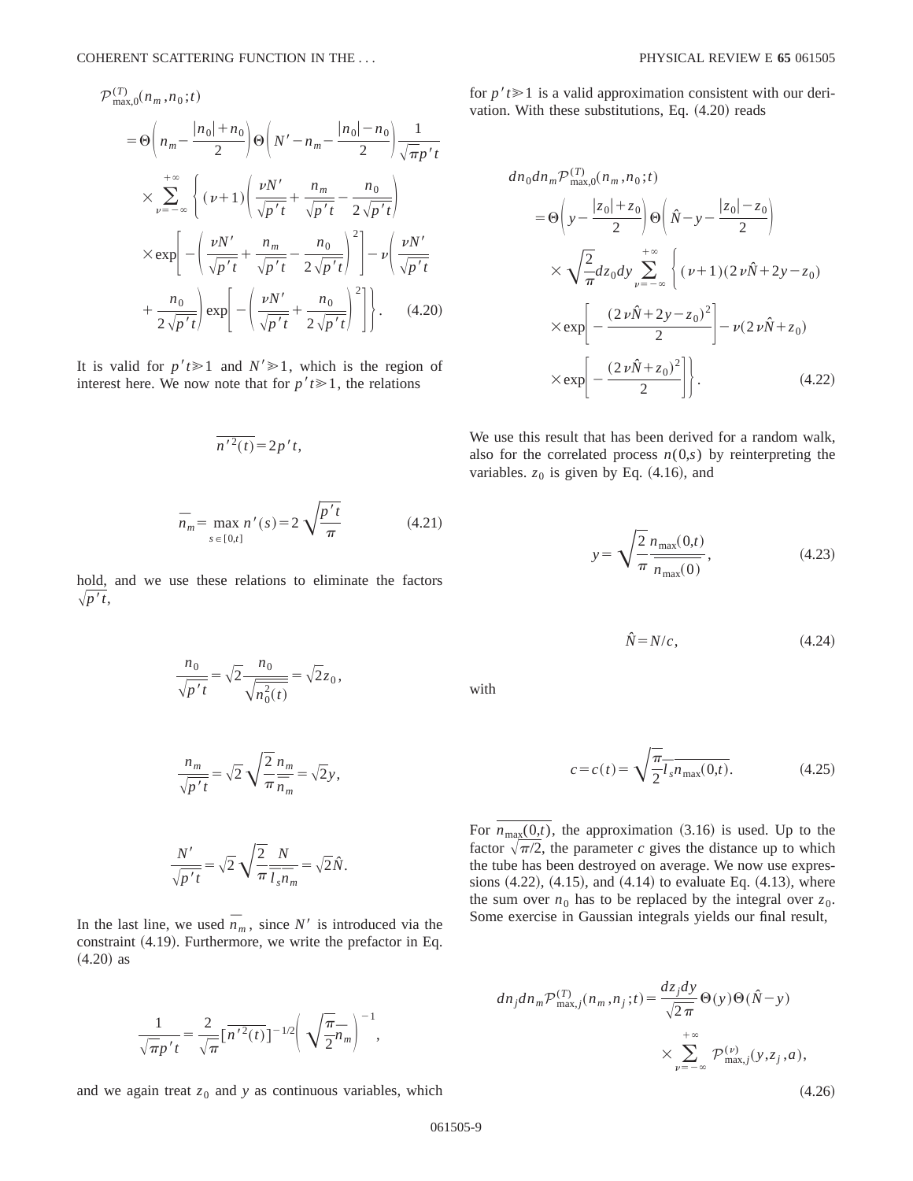$$
\mathcal{P}_{\max,0}^{(T)}(n_m, n_0; t)
$$
\n
$$
= \Theta\left(n_m - \frac{|n_0| + n_0}{2}\right) \Theta\left(N' - n_m - \frac{|n_0| - n_0}{2}\right) \frac{1}{\sqrt{\pi p' t}}
$$
\n
$$
\times \sum_{\nu=-\infty}^{+\infty} \left\{ (\nu+1) \left( \frac{\nu N'}{\sqrt{p' t}} + \frac{n_m}{\sqrt{p' t}} - \frac{n_0}{2\sqrt{p' t}} \right) \right\}
$$
\n
$$
\times \exp\left[-\left(\frac{\nu N'}{\sqrt{p' t}} + \frac{n_m}{\sqrt{p' t}} - \frac{n_0}{2\sqrt{p' t}}\right)^2\right] - \nu \left(\frac{\nu N'}{\sqrt{p' t}} + \frac{n_0}{2\sqrt{p' t}}\right) \exp\left[-\left(\frac{\nu N'}{\sqrt{p' t}} + \frac{n_0}{2\sqrt{p' t}}\right)^2\right].
$$
\n(4.20)

It is valid for  $p't \ge 1$  and  $N' \ge 1$ , which is the region of interest here. We now note that for  $p'$ *t* $\geq 1$ , the relations

$$
\overline{n'^2(t)} = 2p't,
$$

$$
\bar{n}_m = \max_{s \in [0,t]} n'(s) = 2\sqrt{\frac{p't}{\pi}}
$$
 (4.21)

hold, and we use these relations to eliminate the factors  $\sqrt{p^t}$ ,

$$
\frac{n_0}{\sqrt{p't}} = \sqrt{2} \frac{n_0}{\sqrt{n_0^2(t)}} = \sqrt{2}z_0,
$$

$$
\frac{n_m}{\sqrt{p' t}} = \sqrt{2} \sqrt{\frac{2}{\pi}} \frac{n_m}{\overline{n}_m} = \sqrt{2} y,
$$

 $N'$  $\frac{N'}{\sqrt{p't}} = \sqrt{2} \sqrt{\frac{2}{\pi}}$ *N*  $\overline{l_s}\overline{n}_m$  $=\sqrt{2}\hat{N}$ .

In the last line, we used  $\overline{n}_m$ , since *N'* is introduced via the constraint  $(4.19)$ . Furthermore, we write the prefactor in Eq.  $(4.20)$  as

$$
\frac{1}{\sqrt{\pi p' t}} = \frac{2}{\sqrt{\pi}} \left[ \overline{n'^{2}(t)} \right]^{-1/2} \left( \sqrt{\frac{\pi}{2}} \overline{n}_m \right)^{-1},
$$

and we again treat  $z_0$  and  $y$  as continuous variables, which

for  $p't \ge 1$  is a valid approximation consistent with our derivation. With these substitutions, Eq.  $(4.20)$  reads

$$
dn_0 dn_m \mathcal{P}_{\text{max},0}^{(T)}(n_m, n_0; t)
$$
  
=  $\Theta\left(y - \frac{|z_0| + z_0}{2}\right) \Theta\left(\hat{N} - y - \frac{|z_0| - z_0}{2}\right)$   
 $\times \sqrt{\frac{2}{\pi}} dz_0 dy \sum_{\nu=-\infty}^{+\infty} \left\{ (\nu+1)(2 \nu \hat{N} + 2y - z_0) \times \exp\left[-\frac{(2 \nu \hat{N} + 2y - z_0)^2}{2}\right] - \nu(2 \nu \hat{N} + z_0) \times \exp\left[-\frac{(2 \nu \hat{N} + z_0)^2}{2}\right] \right\}. \tag{4.22}$ 

We use this result that has been derived for a random walk, also for the correlated process  $n(0,s)$  by reinterpreting the variables.  $z_0$  is given by Eq.  $(4.16)$ , and

$$
y = \sqrt{\frac{2}{\pi}} \frac{n_{\text{max}}(0, t)}{n_{\text{max}}(0)},
$$
\n(4.23)

$$
\hat{N} = N/c, \tag{4.24}
$$

with

$$
c = c(t) = \sqrt{\frac{\pi}{2}} \overline{l}_s \overline{n}_{\text{max}}(0, t).
$$
 (4.25)

For  $n_{\text{max}}(0,t)$ , the approximation (3.16) is used. Up to the factor  $\sqrt{\pi/2}$ , the parameter *c* gives the distance up to which the tube has been destroyed on average. We now use expressions  $(4.22)$ ,  $(4.15)$ , and  $(4.14)$  to evaluate Eq.  $(4.13)$ , where the sum over  $n_0$  has to be replaced by the integral over  $z_0$ . Some exercise in Gaussian integrals yields our final result,

$$
dn_j dn_m \mathcal{P}_{\max,j}^{(T)}(n_m, n_j; t) = \frac{dz_j dy}{\sqrt{2\pi}} \Theta(y) \Theta(\hat{N} - y)
$$

$$
\times \sum_{\nu = -\infty}^{+\infty} \mathcal{P}_{\max,j}^{(\nu)}(y, z_j, a),
$$

 $(4.26)$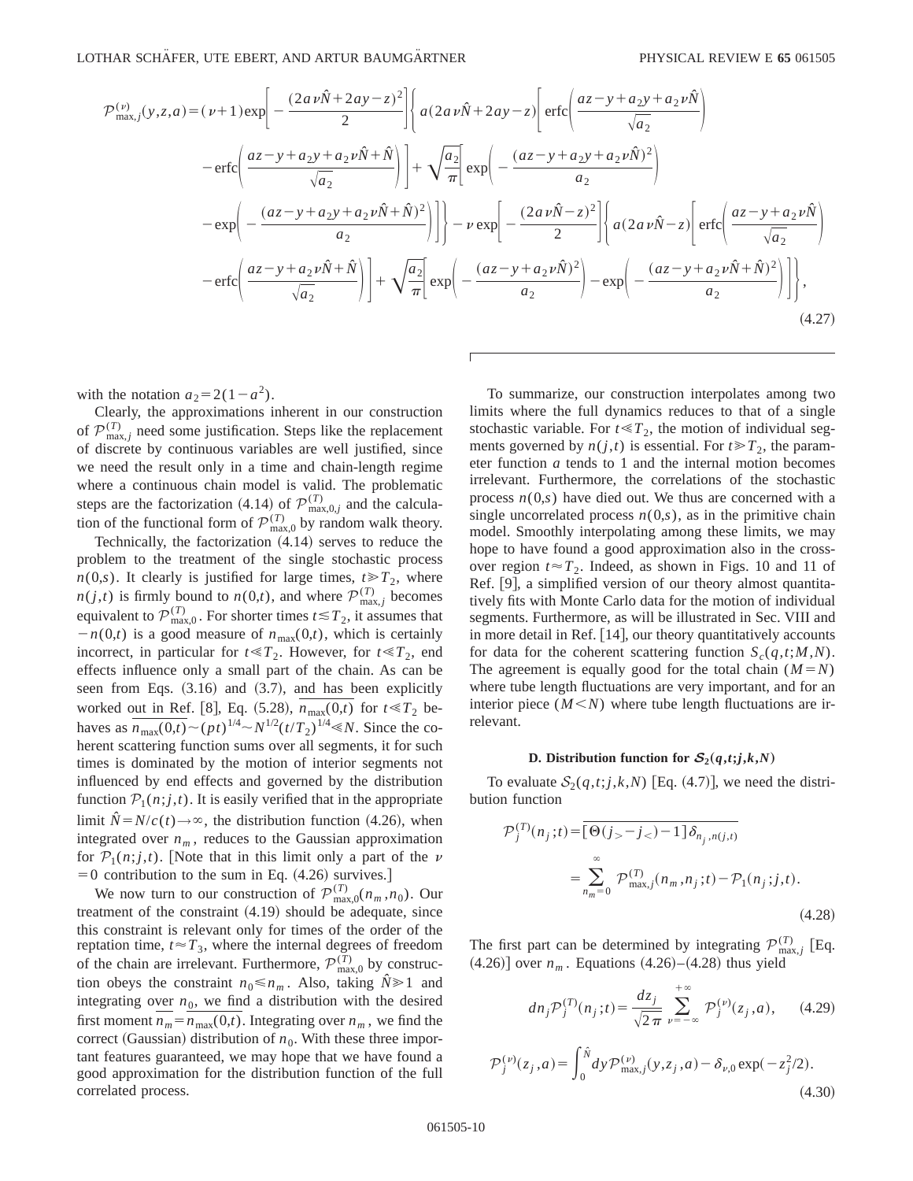$$
\mathcal{P}^{(\nu)}_{\max,j}(y,z,a) = (\nu+1) \exp\left[-\frac{(2a\nu\hat{N}+2ay-z)^2}{2}\right] \left\{ a(2a\nu\hat{N}+2ay-z) \left[ \text{erfc}\left(\frac{az-y+a_2y+a_2\nu\hat{N}}{\sqrt{a_2}}\right) \right. \right.
$$
  
\n
$$
-\text{erfc}\left(\frac{az-y+a_2y+a_2\nu\hat{N}+\hat{N}}{\sqrt{a_2}}\right) \left.\right] + \sqrt{\frac{a_2}{\pi}} \left[ \exp\left(-\frac{(az-y+a_2y+a_2\nu\hat{N})^2}{a_2}\right) \right.
$$
  
\n
$$
-\exp\left(-\frac{(az-y+a_2y+a_2\nu\hat{N}+\hat{N})^2}{a_2}\right) \left.\right] - \nu \exp\left[-\frac{(2a\nu\hat{N}-z)^2}{2}\right] \left\{ a(2a\nu\hat{N}-z) \left[ \text{erfc}\left(\frac{az-y+a_2\nu\hat{N}}{\sqrt{a_2}}\right) \right. \right.
$$
  
\n
$$
-\text{erfc}\left(\frac{az-y+a_2\nu\hat{N}+\hat{N}}{\sqrt{a_2}}\right) \left.\right] + \sqrt{\frac{a_2}{\pi}} \left[ \exp\left(-\frac{(az-y+a_2\nu\hat{N})^2}{a_2}\right) - \exp\left(-\frac{(az-y+a_2\nu\hat{N}+\hat{N})^2}{a_2}\right) \right] \right\},
$$
  
\n(4.27)

with the notation  $a_2=2(1-a^2)$ .

Clearly, the approximations inherent in our construction of  $\mathcal{P}_{\text{max},j}^{(T)}$  need some justification. Steps like the replacement of discrete by continuous variables are well justified, since we need the result only in a time and chain-length regime where a continuous chain model is valid. The problematic steps are the factorization (4.14) of  $\mathcal{P}_{\text{max},0,j}^{(T)}$  and the calculation of the functional form of  $\mathcal{P}_{\text{max},0}^{(T)}$  by random walk theory.

Technically, the factorization  $(4.14)$  serves to reduce the problem to the treatment of the single stochastic process  $n(0,s)$ . It clearly is justified for large times,  $t \ge T_2$ , where  $n(j,t)$  is firmly bound to  $n(0,t)$ , and where  $\mathcal{P}_{\max,j}^{(T)}$  becomes equivalent to  $\mathcal{P}_{\max,0}^{(T)}$ . For shorter times  $t \leq T_2$ , it assumes that  $-n(0,t)$  is a good measure of  $n_{\text{max}}(0,t)$ , which is certainly incorrect, in particular for  $t \ll T_2$ . However, for  $t \ll T_2$ , end effects influence only a small part of the chain. As can be seen from Eqs.  $(3.16)$  and  $(3.7)$ , and has been explicitly worked out in Ref. [8], Eq.  $(5.28)$ ,  $\overline{n_{\text{max}}(0,t)}$  for  $t \ll T_2$  behaves as  $\overline{n_{\text{max}}(0,t)} \sim (pt)^{1/4} \sim N^{1/2} (t/T_2)^{1/4} \ll N$ . Since the coherent scattering function sums over all segments, it for such times is dominated by the motion of interior segments not influenced by end effects and governed by the distribution function  $P_1(n;j,t)$ . It is easily verified that in the appropriate limit  $\hat{N} = N/c(t) \rightarrow \infty$ , the distribution function (4.26), when integrated over  $n_m$ , reduces to the Gaussian approximation for  $P_1(n;j,t)$ . Note that in this limit only a part of the v  $=0$  contribution to the sum in Eq. (4.26) survives.]

We now turn to our construction of  $\mathcal{P}_{\max,0}^{(T)}(n_m,n_0)$ . Our treatment of the constraint  $(4.19)$  should be adequate, since this constraint is relevant only for times of the order of the reptation time,  $t \approx T_3$ , where the internal degrees of freedom of the chain are irrelevant. Furthermore,  $\mathcal{P}_{\text{max},0}^{(T)}$  by construction obeys the constraint  $n_0 \le n_m$ . Also, taking  $\hat{N} \ge 1$  and integrating over  $n_0$ , we find a distribution with the desired first moment  $n_m = n_{\text{max}}(0,t)$ . Integrating over  $n_m$ , we find the correct (Gaussian) distribution of  $n_0$ . With these three important features guaranteed, we may hope that we have found a good approximation for the distribution function of the full correlated process.

To summarize, our construction interpolates among two limits where the full dynamics reduces to that of a single stochastic variable. For  $t \ll T_2$ , the motion of individual segments governed by  $n(j,t)$  is essential. For  $t \ge T_2$ , the parameter function *a* tends to 1 and the internal motion becomes irrelevant. Furthermore, the correlations of the stochastic process  $n(0,s)$  have died out. We thus are concerned with a single uncorrelated process  $n(0,s)$ , as in the primitive chain model. Smoothly interpolating among these limits, we may hope to have found a good approximation also in the crossover region  $t \approx T_2$ . Indeed, as shown in Figs. 10 and 11 of Ref.  $[9]$ , a simplified version of our theory almost quantitatively fits with Monte Carlo data for the motion of individual segments. Furthermore, as will be illustrated in Sec. VIII and in more detail in Ref.  $[14]$ , our theory quantitatively accounts for data for the coherent scattering function  $S_c(q,t;M,N)$ . The agreement is equally good for the total chain  $(M = N)$ where tube length fluctuations are very important, and for an interior piece  $(M \le N)$  where tube length fluctuations are irrelevant.

#### **D.** Distribution function for  $S_2(q,t; j, k, N)$

To evaluate  $S_2(q,t; j,k,N)$  [Eq. (4.7)], we need the distribution function

$$
\mathcal{P}_{j}^{(T)}(n_{j};t) = \overline{[\Theta(j_{>}-j_{<})-1]\delta_{n_{j},n(j,t)}}\n= \sum_{n_{m}=0}^{\infty} \mathcal{P}_{\max,j}^{(T)}(n_{m},n_{j};t) - \mathcal{P}_{1}(n_{j};j,t).
$$
\n(4.28)

The first part can be determined by integrating  $\mathcal{P}_{\text{max},j}^{(T)}$  [Eq.  $(4.26)$  over  $n_m$ . Equations  $(4.26)$ – $(4.28)$  thus yield

$$
dn_j \mathcal{P}_j^{(T)}(n_j; t) = \frac{dz_j}{\sqrt{2\pi}} \sum_{\nu = -\infty}^{+\infty} \mathcal{P}_j^{(\nu)}(z_j, a), \qquad (4.29)
$$

$$
\mathcal{P}_j^{(\nu)}(z_j, a) = \int_0^{\hat{N}} dy \mathcal{P}_{\text{max}, j}^{(\nu)}(y, z_j, a) - \delta_{\nu, 0} \exp(-z_j^2/2). \tag{4.30}
$$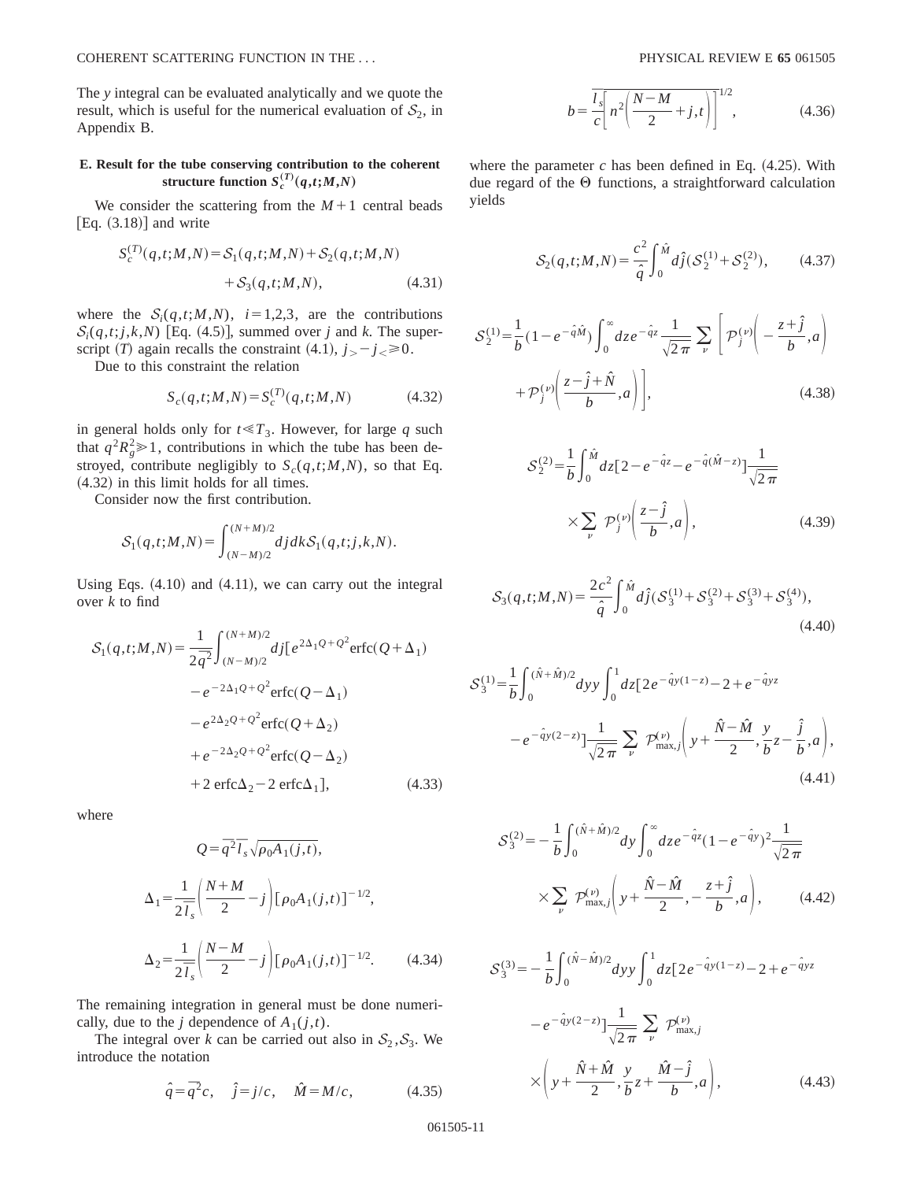The *y* integral can be evaluated analytically and we quote the result, which is useful for the numerical evaluation of  $S_2$ , in Appendix B.

## **E. Result for the tube conserving contribution to the coherent**  $s^{(T)}_{c}(q,t;M,N)$

We consider the scattering from the  $M+1$  central beads [Eq.  $(3.18)$ ] and write

$$
S_c^{(T)}(q,t;M,N) = S_1(q,t;M,N) + S_2(q,t;M,N) + S_3(q,t;M,N),
$$
 (4.31)

where the  $S_i(q,t;M,N)$ ,  $i=1,2,3$ , are the contributions  $S_i(q,t; j, k, N)$  [Eq. (4.5)], summed over *j* and *k*. The superscript (*T*) again recalls the constraint (4.1),  $j_{>} - j_{\le} \ge 0$ .

Due to this constraint the relation

$$
S_c(q, t; M, N) = S_c^{(T)}(q, t; M, N)
$$
\n(4.32)

in general holds only for  $t \ll T_3$ . However, for large *q* such that  $q^2 R_g^2 \ge 1$ , contributions in which the tube has been destroyed, contribute negligibly to  $S_c(q,t;M,N)$ , so that Eq.  $(4.32)$  in this limit holds for all times.

Consider now the first contribution.

$$
\mathcal{S}_1(q,t;M,N) = \int_{(N-M)/2}^{(N+M)/2} dj dk \mathcal{S}_1(q,t;j,k,N).
$$

Using Eqs.  $(4.10)$  and  $(4.11)$ , we can carry out the integral over *k* to find

$$
S_1(q,t;M,N) = \frac{1}{2\bar{q}^2} \int_{(N-M)/2}^{(N+M)/2} df[e^{2\Delta_1 Q + Q^2} \text{erfc}(Q + \Delta_1) - e^{-2\Delta_1 Q + Q^2} \text{erfc}(Q - \Delta_1) - e^{2\Delta_2 Q + Q^2} \text{erfc}(Q + \Delta_2) + e^{-2\Delta_2 Q + Q^2} \text{erfc}(Q - \Delta_2) + 2 \text{erfc}\Delta_2 - 2 \text{erfc}\Delta_1], \qquad (4.33)
$$

where

$$
Q = \overline{q}^{2} \overline{I}_{s} \sqrt{\rho_{0} A_{1}(j,t)},
$$
  
\n
$$
\Delta_{1} = \frac{1}{2 \overline{I}_{s}} \left( \frac{N+M}{2} - j \right) [\rho_{0} A_{1}(j,t)]^{-1/2},
$$
  
\n
$$
\Delta_{2} = \frac{1}{2 \overline{I}_{s}} \left( \frac{N-M}{2} - j \right) [\rho_{0} A_{1}(j,t)]^{-1/2}.
$$
 (4.34)

The remaining integration in general must be done numerically, due to the *j* dependence of  $A_1(j,t)$ .

The integral over *k* can be carried out also in  $S_2$ ,  $S_3$ . We introduce the notation

$$
\hat{q} = \overline{q}^2 c, \quad \hat{j} = j/c, \quad \hat{M} = M/c,
$$
\n(4.35)

$$
b = \frac{\bar{l}_s}{c} \left[ n^2 \left( \frac{N - M}{2} + j, t \right) \right]^{1/2},
$$
 (4.36)

where the parameter  $c$  has been defined in Eq.  $(4.25)$ . With due regard of the  $\Theta$  functions, a straightforward calculation yields

$$
S_2(q,t;M,N) = \frac{c^2}{\hat{q}} \int_0^{\hat{M}} d\hat{j}(S_2^{(1)} + S_2^{(2)}), \quad (4.37)
$$

$$
S_2^{(1)} = \frac{1}{b} \left( 1 - e^{-\hat{q}\hat{M}} \right) \int_0^\infty dz \, e^{-\hat{q}z} \frac{1}{\sqrt{2\pi}} \sum_{\nu} \left[ \mathcal{P}_j^{(\nu)} \left( -\frac{z + \hat{j}}{b}, a \right) + \mathcal{P}_j^{(\nu)} \left( \frac{z - \hat{j} + \hat{N}}{b}, a \right) \right],\tag{4.38}
$$

$$
S_2^{(2)} = \frac{1}{b} \int_0^{\hat{M}} dz \left[ 2 - e^{-\hat{q}z} - e^{-\hat{q}(\hat{M} - z)} \right] \frac{1}{\sqrt{2\pi}}
$$
  
 
$$
\times \sum_{\nu} \mathcal{P}_j^{(\nu)} \left( \frac{z - \hat{j}}{b}, a \right), \tag{4.39}
$$

$$
S_3(q,t;M,N) = \frac{2c^2}{\hat{q}} \int_0^{\hat{M}} d\hat{j} (S_3^{(1)} + S_3^{(2)} + S_3^{(3)} + S_3^{(4)}),
$$
\n(4.40)

$$
S_3^{(1)} = \frac{1}{b} \int_0^{(\hat{N} + \hat{M})/2} dy y \int_0^1 dz \left[ 2e^{-\hat{q}y(1-z)} - 2 + e^{-\hat{q}yz} \right]
$$

$$
-e^{-\hat{q}y(2-z)} \left[ \frac{1}{\sqrt{2\pi}} \sum_{\nu} \mathcal{P}^{(\nu)}_{\text{max},j} \left( y + \frac{\hat{N} - \hat{M}}{2}, \frac{y}{b} z - \frac{\hat{j}}{b}, a \right), \tag{4.41}
$$

$$
S_3^{(2)} = -\frac{1}{b} \int_0^{(\hat{N} + \hat{M})/2} dy \int_0^{\infty} dz e^{-\hat{q}z} (1 - e^{-\hat{q}y})^2 \frac{1}{\sqrt{2\pi}} \times \sum_{\nu} \mathcal{P}_{\text{max},j}^{(\nu)} \left( y + \frac{\hat{N} - \hat{M}}{2}, -\frac{z + \hat{j}}{b}, a \right), \tag{4.42}
$$

$$
S_3^{(3)} = -\frac{1}{b} \int_0^{(\hat{N} - \hat{M})/2} dy y \int_0^1 dz \left[ 2e^{-\hat{q}y(1-z)} - 2 + e^{-\hat{q}yz} \right]
$$

$$
-e^{-\hat{q}y(2-z)} \left[ \frac{1}{\sqrt{2\pi}} \sum_{\nu} \mathcal{P}_{\text{max},j}^{(\nu)} \right]
$$

$$
\times \left( y + \frac{\hat{N} + \hat{M}}{2}, \frac{y}{b} z + \frac{\hat{M} - \hat{j}}{b}, a \right), \tag{4.43}
$$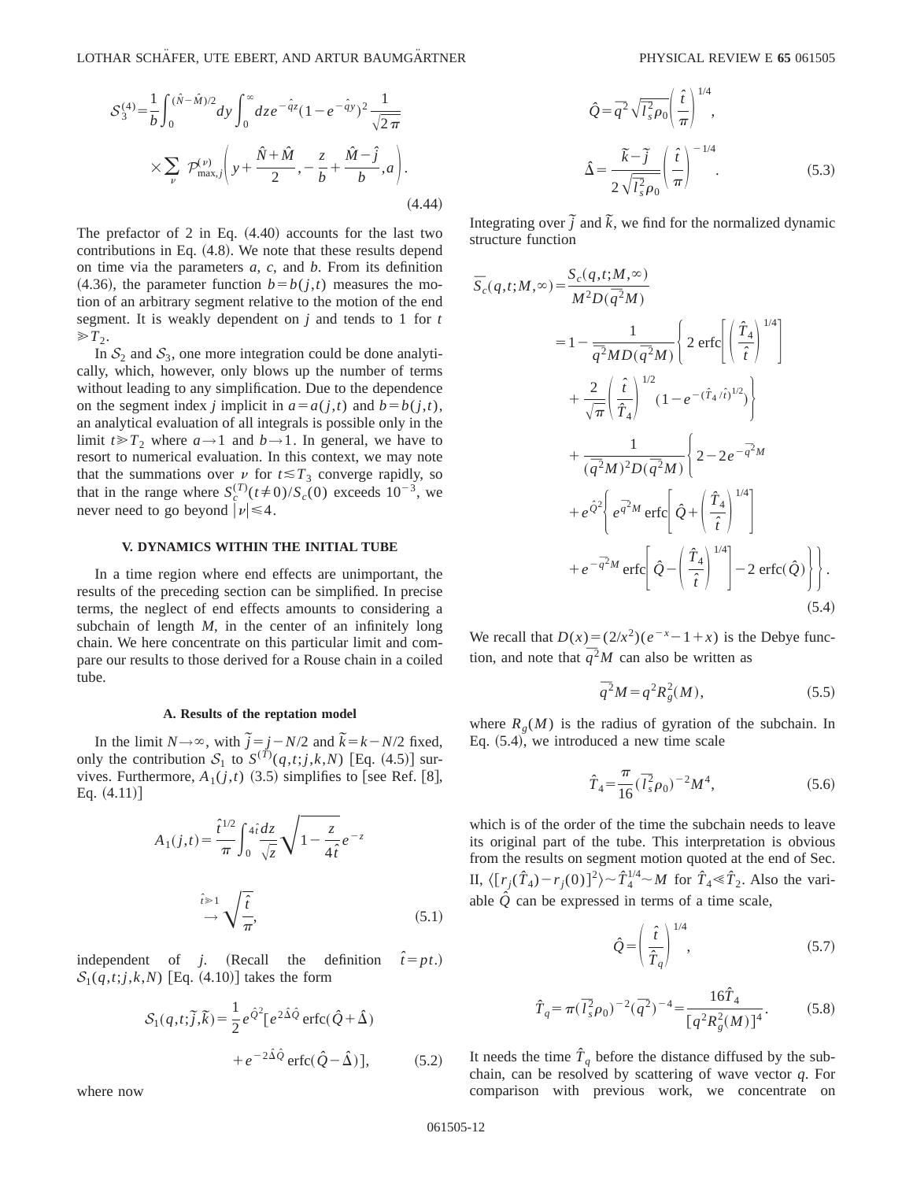$$
S_3^{(4)} = \frac{1}{b} \int_0^{(\hat{N} - \hat{M})/2} dy \int_0^{\infty} dz e^{-\hat{q}z} (1 - e^{-\hat{q}y})^2 \frac{1}{\sqrt{2\pi}} \times \sum_{\nu} \mathcal{P}_{\text{max},j}^{(\nu)} \left( y + \frac{\hat{N} + \hat{M}}{2}, -\frac{z}{b} + \frac{\hat{M} - \hat{j}}{b}, a \right). \tag{4.44}
$$

The prefactor of 2 in Eq.  $(4.40)$  accounts for the last two contributions in Eq.  $(4.8)$ . We note that these results depend on time via the parameters *a*, *c*, and *b*. From its definition  $(4.36)$ , the parameter function  $b = b(j,t)$  measures the motion of an arbitrary segment relative to the motion of the end segment. It is weakly dependent on *j* and tends to 1 for *t*  $\gg T_2$ .

In  $S_2$  and  $S_3$ , one more integration could be done analytically, which, however, only blows up the number of terms without leading to any simplification. Due to the dependence on the segment index *j* implicit in  $a=a(j,t)$  and  $b=b(j,t)$ , an analytical evaluation of all integrals is possible only in the limit  $t \ge T_2$  where  $a \rightarrow 1$  and  $b \rightarrow 1$ . In general, we have to resort to numerical evaluation. In this context, we may note that the summations over  $\nu$  for  $t \leq T_3$  converge rapidly, so that in the range where  $S_c^{(T)}(t \neq 0)/S_c(0)$  exceeds  $10^{-3}$ , we never need to go beyond  $|\nu| \leq 4$ .

## **V. DYNAMICS WITHIN THE INITIAL TUBE**

In a time region where end effects are unimportant, the results of the preceding section can be simplified. In precise terms, the neglect of end effects amounts to considering a subchain of length *M*, in the center of an infinitely long chain. We here concentrate on this particular limit and compare our results to those derived for a Rouse chain in a coiled tube.

### **A. Results of the reptation model**

In the limit  $N \rightarrow \infty$ , with  $\tilde{j} = j - N/2$  and  $\tilde{k} = k - N/2$  fixed, only the contribution  $S_1$  to  $S^{(T)}(q,t;j,k,N)$  [Eq. (4.5)] survives. Furthermore,  $A_1(j,t)$  (3.5) simplifies to [see Ref. [8], Eq.  $(4.11)$ ]

$$
A_1(j,t) = \frac{\hat{t}^{1/2}}{\pi} \int_0^{4\hat{i}} \frac{dz}{\sqrt{z}} \sqrt{1 - \frac{z}{4\hat{i}}} e^{-z}
$$

$$
\stackrel{\hat{i} \ge 1}{\rightarrow} \sqrt{\frac{\hat{i}}{\pi}},
$$
(5.1)

independent of *j*. (Recall the definition  $\hat{t} = pt$ .)  $S_1(q,t; j,k,N)$  [Eq. (4.10)] takes the form

$$
S_1(q, t; \tilde{j}, \tilde{k}) = \frac{1}{2} e^{\hat{Q}^2} [e^{2\hat{\Delta}\hat{Q}} \operatorname{erfc}(\hat{Q} + \hat{\Delta})
$$

$$
+ e^{-2\hat{\Delta}\hat{Q}} \operatorname{erfc}(\hat{Q} - \hat{\Delta})], \qquad (5.2)
$$

$$
\hat{Q} = \overline{q}^2 \sqrt{\overline{l}_s^2 \rho_0} \left(\frac{\hat{t}}{\pi}\right)^{1/4},
$$

$$
\Delta = \frac{\overline{k} - \overline{j}}{2\sqrt{\overline{l}_s^2 \rho_0}} \left(\frac{\hat{t}}{\pi}\right)^{-1/4}.
$$
(5.3)

Integrating over  $\tilde{j}$  and  $\tilde{k}$ , we find for the normalized dynamic structure function

$$
\overline{S}_{c}(q,t;M,\infty) = \frac{S_{c}(q,t;M,\infty)}{M^{2}D(\overline{q}^{2}M)}
$$
\n
$$
= 1 - \frac{1}{\overline{q}^{2}MD(\overline{q}^{2}M)} \left\{ 2 \operatorname{erfc} \left[ \left( \frac{\hat{T}_{4}}{\hat{t}} \right)^{1/4} \right] + \frac{2}{\sqrt{\pi}} \left( \frac{\hat{t}}{\hat{T}_{4}} \right)^{1/2} (1 - e^{-(\hat{T}_{4}/\hat{t})^{1/2}}) \right\} + \frac{1}{(\overline{q}^{2}M)^{2}D(\overline{q}^{2}M)} \left\{ 2 - 2e^{-\overline{q}^{2}M} + e^{\hat{Q}^{2}} \left[ e^{\overline{q}^{2}M} \operatorname{erfc} \left[ \hat{Q} + \left( \frac{\hat{T}_{4}}{\hat{t}} \right)^{1/4} \right] \right] + e^{-\overline{q}^{2}M} \operatorname{erfc} \left[ \hat{Q} - \left( \frac{\hat{T}_{4}}{\hat{t}} \right)^{1/4} \right] - 2 \operatorname{erfc}(\hat{Q}) \right\} \right\}.
$$
\n(5.4)

We recall that  $D(x) = (2/x^2)(e^{-x} - 1 + x)$  is the Debye function, and note that  $\overline{q}^2 M$  can also be written as

$$
\bar{q}^2 M = q^2 R_g^2(M),\tag{5.5}
$$

where  $R_{\varrho}(M)$  is the radius of gyration of the subchain. In Eq.  $(5.4)$ , we introduced a new time scale

$$
\hat{T}_4 = \frac{\pi}{16} (\bar{I}_s^2 \rho_0)^{-2} M^4,\tag{5.6}
$$

which is of the order of the time the subchain needs to leave its original part of the tube. This interpretation is obvious from the results on segment motion quoted at the end of Sec. II,  $\langle [r_j(\hat{T}_4) - r_j(0)]^2 \rangle \sim \hat{T}_4^{1/4} \sim M$  for  $\hat{T}_4 \ll \hat{T}_2$ . Also the variable  $\hat{Q}$  can be expressed in terms of a time scale,

$$
\hat{Q} = \left(\frac{\hat{t}}{\hat{T}_q}\right)^{1/4},\tag{5.7}
$$

$$
\hat{T}_q = \pi (\bar{I}_s^2 \rho_0)^{-2} (\bar{q}^2)^{-4} = \frac{16 \hat{T}_4}{[q^2 R_g^2(M)]^4}.
$$
 (5.8)

It needs the time  $\hat{T}_q$  before the distance diffused by the subchain, can be resolved by scattering of wave vector *q*. For comparison with previous work, we concentrate on

where now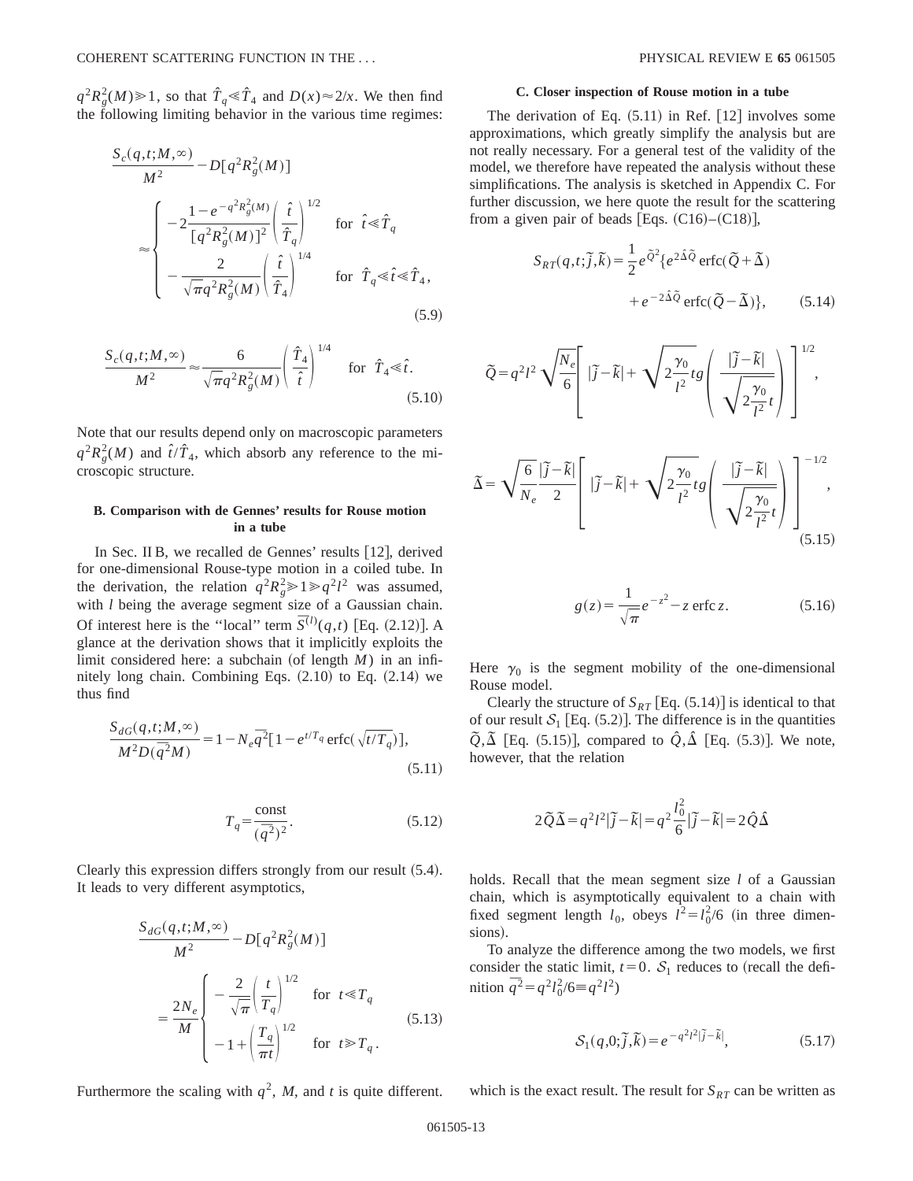$q^2 R_g^2(M) \ge 1$ , so that  $\hat{T}_q \le \hat{T}_4$  and  $D(x) \approx 2/x$ . We then find the following limiting behavior in the various time regimes:

$$
\frac{S_c(q, t; M, \infty)}{M^2} - D[q^2 R_g^2(M)]
$$
\n
$$
\approx \begin{cases}\n-2\frac{1 - e^{-q^2 R_g^2(M)}}{[q^2 R_g^2(M)]^2} \left(\frac{\hat{t}}{\hat{T}_q}\right)^{1/2} & \text{for } \hat{t} \le \hat{T}_q \\
-\frac{2}{\sqrt{\pi}q^2 R_g^2(M)} \left(\frac{\hat{t}}{\hat{T}_q}\right)^{1/4} & \text{for } \hat{T}_q \le \hat{t} \le \hat{T}_4,\n\end{cases}
$$
\n(5.9)

$$
\frac{S_c(q,t;M,\infty)}{M^2} \approx \frac{6}{\sqrt{\pi}q^2R_g^2(M)} \left(\frac{\hat{T}_4}{\hat{t}}\right)^{1/4} \quad \text{for} \quad \hat{T}_4 \ll \hat{t}.\tag{5.10}
$$

Note that our results depend only on macroscopic parameters  $q^2 R_g^2(M)$  and  $\hat{t}/\hat{T}_4$ , which absorb any reference to the microscopic structure.

## **B. Comparison with de Gennes' results for Rouse motion in a tube**

In Sec. II B, we recalled de Gennes' results  $[12]$ , derived for one-dimensional Rouse-type motion in a coiled tube. In the derivation, the relation  $q^2 R_g^2 \ge 1 \ge q^2 l^2$  was assumed, with *l* being the average segment size of a Gaussian chain. Of interest here is the "local" term  $\bar{S}^{(l)}(q,t)$  [Eq. (2.12)]. A glance at the derivation shows that it implicitly exploits the limit considered here: a subchain (of length  $M$ ) in an infinitely long chain. Combining Eqs.  $(2.10)$  to Eq.  $(2.14)$  we thus find

$$
\frac{S_{dG}(q, t; M, \infty)}{M^2 D(\bar{q}^2 M)} = 1 - N_e \bar{q}^2 [1 - e^{t/T_q} \operatorname{erfc}(\sqrt{t/T_q})],
$$
\n(5.11)

$$
T_q = \frac{\text{const}}{(\bar{q}^2)^2}.
$$
 (5.12)

Clearly this expression differs strongly from our result  $(5.4)$ . It leads to very different asymptotics,

$$
\frac{S_{dG}(q,t;M,\infty)}{M^2} - D[q^2 R_g^2(M)]
$$
\n
$$
= \frac{2N_e}{M} \begin{cases} -\frac{2}{\sqrt{\pi}} \left(\frac{t}{T_q}\right)^{1/2} & \text{for } t \ll T_q\\ -1 + \left(\frac{T_q}{\pi t}\right)^{1/2} & \text{for } t \gg T_q. \end{cases}
$$
\n(5.13)

The derivation of Eq.  $(5.11)$  in Ref.  $[12]$  involves some approximations, which greatly simplify the analysis but are not really necessary. For a general test of the validity of the model, we therefore have repeated the analysis without these simplifications. The analysis is sketched in Appendix C. For further discussion, we here quote the result for the scattering from a given pair of beads [Eqs.  $(C16)$ – $(C18)$ ],

$$
S_{RT}(q,t;\tilde{j},\tilde{k}) = \frac{1}{2}e^{\tilde{Q}^2}\{e^{2\tilde{\Delta}\tilde{Q}}\operatorname{erfc}(\tilde{Q}+\tilde{\Delta})
$$

$$
+e^{-2\tilde{\Delta}\tilde{Q}}\operatorname{erfc}(\tilde{Q}-\tilde{\Delta})\},\qquad(5.14)
$$

$$
\widetilde{Q} = q^2 l^2 \sqrt{\frac{N_e}{6}} \left[ |\widetilde{j} - \widetilde{k}| + \sqrt{2 \frac{\gamma_0}{l^2} t} g \left( \frac{|\widetilde{j} - \widetilde{k}|}{\sqrt{2 \frac{\gamma_0}{l^2} t}} \right) \right]^{1/2},
$$

$$
\tilde{\Delta} = \sqrt{\frac{6}{N_e} \frac{|\tilde{j} - \tilde{k}|}{2}} \left[ |\tilde{j} - \tilde{k}| + \sqrt{2 \frac{\gamma_0}{l^2} t} g \left( \frac{|\tilde{j} - \tilde{k}|}{\sqrt{2 \frac{\gamma_0}{l^2} t}} \right) \right]^{-1/2},
$$
\n(5.15)

$$
g(z) = \frac{1}{\sqrt{\pi}} e^{-z^2} - z \operatorname{erfc} z. \tag{5.16}
$$

Here  $\gamma_0$  is the segment mobility of the one-dimensional Rouse model.

Clearly the structure of  $S_{RT}$  [Eq.  $(5.14)$ ] is identical to that of our result  $S_1$  [Eq. (5.2)]. The difference is in the quantities  $\tilde{Q}$ , $\tilde{\Delta}$  [Eq. (5.15)], compared to  $\hat{Q}$ , $\hat{\Delta}$  [Eq. (5.3)]. We note, however, that the relation

$$
2\tilde{Q}\tilde{\Delta} = q^2 l^2 |\tilde{j} - \tilde{k}| = q^2 \frac{l_0^2}{6} |\tilde{j} - \tilde{k}| = 2\tilde{Q}\tilde{\Delta}
$$

holds. Recall that the mean segment size *l* of a Gaussian chain, which is asymptotically equivalent to a chain with fixed segment length  $l_0$ , obeys  $l^2 = l_0^2/6$  (in three dimensions).

To analyze the difference among the two models, we first consider the static limit,  $t=0$ .  $S_1$  reduces to (recall the definition  $\bar{q}^2 = q^2 l_0^2 / 6 \equiv q^2 l^2$ 

$$
\mathcal{S}_1(q,0;\tilde{j},\tilde{k}) = e^{-q^2l^2|\tilde{j}-\tilde{k}|},\tag{5.17}
$$

Furthermore the scaling with  $q^2$ , *M*, and *t* is quite different.

which is the exact result. The result for  $S_{RT}$  can be written as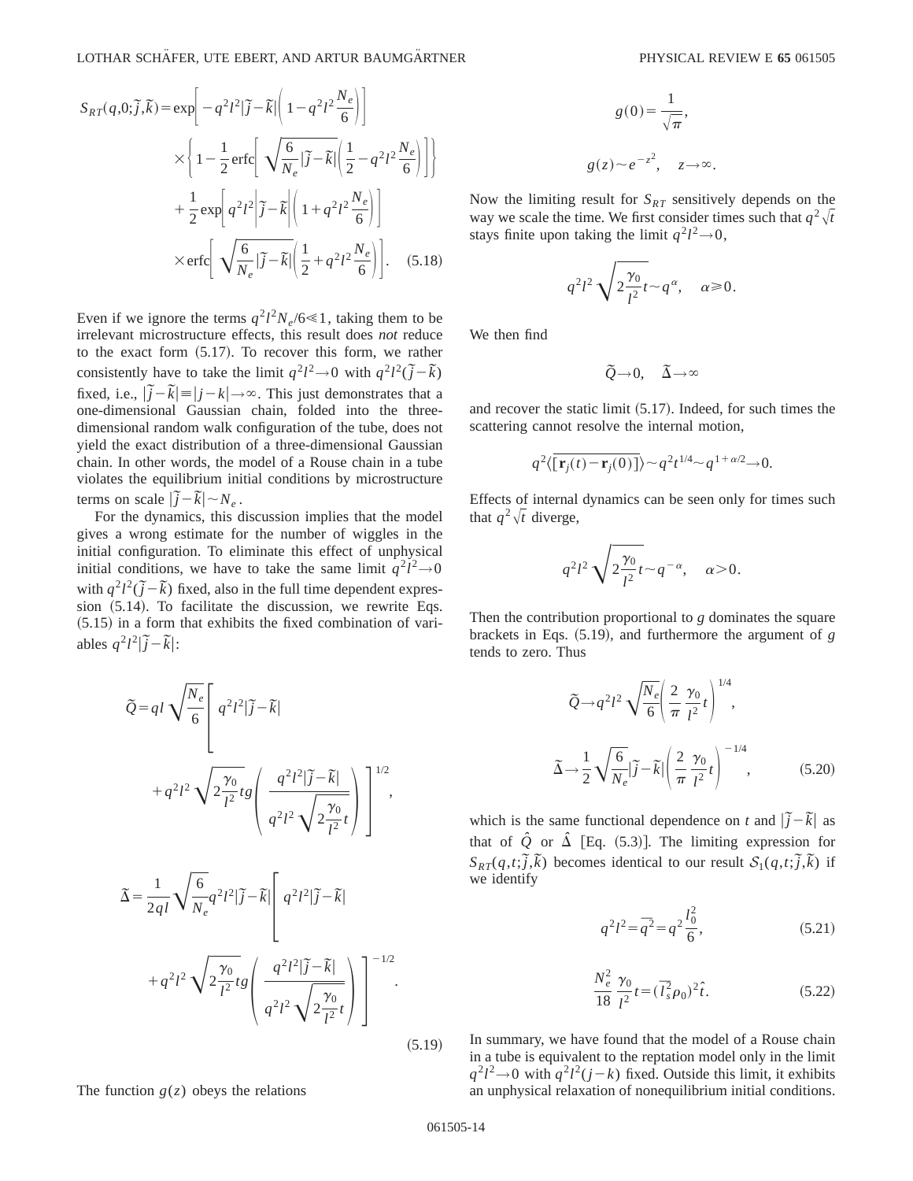$$
S_{RT}(q,0;\tilde{j},\tilde{k}) = \exp\left[-q^2l^2|\tilde{j}-\tilde{k}|\left(1-q^2l^2\frac{N_e}{6}\right)\right]
$$

$$
\times \left\{1-\frac{1}{2}\operatorname{erfc}\left[\sqrt{\frac{6}{N_e}|\tilde{j}-\tilde{k}|}\left(\frac{1}{2}-q^2l^2\frac{N_e}{6}\right)\right]\right\}
$$

$$
+\frac{1}{2}\exp\left[q^2l^2\left|\tilde{j}-\tilde{k}\right|\left(1+q^2l^2\frac{N_e}{6}\right)\right]
$$

$$
\times \operatorname{erfc}\left[\sqrt{\frac{6}{N_e}|\tilde{j}-\tilde{k}|}\left(\frac{1}{2}+q^2l^2\frac{N_e}{6}\right)\right].
$$
 (5.18)

Even if we ignore the terms  $q^2 l^2 N_e / 6 \ll 1$ , taking them to be irrelevant microstructure effects, this result does *not* reduce to the exact form  $(5.17)$ . To recover this form, we rather consistently have to take the limit  $q^2 l^2 \rightarrow 0$  with  $q^2 l^2 (\tilde{j} - \tilde{k})$ fixed, i.e.,  $|\tilde{j} - \tilde{k}| = |j - k| \rightarrow \infty$ . This just demonstrates that a one-dimensional Gaussian chain, folded into the threedimensional random walk configuration of the tube, does not yield the exact distribution of a three-dimensional Gaussian chain. In other words, the model of a Rouse chain in a tube violates the equilibrium initial conditions by microstructure terms on scale  $|\tilde{j} - \tilde{k}| \sim N_e$ .

For the dynamics, this discussion implies that the model gives a wrong estimate for the number of wiggles in the initial configuration. To eliminate this effect of unphysical initial conditions, we have to take the same limit  $q^2 l^2 \rightarrow 0$ with  $q^2 l^2 (\tilde{j} - \tilde{k})$  fixed, also in the full time dependent expression  $(5.14)$ . To facilitate the discussion, we rewrite Eqs.  $(5.15)$  in a form that exhibits the fixed combination of variables  $q^2 l^2 |\tilde{j} - \tilde{k}|$ :

$$
\widetilde{Q} = q l \sqrt{\frac{N_e}{6}} \left[ q^2 l^2 |\widetilde{j} - \widetilde{k}| \right.+ q^2 l^2 \sqrt{2 \frac{\gamma_0}{l^2} t g} \left( \frac{q^2 l^2 |\widetilde{j} - \widetilde{k}|}{q^2 l^2 \sqrt{2 \frac{\gamma_0}{l^2} t}} \right) \right]^{1/2},
$$

$$
\tilde{\Delta} = \frac{1}{2ql} \sqrt{\frac{6}{N_e}} q^2 l^2 |\tilde{j} - \tilde{k}| \left[ q^2 l^2 |\tilde{j} - \tilde{k}| \right]
$$

$$
+ q^2 l^2 \sqrt{2 \frac{\gamma_0}{l^2}} t g \left( \frac{q^2 l^2 |\tilde{j} - \tilde{k}|}{q^2 l^2 \sqrt{2 \frac{\gamma_0}{l^2}} t} \right) \right]^{-1/2}.
$$

The function  $g(z)$  obeys the relations

$$
g(0) = \frac{1}{\sqrt{\pi}},
$$
  
 
$$
g(z) \sim e^{-z^2}, \quad z \to \infty.
$$

Now the limiting result for  $S_{RT}$  sensitively depends on the way we scale the time. We first consider times such that  $q^2\sqrt{t}$ stays finite upon taking the limit  $q^2 l^2 \rightarrow 0$ ,

$$
q^2 l^2 \sqrt{2 \frac{\gamma_0}{l^2}} t \sim q^{\alpha}, \quad \alpha \ge 0.
$$

We then find

$$
\tilde{Q}\!\rightarrow\!0,\quad \tilde{\Delta}\!\rightarrow\!\infty
$$

and recover the static limit  $(5.17)$ . Indeed, for such times the scattering cannot resolve the internal motion,

$$
q^2\langle \overline{[\mathbf{r}_j(t)-\mathbf{r}_j(0)]}\rangle \sim q^2 t^{1/4} \sim q^{1+\alpha/2} \rightarrow 0.
$$

Effects of internal dynamics can be seen only for times such that  $q^2\sqrt{t}$  diverge,

$$
q^2l^2\sqrt{2\frac{\gamma_0}{l^2}}\,t\sim q^{-\alpha},\quad \alpha>0.
$$

Then the contribution proportional to *g* dominates the square brackets in Eqs.  $(5.19)$ , and furthermore the argument of *g* tends to zero. Thus

$$
\widetilde{Q} \rightarrow q^2 l^2 \sqrt{\frac{N_e}{6}} \left( \frac{2}{\pi} \frac{\gamma_0}{l^2} t \right)^{1/4},
$$

$$
\widetilde{\Delta} \rightarrow \frac{1}{2} \sqrt{\frac{6}{N_e}} |\widetilde{j} - \widetilde{k}| \left( \frac{2}{\pi} \frac{\gamma_0}{l^2} t \right)^{-1/4}, \qquad (5.20)
$$

which is the same functional dependence on *t* and  $|\tilde{j} - \tilde{k}|$  as that of  $\hat{Q}$  or  $\hat{\Delta}$  [Eq. (5.3)]. The limiting expression for  $S_{RT}(q,t;\tilde{j},\tilde{k})$  becomes identical to our result  $S_1(q,t;\tilde{j},\tilde{k})$  if we identify

$$
q^2 l^2 = \overline{q}^2 = q^2 \frac{l_0^2}{6},\tag{5.21}
$$

$$
\frac{N_e^2}{18} \frac{\gamma_0}{l^2} t = (\bar{I}_s^2 \rho_0)^2 \hat{t}.
$$
 (5.22)

In summary, we have found that the model of a Rouse chain in a tube is equivalent to the reptation model only in the limit  $q^2 l^2 \rightarrow 0$  with  $q^2 l^2 (j - k)$  fixed. Outside this limit, it exhibits an unphysical relaxation of nonequilibrium initial conditions.

 $(5.19)$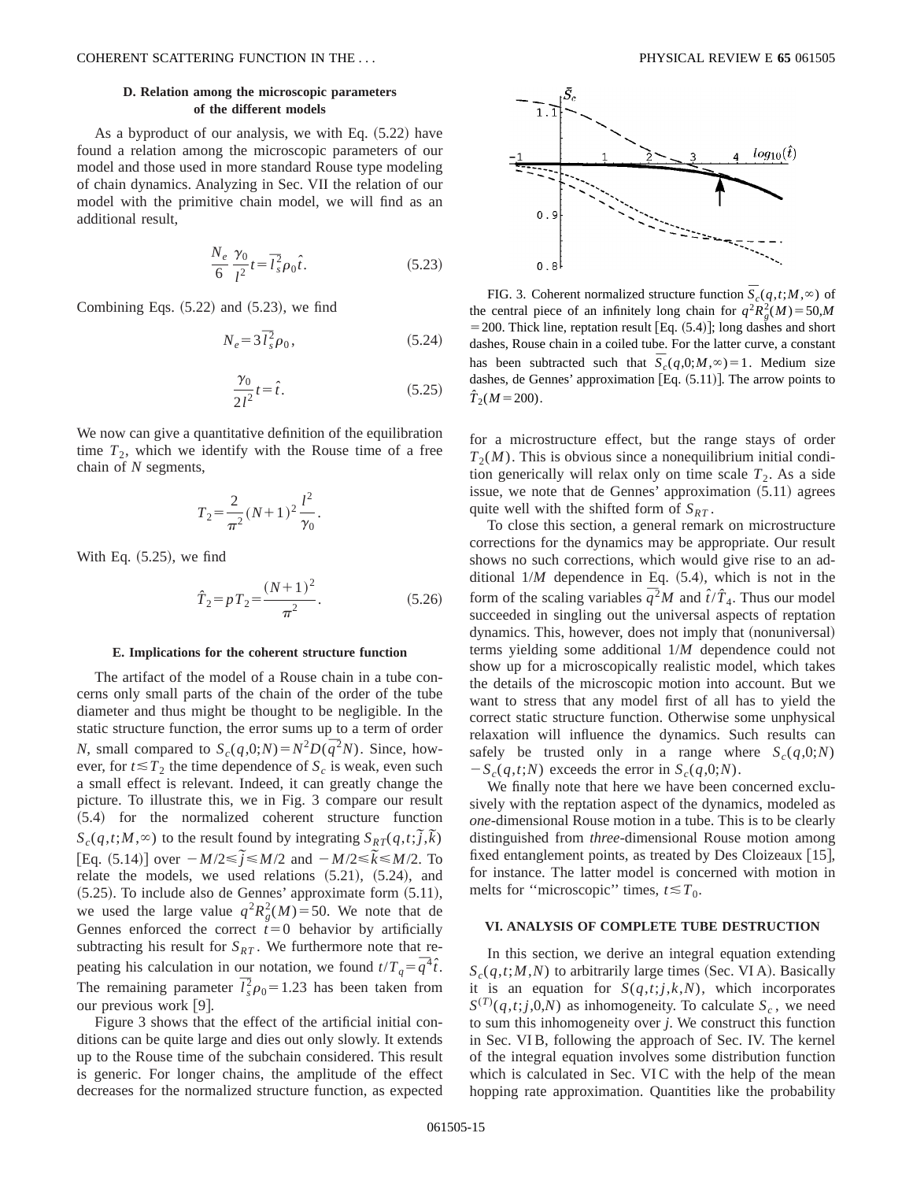## **D. Relation among the microscopic parameters of the different models**

As a byproduct of our analysis, we with Eq.  $(5.22)$  have found a relation among the microscopic parameters of our model and those used in more standard Rouse type modeling of chain dynamics. Analyzing in Sec. VII the relation of our model with the primitive chain model, we will find as an additional result,

$$
\frac{N_e}{6} \frac{\gamma_0}{l^2} t = \overline{t}_s^2 \rho_0 \hat{t}.\tag{5.23}
$$

Combining Eqs.  $(5.22)$  and  $(5.23)$ , we find

$$
N_e = 3\,\bar{I}_s^2 \rho_0,\tag{5.24}
$$

$$
\frac{\gamma_0}{2l^2}t = \hat{t}.\tag{5.25}
$$

We now can give a quantitative definition of the equilibration time  $T_2$ , which we identify with the Rouse time of a free chain of *N* segments,

$$
T_2 = \frac{2}{\pi^2} (N+1)^2 \frac{l^2}{\gamma_0}.
$$

With Eq.  $(5.25)$ , we find

$$
\hat{T}_2 = pT_2 = \frac{(N+1)^2}{\pi^2}.
$$
\n(5.26)

#### **E. Implications for the coherent structure function**

The artifact of the model of a Rouse chain in a tube concerns only small parts of the chain of the order of the tube diameter and thus might be thought to be negligible. In the static structure function, the error sums up to a term of order *N*, small compared to  $S_c(q,0;N) = N^2D(\overline{q}^2N)$ . Since, however, for  $t \leq T_2$ , the time dependence of  $S_c$  is weak, even such a small effect is relevant. Indeed, it can greatly change the picture. To illustrate this, we in Fig. 3 compare our result ~5.4! for the normalized coherent structure function  $S_c(q,t;M,\infty)$  to the result found by integrating  $S_{RT}(q,t;\tilde{j},\tilde{k})$  $[Eq. (5.14)]$  over  $-M/2 \le \tilde{j} \le M/2$  and  $-M/2 \le \tilde{k} \le M/2$ . To relate the models, we used relations  $(5.21)$ ,  $(5.24)$ , and  $(5.25)$ . To include also de Gennes' approximate form  $(5.11)$ , we used the large value  $q^2 R_g^2(M) = 50$ . We note that de Gennes enforced the correct  $t=0$  behavior by artificially subtracting his result for  $S_{RT}$ . We furthermore note that repeating his calculation in our notation, we found  $t/T_q = \overline{q}^4 \hat{t}$ . The remaining parameter  $\overline{l}_s^2 \rho_0 = 1.23$  has been taken from our previous work  $[9]$ .

Figure 3 shows that the effect of the artificial initial conditions can be quite large and dies out only slowly. It extends up to the Rouse time of the subchain considered. This result is generic. For longer chains, the amplitude of the effect decreases for the normalized structure function, as expected



FIG. 3. Coherent normalized structure function  $\overline{S}_c(q,t;M,\infty)$  of the central piece of an infinitely long chain for  $q^2 R_g^2(M) = 50$ ,*M*  $=$  200. Thick line, reptation result [Eq.  $(5.4)$ ]; long dashes and short dashes, Rouse chain in a coiled tube. For the latter curve, a constant has been subtracted such that  $\overline{S}_c(q,0;M,\infty)=1$ . Medium size dashes, de Gennes' approximation  $[Eq. (5.11)].$  The arrow points to  $\hat{T}_2(M=200)$ .

for a microstructure effect, but the range stays of order  $T<sub>2</sub>(M)$ . This is obvious since a nonequilibrium initial condition generically will relax only on time scale  $T_2$ . As a side issue, we note that de Gennes' approximation  $(5.11)$  agrees quite well with the shifted form of  $S_{RT}$ .

To close this section, a general remark on microstructure corrections for the dynamics may be appropriate. Our result shows no such corrections, which would give rise to an additional  $1/M$  dependence in Eq.  $(5.4)$ , which is not in the form of the scaling variables  $\overline{q}^2 M$  and  $\hat{t}/\hat{T}_4$ . Thus our model succeeded in singling out the universal aspects of reptation dynamics. This, however, does not imply that (nonuniversal) terms yielding some additional 1/*M* dependence could not show up for a microscopically realistic model, which takes the details of the microscopic motion into account. But we want to stress that any model first of all has to yield the correct static structure function. Otherwise some unphysical relaxation will influence the dynamics. Such results can safely be trusted only in a range where  $S_c(q,0;N)$  $-S_c(q,t;N)$  exceeds the error in  $S_c(q,0;N)$ .

We finally note that here we have been concerned exclusively with the reptation aspect of the dynamics, modeled as *one*-dimensional Rouse motion in a tube. This is to be clearly distinguished from *three*-dimensional Rouse motion among fixed entanglement points, as treated by Des Cloizeaux  $[15]$ , for instance. The latter model is concerned with motion in melts for "microscopic" times,  $t \leq T_0$ .

## **VI. ANALYSIS OF COMPLETE TUBE DESTRUCTION**

In this section, we derive an integral equation extending  $S_c(q,t;M,N)$  to arbitrarily large times (Sec. VIA). Basically it is an equation for  $S(q,t; j, k, N)$ , which incorporates  $S^{(T)}(q,t;j,0,N)$  as inhomogeneity. To calculate  $S_c$ , we need to sum this inhomogeneity over *j*. We construct this function in Sec. VI B, following the approach of Sec. IV. The kernel of the integral equation involves some distribution function which is calculated in Sec. VIC with the help of the mean hopping rate approximation. Quantities like the probability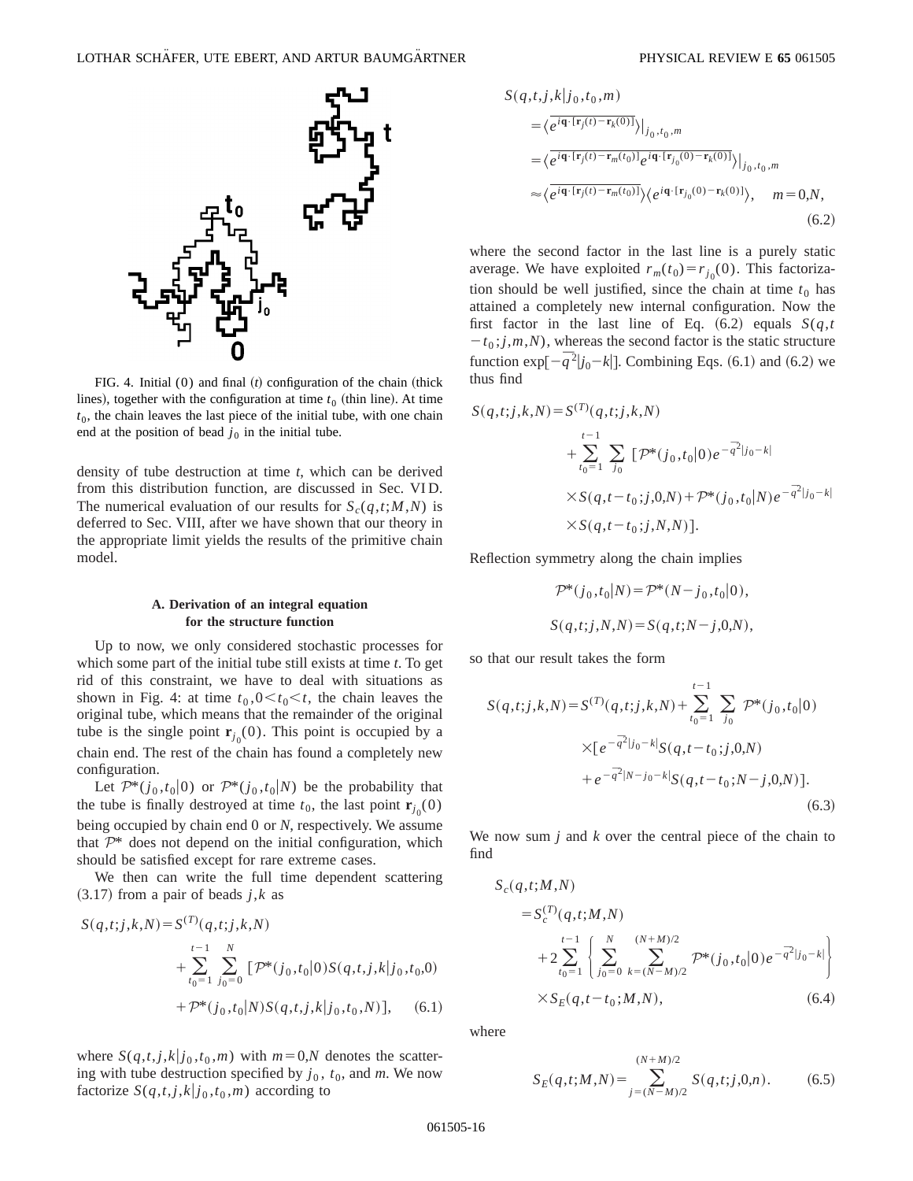

FIG. 4. Initial  $(0)$  and final  $(t)$  configuration of the chain (thick lines), together with the configuration at time  $t<sub>0</sub>$  (thin line). At time  $t<sub>0</sub>$ , the chain leaves the last piece of the initial tube, with one chain end at the position of bead  $j_0$  in the initial tube.

density of tube destruction at time *t*, which can be derived from this distribution function, are discussed in Sec. VI D. The numerical evaluation of our results for  $S_c(q,t;M,N)$  is deferred to Sec. VIII, after we have shown that our theory in the appropriate limit yields the results of the primitive chain model.

## **A. Derivation of an integral equation for the structure function**

Up to now, we only considered stochastic processes for which some part of the initial tube still exists at time *t*. To get rid of this constraint, we have to deal with situations as shown in Fig. 4: at time  $t_0$ ,  $0 \lt t_0 \lt t$ , the chain leaves the original tube, which means that the remainder of the original tube is the single point  $\mathbf{r}_{j_0}(0)$ . This point is occupied by a chain end. The rest of the chain has found a completely new configuration.

Let  $\mathcal{P}^*(j_0,t_0|0)$  or  $\mathcal{P}^*(j_0,t_0|N)$  be the probability that the tube is finally destroyed at time  $t_0$ , the last point  $\mathbf{r}_{j_0}(0)$ being occupied by chain end 0 or *N*, respectively. We assume that  $\mathcal{P}^*$  does not depend on the initial configuration, which should be satisfied except for rare extreme cases.

We then can write the full time dependent scattering  $(3.17)$  from a pair of beads *j*,*k* as

$$
S(q,t;j,k,N) = S^{(T)}(q,t;j,k,N)
$$
  
+ 
$$
\sum_{t_0=1}^{t-1} \sum_{j_0=0}^{N} [\mathcal{P}^*(j_0,t_0|0)S(q,t,j,k|j_0,t_0,0)
$$
  
+ 
$$
\mathcal{P}^*(j_0,t_0|N)S(q,t,j,k|j_0,t_0,N)], \quad (6.1)
$$

where  $S(q,t,j,k|j_0,t_0,m)$  with  $m=0,N$  denotes the scattering with tube destruction specified by  $j_0$ ,  $t_0$ , and  $m$ . We now factorize  $S(q,t,j,k|j_0,t_0,m)$  according to

$$
S(q,t,j,k|j_0,t_0,m)
$$
  
\n
$$
= \langle e^{i\mathbf{q}\cdot[\mathbf{r}_j(t)-\mathbf{r}_k(0)]}\rangle|_{j_0,t_0,m}
$$
  
\n
$$
= \langle e^{i\mathbf{q}\cdot[\mathbf{r}_j(t)-\mathbf{r}_m(t_0)]}e^{i\mathbf{q}\cdot[\mathbf{r}_{j_0}(0)-\mathbf{r}_k(0)]}\rangle|_{j_0,t_0,m}
$$
  
\n
$$
\approx \langle e^{i\mathbf{q}\cdot[\mathbf{r}_j(t)-\mathbf{r}_m(t_0)]}\rangle \langle e^{i\mathbf{q}\cdot[\mathbf{r}_{j_0}(0)-\mathbf{r}_k(0)]}\rangle, \quad m=0,N,
$$
  
\n(6.2)

where the second factor in the last line is a purely static average. We have exploited  $r_m(t_0) = r_{j_0}(0)$ . This factorization should be well justified, since the chain at time  $t_0$  has attained a completely new internal configuration. Now the first factor in the last line of Eq.  $(6.2)$  equals  $S(q,t)$  $-t_0$ ; *j*,*m*,*N*), whereas the second factor is the static structure function  $\exp[-\bar{q}^2|j_0 - k|]$ . Combining Eqs. (6.1) and (6.2) we thus find

$$
S(q,t;j,k,N) = S^{(T)}(q,t;j,k,N)
$$
  
+  $\sum_{t_0=1}^{t-1} \sum_{j_0} [\mathcal{P}^*(j_0,t_0|0)e^{-\overline{q}^2|j_0-k|}$   
 $\times S(q,t-t_0;j,0,N) + \mathcal{P}^*(j_0,t_0|N)e^{-\overline{q}^2|j_0-k|}$   
 $\times S(q,t-t_0;j,N,N)].$ 

Reflection symmetry along the chain implies

$$
\mathcal{P}^*(j_0, t_0|N) = \mathcal{P}^*(N - j_0, t_0|0),
$$
  

$$
S(q, t; j, N, N) = S(q, t; N - j, 0, N),
$$

so that our result takes the form

$$
S(q,t;j,k,N) = S^{(T)}(q,t;j,k,N) + \sum_{t_0=1}^{t-1} \sum_{j_0} \mathcal{P}^*(j_0,t_0|0)
$$
  
 
$$
\times [e^{-\bar{q}^2|j_0-k|} S(q,t-t_0;j,0,N)
$$
  
 
$$
+ e^{-\bar{q}^2|N-j_0-k|} S(q,t-t_0;N-j,0,N)].
$$
  
(6.3)

We now sum *j* and *k* over the central piece of the chain to find

$$
S_c(q, t; M, N)
$$
  
=  $S_c^{(T)}(q, t; M, N)$   
+  $2 \sum_{t_0=1}^{t-1} \left\{ \sum_{j_0=0}^{N} \sum_{k=(N-M)/2}^{(N+M)/2} \mathcal{P}^*(j_0, t_0 | 0) e^{-\overline{q}^2 |j_0 - k|} \right\}$   
×  $S_E(q, t - t_0; M, N)$ , (6.4)

where

$$
S_E(q, t; M, N) = \sum_{j=(N-M)/2}^{(N+M)/2} S(q, t; j, 0, n).
$$
 (6.5)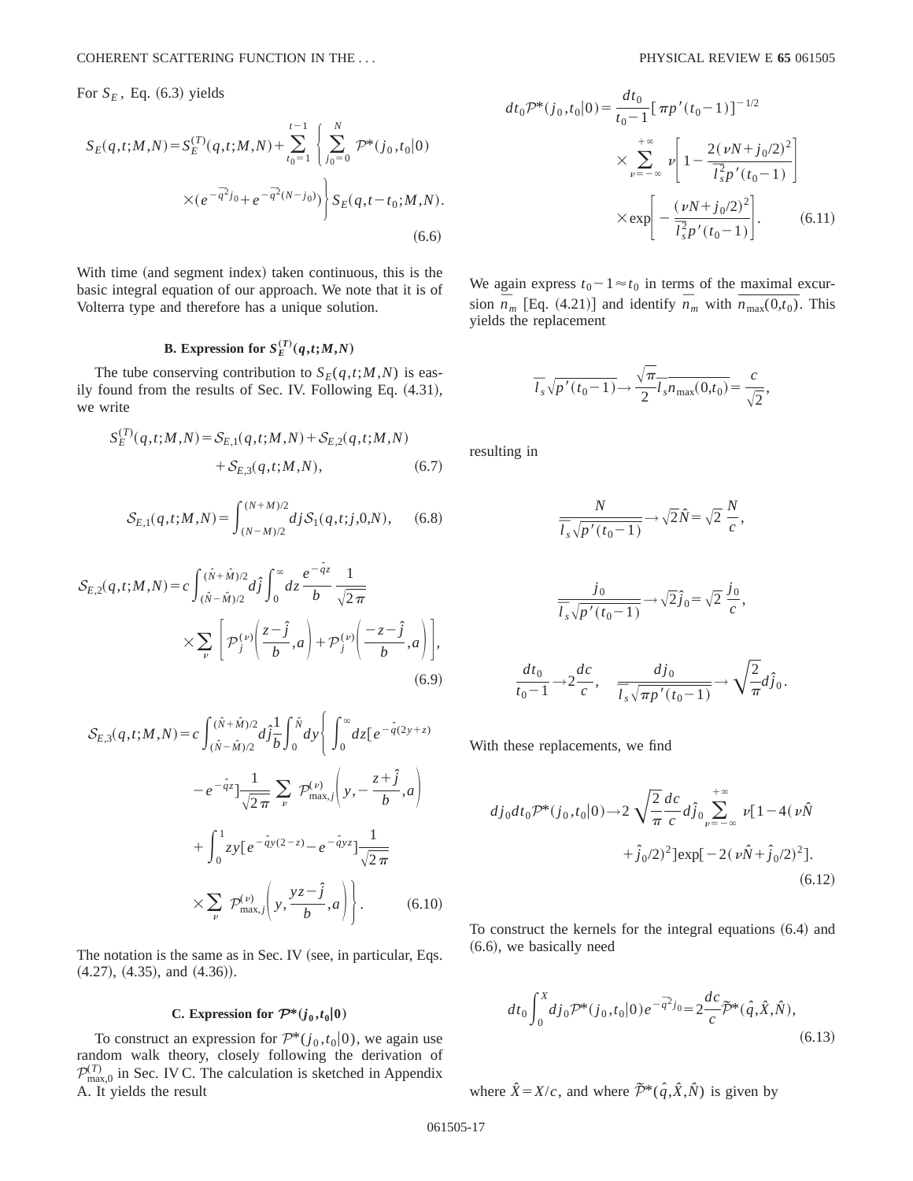For  $S_E$ , Eq. (6.3) yields

$$
S_{E}(q,t;M,N) = S_{E}^{(T)}(q,t;M,N) + \sum_{t_{0}=1}^{t-1} \left\{ \sum_{j_{0}=0}^{N} \mathcal{P}^{*}(j_{0},t_{0}|0) \times (e^{-\overline{q}^{2}}j_{0} + e^{-\overline{q}^{2}(N-j_{0})}) \right\} S_{E}(q,t-t_{0};M,N).
$$
\n(6.6)

With time (and segment index) taken continuous, this is the basic integral equation of our approach. We note that it is of Volterra type and therefore has a unique solution.

## **B.** Expression for  $S_E^{(T)}(q,t;M,N)$

The tube conserving contribution to  $S_F(q,t;M,N)$  is easily found from the results of Sec. IV. Following Eq.  $(4.31)$ , we write

$$
S_{E}^{(T)}(q,t;M,N) = S_{E,1}(q,t;M,N) + S_{E,2}(q,t;M,N) + S_{E,3}(q,t;M,N),
$$
\n(6.7)

$$
S_{E,1}(q,t;M,N) = \int_{(N-M)/2}^{(N+M)/2} dj S_1(q,t;j,0,N), \quad (6.8)
$$

$$
S_{E,2}(q,t;M,N) = c \int_{(\hat{N}-\hat{M})/2}^{(\hat{N}+\hat{M})/2} d\hat{j} \int_0^\infty dz \frac{e^{-\hat{q}z}}{b} \frac{1}{\sqrt{2\pi}} \times \sum_{\nu} \left[ \mathcal{P}_j^{(\nu)} \left( \frac{z-\hat{j}}{b}, a \right) + \mathcal{P}_j^{(\nu)} \left( \frac{-z-\hat{j}}{b}, a \right) \right], \tag{6.9}
$$

$$
S_{E,3}(q,t;M,N) = c \int_{(\hat{N}-\hat{M})/2}^{(\hat{N}+\hat{M})/2} d\hat{j}\frac{1}{b} \int_{0}^{\hat{N}} dy \left\{ \int_{0}^{\infty} dz \left[e^{-\hat{q}(2y+z)}\right.\right.\left.-e^{-\hat{q}z}\right] \frac{1}{\sqrt{2\pi}} \sum_{\nu} \mathcal{P}_{\text{max},j}^{(\nu)} \left(y, -\frac{z+\hat{j}}{b}, a\right) \left.+\int_{0}^{1} zy \left[e^{-\hat{q}y(2-z)} - e^{-\hat{q}yz}\right] \frac{1}{\sqrt{2\pi}} \right. \left.\times \sum_{\nu} \mathcal{P}_{\text{max},j}^{(\nu)} \left(y, \frac{yz-\hat{j}}{b}, a\right)\right\}.
$$
\n(6.10)

The notation is the same as in Sec. IV (see, in particular, Eqs.  $(4.27), (4.35),$  and  $(4.36)$ ).

## **C.** Expression for  $\mathcal{P}^*(i_0,t_0|0)$

To construct an expression for  $\mathcal{P}^*(j_0,t_0|0)$ , we again use random walk theory, closely following the derivation of  $\mathcal{P}_{\text{max},0}^{(T)}$  in Sec. IV C. The calculation is sketched in Appendix A. It yields the result

,

$$
dt_0 \mathcal{P}^*(j_0, t_0|0) = \frac{dt_0}{t_0 - 1} [\pi p'(t_0 - 1)]^{-1/2}
$$
  

$$
\times \sum_{\nu = -\infty}^{+\infty} \nu \left[ 1 - \frac{2(\nu N + j_0/2)^2}{\overline{l}_s^2 p'(t_0 - 1)} \right]
$$
  

$$
\times \exp \left[ -\frac{(\nu N + j_0/2)^2}{\overline{l}_s^2 p'(t_0 - 1)} \right].
$$
 (6.11)

We again express  $t_0-1 \approx t_0$  in terms of the maximal excursion  $\overline{n}_m$  [Eq. (4.21)] and identify  $\overline{n}_m$  with  $\overline{n_{\text{max}}(0,t_0)}$ . This yields the replacement

$$
\overline{l}_s \sqrt{p'(t_0 - 1)} \rightarrow \frac{\sqrt{\pi}}{2} \overline{l}_s \overline{n_{\text{max}}(0, t_0)} = \frac{c}{\sqrt{2}}
$$

resulting in

$$
\frac{N}{\overline{l}_s\sqrt{p'(t_0-1)}} \to \sqrt{2}\hat{N} = \sqrt{2}\frac{N}{c},
$$

$$
\frac{j_0}{\overline{l}_s\sqrt{p'(t_0-1)}} \to \sqrt{2}\hat{j}_0 = \sqrt{2}\frac{j_0}{c},
$$

$$
\frac{dt_0}{t_0-1} \to 2\frac{dc}{c}, \qquad \frac{dj_0}{\overline{l}_s\sqrt{\pi p'(t_0-1)}} \to \sqrt{\frac{2}{\pi}}d\hat{j}_0.
$$

With these replacements, we find

$$
dj_0dt_0 \mathcal{P}^*(j_0, t_0|0) \to 2 \sqrt{\frac{2}{\pi}} \frac{dc}{c} d\hat{j}_0 \sum_{\nu=-\infty}^{+\infty} \nu [1 - 4(\nu \hat{N} + \hat{j}_0/2)^2] \exp[-2(\nu \hat{N} + \hat{j}_0/2)^2].
$$
\n(6.12)

To construct the kernels for the integral equations  $(6.4)$  and  $(6.6)$ , we basically need

$$
dt_0 \int_0^X dj_0 \mathcal{P}^*(j_0, t_0 | 0) e^{-\bar{q}^2 j_0} = 2 \frac{dc}{c} \tilde{\mathcal{P}}^*(\hat{q}, \hat{X}, \hat{N}), \tag{6.13}
$$

where  $\hat{X} = X/c$ , and where  $\tilde{\mathcal{P}}^*(\hat{q}, \hat{X}, \hat{N})$  is given by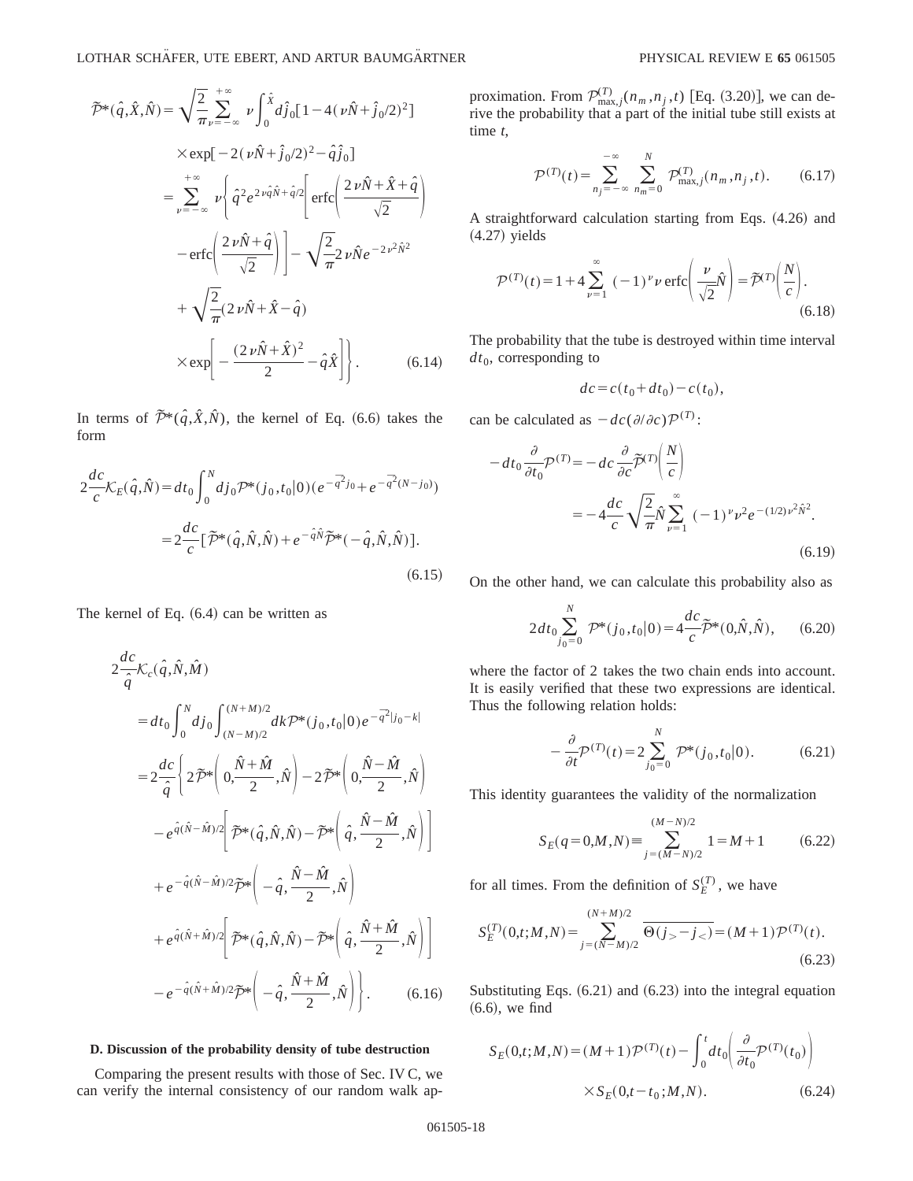LOTHAR SCHÄFER, UTE EBERT, AND ARTUR BAUMGÄRTNER PHYSICAL REVIEW E 65 061505

$$
\mathcal{P}^*(\hat{q}, \hat{X}, \hat{N}) = \sqrt{\frac{2}{\pi}} \sum_{\nu=-\infty}^{+\infty} \nu \int_0^{\hat{X}} d\hat{j}_0 [1 - 4(\nu \hat{N} + \hat{j}_0/2)^2]
$$
  
\n
$$
\times \exp[-2(\nu \hat{N} + \hat{j}_0/2)^2 - \hat{q}\hat{j}_0]
$$
  
\n
$$
= \sum_{\nu=-\infty}^{+\infty} \nu \left\{ \hat{q}^2 e^{2\nu \hat{q}\hat{N} + \hat{q}/2} \left[ \text{erfc} \left( \frac{2\nu \hat{N} + \hat{X} + \hat{q}}{\sqrt{2}} \right) \right. \right.
$$
  
\n
$$
- \text{erfc} \left( \frac{2\nu \hat{N} + \hat{q}}{\sqrt{2}} \right) \left] - \sqrt{\frac{2}{\pi}} 2\nu \hat{N} e^{-2\nu^2 \hat{N}^2}
$$
  
\n
$$
+ \sqrt{\frac{2}{\pi}} (2\nu \hat{N} + \hat{X} - \hat{q})
$$
  
\n
$$
\times \exp \left[ -\frac{(2\nu \hat{N} + \hat{X})^2}{2} - \hat{q}\hat{X} \right] \right].
$$
 (6.14)

In terms of  $\tilde{\mathcal{P}}^*(\hat{q},\hat{X},\hat{N})$ , the kernel of Eq. (6.6) takes the form

$$
2\frac{dc}{c}\mathcal{K}_{E}(\hat{q},\hat{N}) = dt_{0} \int_{0}^{N} dj_{0} \mathcal{P}^{*}(j_{0},t_{0}|0) (e^{-\overline{q}^{2}j_{0}} + e^{-\overline{q}^{2}(N-j_{0})})
$$

$$
= 2\frac{dc}{c} [\tilde{\mathcal{P}}^{*}(\hat{q},\hat{N},\hat{N}) + e^{-\hat{q}\hat{N}} \tilde{\mathcal{P}}^{*}(-\hat{q},\hat{N},\hat{N})].
$$
(6.15)

The kernel of Eq.  $(6.4)$  can be written as

$$
2\frac{dc}{\hat{q}}\mathcal{K}_{c}(\hat{q},\hat{N},\hat{M})
$$
\n
$$
=dt_{0}\int_{0}^{N}dj_{0}\int_{(N-M)/2}^{(N+M)/2}dk\mathcal{P}^{*}(j_{0},t_{0}|0)e^{-\overline{q}^{2}|j_{0}-k|}
$$
\n
$$
=2\frac{dc}{\hat{q}}\left\{2\widetilde{\mathcal{P}}^{*}\left(0,\frac{\hat{N}+\hat{M}}{2},\hat{N}\right)-2\widetilde{\mathcal{P}}^{*}\left(0,\frac{\hat{N}-\hat{M}}{2},\hat{N}\right)\right\}
$$
\n
$$
-e^{\hat{q}(\hat{N}-\hat{M})/2}\left[\widetilde{\mathcal{P}}^{*}(\hat{q},\hat{N},\hat{N})-\widetilde{\mathcal{P}}^{*}\left(\hat{q},\frac{\hat{N}-\hat{M}}{2},\hat{N}\right)\right]
$$
\n
$$
+e^{-\hat{q}(\hat{N}-\hat{M})/2}\widetilde{\mathcal{P}}^{*}\left(-\hat{q},\frac{\hat{N}-\hat{M}}{2},\hat{N}\right)
$$
\n
$$
+e^{\hat{q}(\hat{N}+\hat{M})/2}\left[\widetilde{\mathcal{P}}^{*}(\hat{q},\hat{N},\hat{N})-\widetilde{\mathcal{P}}^{*}\left(\hat{q},\frac{\hat{N}+\hat{M}}{2},\hat{N}\right)\right]
$$
\n
$$
-e^{-\hat{q}(\hat{N}+\hat{M})/2}\widetilde{\mathcal{P}}^{*}\left(-\hat{q},\frac{\hat{N}+\hat{M}}{2},\hat{N}\right).
$$
\n(6.16)

### **D. Discussion of the probability density of tube destruction**

Comparing the present results with those of Sec. IV C, we can verify the internal consistency of our random walk ap-

proximation. From  $\mathcal{P}_{\text{max},j}^{(T)}(n_m, n_j, t)$  [Eq. (3.20)], we can derive the probability that a part of the initial tube still exists at time *t*,

$$
\mathcal{P}^{(T)}(t) = \sum_{n_j = -\infty}^{-\infty} \sum_{n_m = 0}^{N} \mathcal{P}^{(T)}_{\text{max},j}(n_m, n_j, t). \tag{6.17}
$$

A straightforward calculation starting from Eqs.  $(4.26)$  and  $(4.27)$  yields

$$
\mathcal{P}^{(T)}(t) = 1 + 4 \sum_{\nu=1}^{\infty} (-1)^{\nu} \nu \operatorname{erfc}\left(\frac{\nu}{\sqrt{2}} \hat{N}\right) = \tilde{\mathcal{P}}^{(T)}\left(\frac{N}{c}\right).
$$
\n(6.18)

The probability that the tube is destroyed within time interval  $dt_0$ , corresponding to

$$
dc = c(t_0 + dt_0) - c(t_0),
$$

can be calculated as  $-dc(\partial/\partial c)\mathcal{P}^{(T)}$ :

$$
-dt_0 \frac{\partial}{\partial t_0} \mathcal{P}^{(T)} = -dc \frac{\partial}{\partial c} \tilde{\mathcal{P}}^{(T)} \left( \frac{N}{c} \right)
$$
  
= 
$$
-4 \frac{dc}{c} \sqrt{\frac{2}{\pi}} \hat{N} \sum_{\nu=1}^{\infty} (-1)^{\nu} \nu^2 e^{-(1/2)\nu^2 \hat{N}^2}.
$$
 (6.19)

On the other hand, we can calculate this probability also as

$$
2dt_0 \sum_{j_0=0}^{N} \mathcal{P}^*(j_0, t_0 | 0) = 4\frac{dc}{c} \widetilde{\mathcal{P}}^*(0, \hat{N}, \hat{N}), \qquad (6.20)
$$

where the factor of 2 takes the two chain ends into account. It is easily verified that these two expressions are identical. Thus the following relation holds:

$$
-\frac{\partial}{\partial t}\mathcal{P}^{(T)}(t) = 2\sum_{j_0=0}^{N} \mathcal{P}^*(j_0, t_0|0). \tag{6.21}
$$

This identity guarantees the validity of the normalization

$$
S_E(q=0,M,N) \equiv \sum_{j=(M-N)/2}^{(M-N)/2} 1 = M+1 \tag{6.22}
$$

for all times. From the definition of  $S_E^{(T)}$ , we have

$$
S_E^{(T)}(0,t;M,N) = \sum_{j=(N-M)/2}^{(N+M)/2} \overline{\Theta(j_>-j_<)} = (M+1)\mathcal{P}^{(T)}(t).
$$
\n(6.23)

Substituting Eqs.  $(6.21)$  and  $(6.23)$  into the integral equation  $(6.6)$ , we find

$$
S_E(0, t; M, N) = (M+1)\mathcal{P}^{(T)}(t) - \int_0^t dt_0 \left( \frac{\partial}{\partial t_0} \mathcal{P}^{(T)}(t_0) \right) \times S_E(0, t - t_0; M, N).
$$
 (6.24)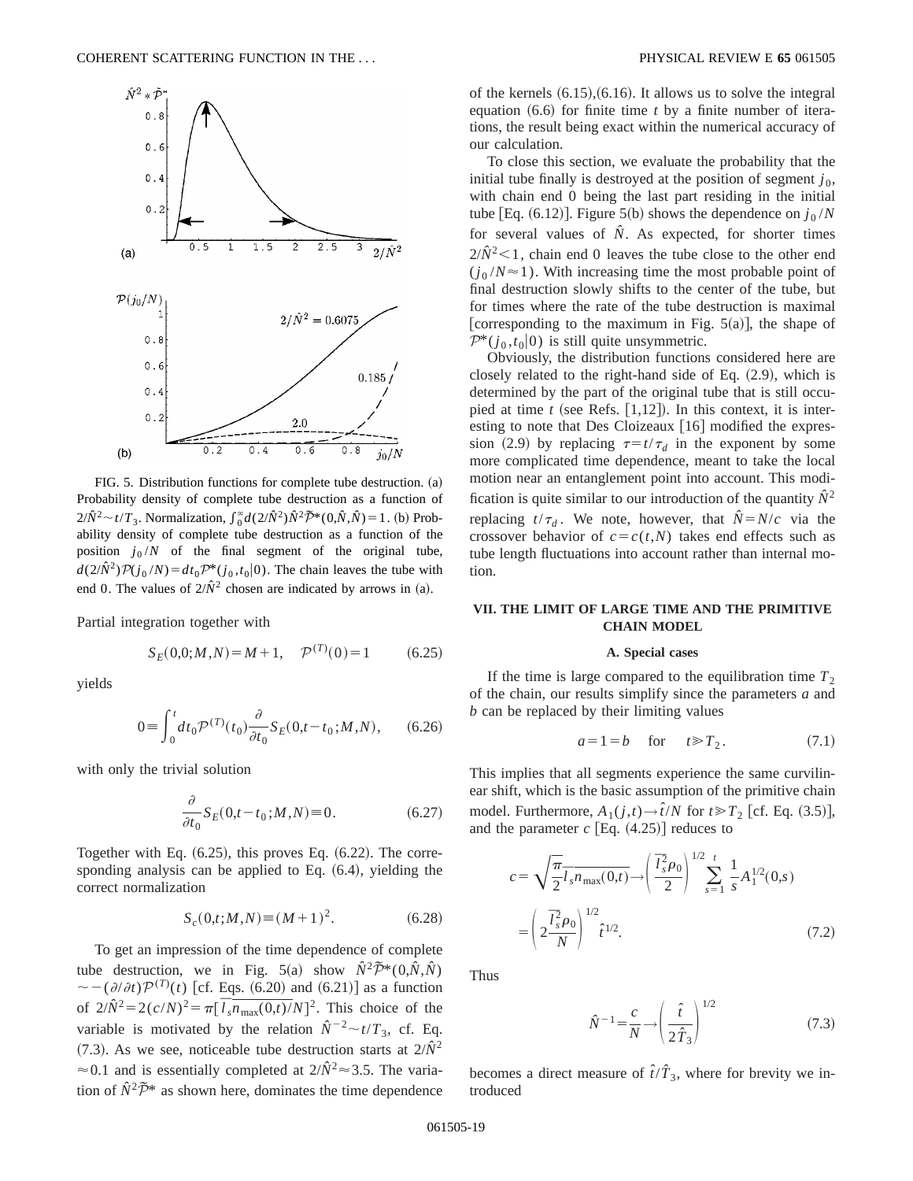

FIG. 5. Distribution functions for complete tube destruction. (a) Probability density of complete tube destruction as a function of  $2/\hat{N}^2 \sim t/T_3$ . Normalization,  $\int_0^{\infty} d(2/\hat{N}^2) \hat{N}^2 \tilde{P}^*(0, \hat{N}, \hat{N}) = 1$ . (b) Probability density of complete tube destruction as a function of the position  $j_0/N$  of the final segment of the original tube,  $d(2/\hat{N}^2)\mathcal{P}(j_0/N) = dt_0 \mathcal{P}^*(j_0,t_0|0)$ . The chain leaves the tube with end 0. The values of  $2/\hat{N}^2$  chosen are indicated by arrows in (a).

Partial integration together with

$$
S_E(0,0;M,N) = M + 1, \quad \mathcal{P}^{(T)}(0) = 1 \tag{6.25}
$$

yields

$$
0 = \int_0^t dt_0 \mathcal{P}^{(T)}(t_0) \frac{\partial}{\partial t_0} S_E(0, t - t_0; M, N), \qquad (6.26)
$$

with only the trivial solution

$$
\frac{\partial}{\partial t_0} S_E(0, t - t_0; M, N) \equiv 0.
$$
\n(6.27)

Together with Eq.  $(6.25)$ , this proves Eq.  $(6.22)$ . The corresponding analysis can be applied to Eq.  $(6.4)$ , yielding the correct normalization

$$
S_c(0,t;M,N) \equiv (M+1)^2. \tag{6.28}
$$

To get an impression of the time dependence of complete tube destruction, we in Fig. 5(a) show  $\hat{N}^2 \tilde{\mathcal{P}}^*(0,\hat{N},\hat{N})$  $\sim -(\partial/\partial t)\mathcal{P}^{(T)}(t)$  [cf. Eqs. (6.20) and (6.21)] as a function of  $2/\hat{N}^2 = 2(c/N)^2 = \pi [\bar{l}_s \bar{n}_{\text{max}}(0,t)/N]^2$ . This choice of the variable is motivated by the relation  $\hat{N}^{-2} \sim t/T_3$ , cf. Eq.  $(7.3)$ . As we see, noticeable tube destruction starts at  $2/\hat{N}^2$  $\approx$  0.1 and is essentially completed at  $2/\hat{N}^2 \approx 3.5$ . The variation of  $\hat{N}^2 \tilde{\mathcal{P}}^*$  as shown here, dominates the time dependence of the kernels  $(6.15)$ ,  $(6.16)$ . It allows us to solve the integral equation  $(6.6)$  for finite time *t* by a finite number of iterations, the result being exact within the numerical accuracy of our calculation.

To close this section, we evaluate the probability that the initial tube finally is destroyed at the position of segment  $j_0$ , with chain end 0 being the last part residing in the initial tube [Eq.  $(6.12)$ ]. Figure 5(b) shows the dependence on  $j_0/N$ for several values of  $\hat{N}$ . As expected, for shorter times  $2/\hat{N}^2$  < 1, chain end 0 leaves the tube close to the other end  $(j_0/N \approx 1)$ . With increasing time the most probable point of final destruction slowly shifts to the center of the tube, but for times where the rate of the tube destruction is maximal [corresponding to the maximum in Fig.  $5(a)$ ], the shape of  $\mathcal{P}^*(j_0,t_0|0)$  is still quite unsymmetric.

Obviously, the distribution functions considered here are closely related to the right-hand side of Eq.  $(2.9)$ , which is determined by the part of the original tube that is still occupied at time  $t$  (see Refs.  $[1,12]$ ). In this context, it is interesting to note that Des Cloizeaux [16] modified the expression (2.9) by replacing  $\tau=t/\tau_d$  in the exponent by some more complicated time dependence, meant to take the local motion near an entanglement point into account. This modification is quite similar to our introduction of the quantity  $\hat{N}^2$ replacing  $t/\tau_d$ . We note, however, that  $\hat{N} = N/c$  via the crossover behavior of  $c = c(t, N)$  takes end effects such as tube length fluctuations into account rather than internal motion.

## **VII. THE LIMIT OF LARGE TIME AND THE PRIMITIVE CHAIN MODEL**

#### **A. Special cases**

If the time is large compared to the equilibration time  $T_2$ of the chain, our results simplify since the parameters *a* and *b* can be replaced by their limiting values

$$
a = 1 = b \quad \text{for} \quad t \ge T_2. \tag{7.1}
$$

This implies that all segments experience the same curvilinear shift, which is the basic assumption of the primitive chain model. Furthermore,  $A_1(j,t) \rightarrow \hat{i}/N$  for  $t \ge T_2$  [cf. Eq. (3.5)], and the parameter  $c$  [Eq.  $(4.25)$ ] reduces to

$$
c = \sqrt{\frac{\pi}{2}} \overline{l}_s \overline{n}_{\text{max}}(0,t) \rightarrow \left(\frac{\overline{l}_s^2 \rho_0}{2}\right)^{1/2} \sum_{s=1}^t \frac{1}{s} A_1^{1/2}(0,s)
$$

$$
= \left(2 \frac{\overline{l}_s^2 \rho_0}{N}\right)^{1/2} \hat{t}^{1/2}.
$$
(7.2)

Thus

$$
\hat{N}^{-1} = \frac{c}{N} \longrightarrow \left(\frac{\hat{t}}{2\hat{T}_3}\right)^{1/2} \tag{7.3}
$$

becomes a direct measure of  $\hat{t}/\hat{T}_3$ , where for brevity we introduced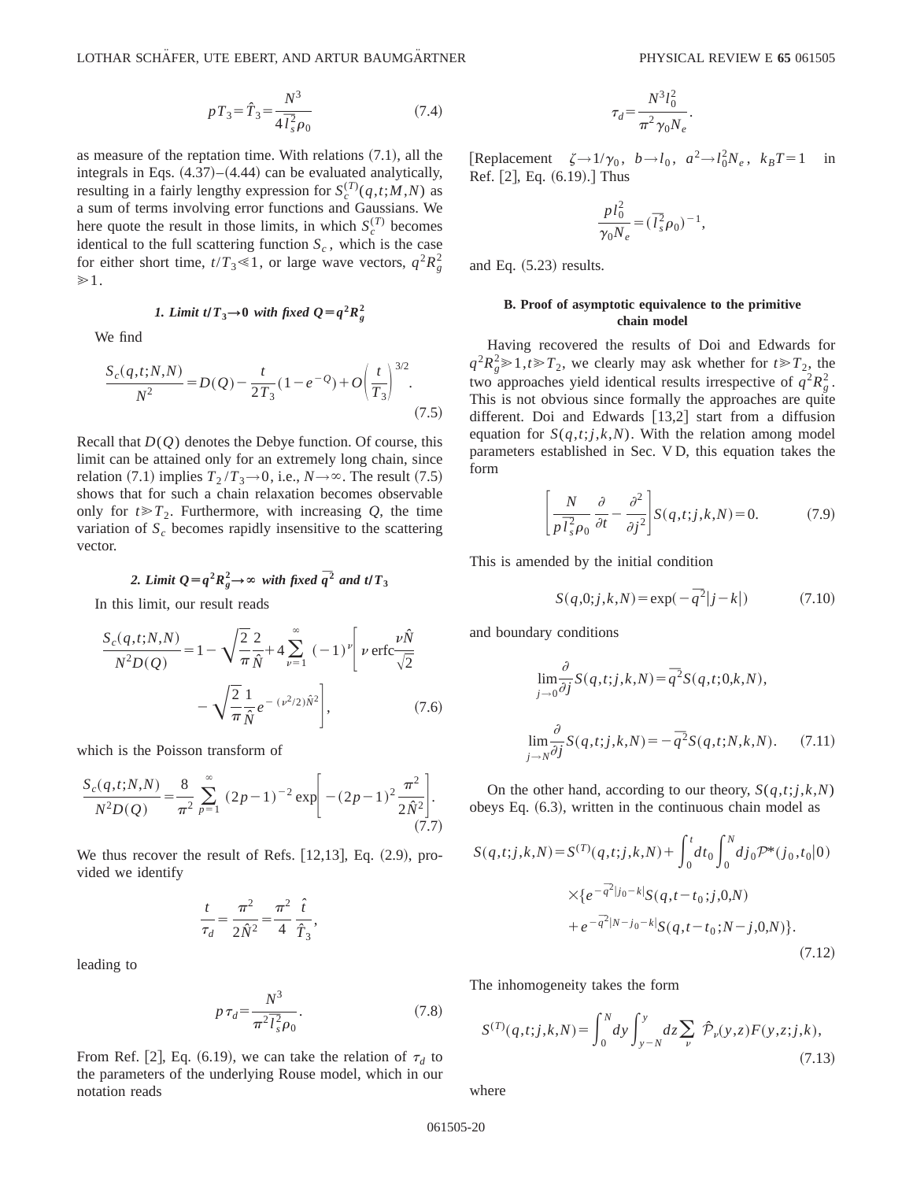$$
pT_3 = \hat{T}_3 = \frac{N^3}{4\bar{T}_s^2 \rho_0} \tag{7.4}
$$

as measure of the reptation time. With relations  $(7.1)$ , all the integrals in Eqs.  $(4.37)$ – $(4.44)$  can be evaluated analytically, resulting in a fairly lengthy expression for  $S_c^{(T)}(q,t;M,N)$  as a sum of terms involving error functions and Gaussians. We here quote the result in those limits, in which  $S_c^{(T)}$  becomes identical to the full scattering function  $S_c$ , which is the case for either short time,  $t/T_3 \ll 1$ , or large wave vectors,  $q^2 R_g^2$  $\gg 1$ .

1. Limit 
$$
t/T_3 \rightarrow 0
$$
 with fixed  $Q = q^2 R_g^2$ 

We find

$$
\frac{S_c(q, t; N, N)}{N^2} = D(Q) - \frac{t}{2T_3} (1 - e^{-Q}) + O\left(\frac{t}{T_3}\right)^{3/2}.
$$
\n(7.5)

Recall that *D*(*Q*) denotes the Debye function. Of course, this limit can be attained only for an extremely long chain, since relation (7.1) implies  $T_2 / T_3 \rightarrow 0$ , i.e.,  $N \rightarrow \infty$ . The result (7.5) shows that for such a chain relaxation becomes observable only for  $t \ge T_2$ . Furthermore, with increasing *Q*, the time variation of  $S_c$  becomes rapidly insensitive to the scattering vector.

2. Limit 
$$
Q=q^2R_g^2 \rightarrow \infty
$$
 with fixed  $\overline{q}^2$  and  $t/T_3$ 

In this limit, our result reads

$$
\frac{S_c(q, t; N, N)}{N^2 D(Q)} = 1 - \sqrt{\frac{2}{\pi}} \frac{2}{\hat{N}} + 4 \sum_{\nu=1}^{\infty} (-1)^{\nu} \left[ \nu \operatorname{erfc} \frac{\nu \hat{N}}{\sqrt{2}} - \sqrt{\frac{2}{\pi}} \frac{1}{\hat{N}} e^{-(\nu^2/2)\hat{N}^2} \right],
$$
(7.6)

which is the Poisson transform of

$$
\frac{S_c(q,t;N,N)}{N^2 D(Q)} = \frac{8}{\pi^2} \sum_{p=1}^{\infty} (2p-1)^{-2} \exp\left[ -(2p-1)^2 \frac{\pi^2}{2\hat{N}^2} \right].
$$
\n(7.7)

We thus recover the result of Refs.  $[12,13]$ , Eq.  $(2.9)$ , provided we identify

$$
\frac{t}{\tau_d} = \frac{\pi^2}{2\hat{N}^2} = \frac{\pi^2}{4} \frac{\hat{t}}{\hat{T}_3},
$$

leading to

$$
p\,\tau_d = \frac{N^3}{\pi^2 \overline{l}_s^2 \rho_0}.\tag{7.8}
$$

From Ref. [2], Eq. (6.19), we can take the relation of  $\tau_d$  to the parameters of the underlying Rouse model, which in our notation reads

$$
\tau_d = \frac{N^3 l_0^2}{\pi^2 \gamma_0 N_e}.
$$

 $[Replacement \zeta \rightarrow 1/\gamma_0, b \rightarrow l_0, a^2 \rightarrow l_0^2 N_e, k_B T = 1$  in Ref.  $[2]$ , Eq.  $(6.19)$ . Thus

$$
\frac{p l_0^2}{\gamma_0 N_e} = (\bar{l}_s^2 \rho_0)^{-1},
$$

and Eq.  $(5.23)$  results.

## **B. Proof of asymptotic equivalence to the primitive chain model**

Having recovered the results of Doi and Edwards for  $q^2 R_g^2 \ge 1, t \ge T_2$ , we clearly may ask whether for  $t \ge T_2$ , the two approaches yield identical results irrespective of  $q^2 R_g^2$ . This is not obvious since formally the approaches are quite different. Doi and Edwards  $[13,2]$  start from a diffusion equation for  $S(q,t;j,k,N)$ . With the relation among model parameters established in Sec. V D, this equation takes the form

$$
\left[\frac{N}{p\bar{l}_s^2\rho_0}\frac{\partial}{\partial t} - \frac{\partial^2}{\partial j^2}\right] S(q,t;j,k,N) = 0.
$$
 (7.9)

This is amended by the initial condition

$$
S(q,0;j,k,N) = \exp(-\bar{q}^{2}|j-k|)
$$
 (7.10)

and boundary conditions

$$
\lim_{j \to 0} \frac{\partial}{\partial j} S(q, t; j, k, N) = \overline{q}^2 S(q, t; 0, k, N),
$$
  

$$
\lim_{j \to N} \frac{\partial}{\partial j} S(q, t; j, k, N) = -\overline{q}^2 S(q, t; N, k, N).
$$
 (7.11)

On the other hand, according to our theory,  $S(q,t; j, k, N)$ obeys Eq.  $(6.3)$ , written in the continuous chain model as

$$
S(q,t;j,k,N) = S^{(T)}(q,t;j,k,N) + \int_0^t dt_0 \int_0^N dj_0 \mathcal{P}^*(j_0,t_0|0)
$$
  
 
$$
\times \{e^{-\bar{q}^2|j_0-k|}S(q,t-t_0;j,0,N)
$$
  
 
$$
+ e^{-\bar{q}^2|N-j_0-k|}S(q,t-t_0;N-j,0,N)\}.
$$
  
(7.12)

The inhomogeneity takes the form

$$
S^{(T)}(q,t;j,k,N) = \int_0^N dy \int_{y-N}^y dz \sum_{\nu} \mathcal{P}_{\nu}(y,z) F(y,z;j,k),
$$
\n(7.13)

where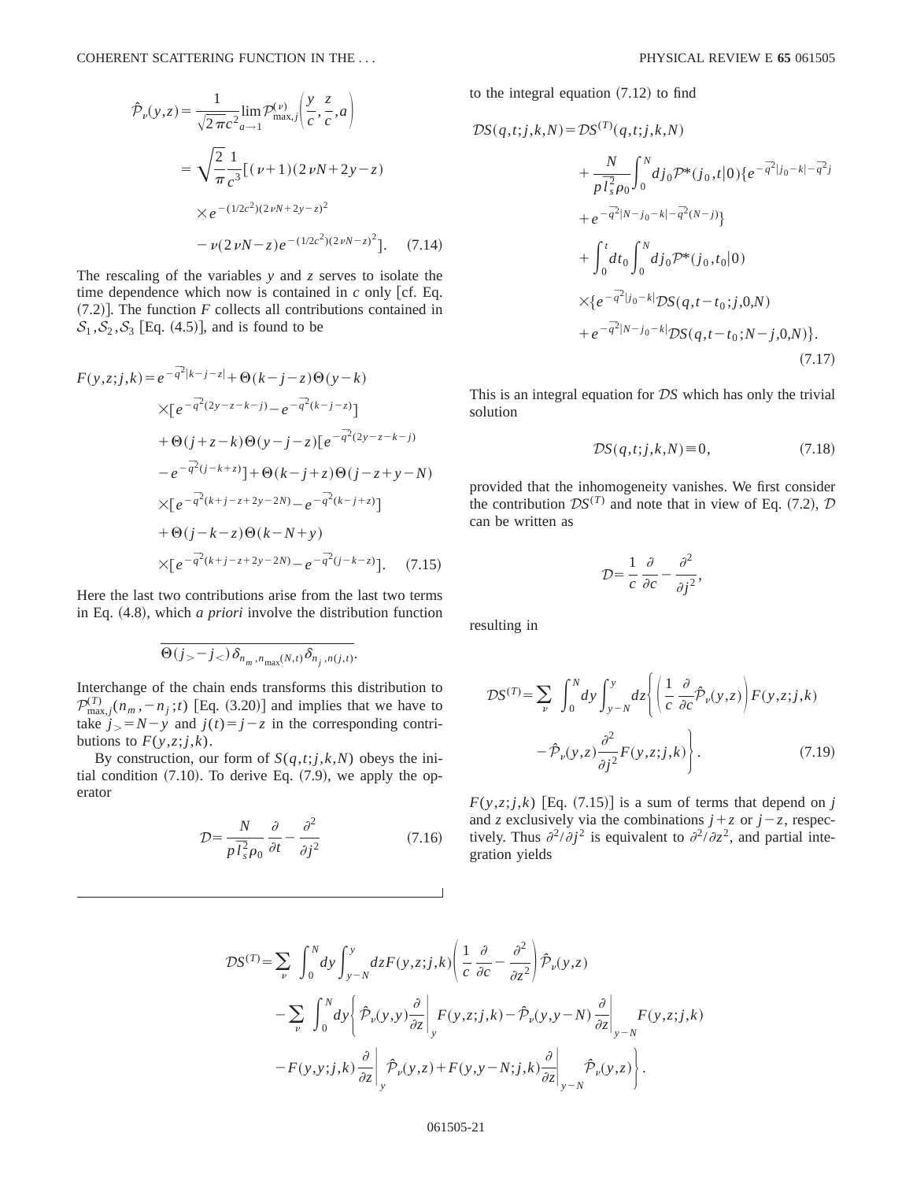$$
\hat{\mathcal{P}}_{\nu}(y,z) = \frac{1}{\sqrt{2\pi c^2}} \lim_{a \to 1} \mathcal{P}_{\text{max},j}^{(\nu)} \left( \frac{y}{c}, \frac{z}{c}, a \right)
$$

$$
= \sqrt{\frac{2}{\pi}} \frac{1}{c^3} \left[ (\nu + 1)(2\nu N + 2y - z) \right]
$$

$$
\times e^{-(1/2c^2)(2\nu N + 2y - z)^2}
$$

$$
- \nu (2\nu N - z) e^{-(1/2c^2)(2\nu N - z)^2} \left]. \quad (7.14)
$$

The rescaling of the variables *y* and *z* serves to isolate the time dependence which now is contained in  $c$  only [cf. Eq.  $(7.2)$ ]. The function *F* collects all contributions contained in  $S_1$ ,  $S_2$ ,  $S_3$  [Eq. (4.5)], and is found to be

$$
F(y,z;j,k) = e^{-\frac{z}{q^2}|k-j-z|} + \Theta(k-j-z)\Theta(y-k)
$$
  
\n
$$
\times [e^{-\frac{z}{q^2}(2y-z-k-j)} - e^{-\frac{z}{q^2}(k-j-z)}]
$$
  
\n
$$
+ \Theta(j+z-k)\Theta(y-j-z)[e^{-\frac{z}{q^2}(2y-z-k-j)}]
$$
  
\n
$$
-e^{-\frac{z}{q^2}(j-k+z)} + \Theta(k-j+z)\Theta(j-z+y-N)
$$
  
\n
$$
\times [e^{-\frac{z}{q^2}(k+j-z+2y-2N)} - e^{-\frac{z}{q^2}(k-j+z)}]
$$
  
\n
$$
+ \Theta(j-k-z)\Theta(k-N+y)
$$
  
\n
$$
\times [e^{-\frac{z}{q^2}(k+j-z+2y-2N)} - e^{-\frac{z}{q^2}(j-k-z)}].
$$
 (7.15)

Here the last two contributions arise from the last two terms in Eq.  $(4.8)$ , which *a priori* involve the distribution function

$$
\overline{\Theta(j_>-j_<)\delta_{n_m,n_{\max}(N,t)}\delta_{n_j,n(j,t)}}.
$$

Interchange of the chain ends transforms this distribution to  $\mathcal{P}_{\max,j}^{(T)}(n_m, -n_j; t)$  [Eq. (3.20)] and implies that we have to take  $j > N - y$  and  $j(t) = j - z$  in the corresponding contributions to  $F(y, z; j, k)$ .

By construction, our form of  $S(q,t; j,k,N)$  obeys the initial condition  $(7.10)$ . To derive Eq.  $(7.9)$ , we apply the operator

$$
\mathcal{D} = \frac{N}{p \bar{I}_s^2 \rho_0} \frac{\partial}{\partial t} - \frac{\partial^2}{\partial j^2}
$$
 (7.16)

to the integral equation  $(7.12)$  to find

$$
\mathcal{D}S(q,t;j,k,N) = \mathcal{D}S^{(T)}(q,t;j,k,N) \n+ \frac{N}{p\bar{l}_{s}^{2}\rho_{0}} \int_{0}^{N} dj_{0}\mathcal{P}^{*}(j_{0},t|0)\{e^{-\bar{q}^{2}|j_{0}-k|-\bar{q}^{2}j}\n+ e^{-\bar{q}^{2}|N-j_{0}-k|-\bar{q}^{2}(N-j)}\}\n+ \int_{0}^{t} dt_{0} \int_{0}^{N} dj_{0}\mathcal{P}^{*}(j_{0},t_{0}|0) \n\times \{e^{-\bar{q}^{2}|j_{0}-k|} \mathcal{D}S(q,t-t_{0};j,0,N) \n+ e^{-\bar{q}^{2}|N-j_{0}-k|} \mathcal{D}S(q,t-t_{0};N-j,0,N)\}.
$$
\n(7.17)

This is an integral equation for D*S* which has only the trivial solution

$$
\mathcal{D}S(q,t;j,k,N) \equiv 0,\tag{7.18}
$$

provided that the inhomogeneity vanishes. We first consider the contribution  $DS^{(T)}$  and note that in view of Eq. (7.2),  $D$ can be written as

$$
\mathcal{D} = \frac{1}{c} \frac{\partial}{\partial c} - \frac{\partial^2}{\partial j^2},
$$

resulting in

$$
\mathcal{D}S^{(T)} = \sum_{\nu} \int_0^N dy \int_{y-N}^y dz \left\{ \left( \frac{1}{c} \frac{\partial}{\partial c} \hat{\mathcal{P}}_{\nu}(y, z) \right) F(y, z; j, k) - \hat{\mathcal{P}}_{\nu}(y, z) \frac{\partial^2}{\partial j^2} F(y, z; j, k) \right\}.
$$
 (7.19)

 $F(y, z; j, k)$  [Eq. (7.15)] is a sum of terms that depend on *j* and *z* exclusively via the combinations  $j + z$  or  $j - z$ , respectively. Thus  $\partial^2/\partial j^2$  is equivalent to  $\partial^2/\partial z^2$ , and partial integration yields

$$
\mathcal{D}S^{(T)} = \sum_{\nu} \int_0^N dy \int_{y-N}^y dz F(y, z; j, k) \left( \frac{1}{c} \frac{\partial}{\partial c} - \frac{\partial^2}{\partial z^2} \right) \hat{\mathcal{P}}_{\nu}(y, z) \n- \sum_{\nu} \int_0^N dy \left\{ \hat{\mathcal{P}}_{\nu}(y, y) \frac{\partial}{\partial z} \Big|_y F(y, z; j, k) - \hat{\mathcal{P}}_{\nu}(y, y - N) \frac{\partial}{\partial z} \Big|_{y-N} F(y, z; j, k) \n- F(y, y; j, k) \frac{\partial}{\partial z} \Big|_y \hat{\mathcal{P}}_{\nu}(y, z) + F(y, y - N; j, k) \frac{\partial}{\partial z} \Big|_{y-N} \hat{\mathcal{P}}_{\nu}(y, z) \right\}.
$$

### 061505-21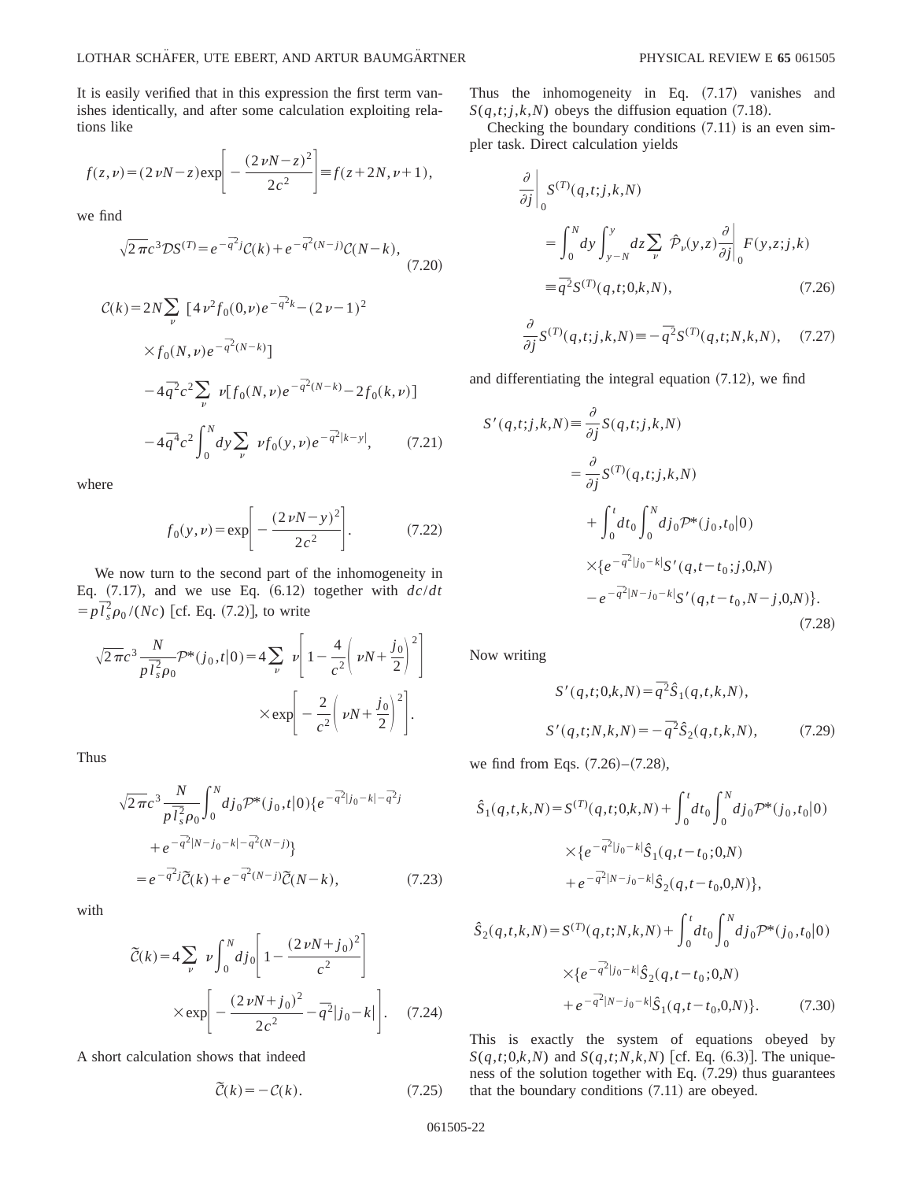It is easily verified that in this expression the first term vanishes identically, and after some calculation exploiting relations like

$$
f(z,\nu) = (2 \nu N - z) \exp\left[-\frac{(2 \nu N - z)^2}{2c^2}\right] = f(z + 2N, \nu + 1),
$$

we find

$$
\sqrt{2\pi}c^{3}\mathcal{D}S^{(T)} = e^{-\overline{q}^{2}j}\mathcal{C}(k) + e^{-\overline{q}^{2}(N-j)}\mathcal{C}(N-k),\tag{7.20}
$$

$$
\mathcal{C}(k) = 2N \sum_{\nu} \left[ 4 \nu^2 f_0(0, \nu) e^{-\overline{q}^2 k} - (2 \nu - 1)^2 \right. \\
 \times f_0(N, \nu) e^{-\overline{q}^2 (N - k)}] \\
 - 4 \overline{q}^2 c^2 \sum_{\nu} \nu [f_0(N, \nu) e^{-\overline{q}^2 (N - k)} - 2 f_0(k, \nu)] \\
 - 4 \overline{q}^4 c^2 \int_0^N dy \sum_{\nu} \nu f_0(y, \nu) e^{-\overline{q}^2 |k - y|}, \qquad (7.21)
$$

where

$$
f_0(y,\nu) = \exp\left[-\frac{(2\nu N - y)^2}{2c^2}\right].
$$
 (7.22)

We now turn to the second part of the inhomogeneity in Eq.  $(7.17)$ , and we use Eq.  $(6.12)$  together with  $d \frac{c}{dt}$  $= p \bar{l}_s^2 \rho_0 / (Nc)$  [cf. Eq. (7.2)], to write

$$
\sqrt{2\pi}c^3 \frac{N}{p\bar{l}_s^2 \rho_0} \mathcal{P}^*(j_0, t | 0) = 4 \sum_{\nu} \nu \left[ 1 - \frac{4}{c^2} \left( \nu N + \frac{j_0}{2} \right)^2 \right]
$$

$$
\times \exp \left[ -\frac{2}{c^2} \left( \nu N + \frac{j_0}{2} \right)^2 \right].
$$

Thus

$$
\sqrt{2\pi}c^{3}\frac{N}{p\bar{l}_{s}^{2}\rho_{0}}\int_{0}^{N}dj_{0}\mathcal{P}^{*}(j_{0},t|0)\{e^{-\bar{q}^{2}|j_{0}-k|-\bar{q}^{2}j}\n+e^{-\bar{q}^{2}|N-j_{0}-k|-\bar{q}^{2}(N-j)}\}
$$
\n
$$
=e^{-\bar{q}^{2}j}\tilde{\mathcal{C}}(k)+e^{-\bar{q}^{2}(N-j)}\tilde{\mathcal{C}}(N-k),
$$
\n(7.23)

with

$$
\widetilde{C}(k) = 4 \sum_{\nu} \nu \int_0^N dj_0 \left[ 1 - \frac{(2 \nu N + j_0)^2}{c^2} \right]
$$

$$
\times \exp \left[ -\frac{(2 \nu N + j_0)^2}{2c^2} - \overline{q}^2 |j_0 - k| \right]. \quad (7.24)
$$

A short calculation shows that indeed

$$
\widetilde{\mathcal{C}}(k) = -\mathcal{C}(k). \tag{7.25}
$$

Thus the inhomogeneity in Eq.  $(7.17)$  vanishes and  $S(q,t; j, k, N)$  obeys the diffusion equation  $(7.18)$ .

Checking the boundary conditions  $(7.11)$  is an even simpler task. Direct calculation yields

$$
\frac{\partial}{\partial j} \Big|_0 S^{(T)}(q,t;j,k,N)
$$
  
= 
$$
\int_0^N dy \int_{y-N}^y dz \sum_{\nu} \hat{\mathcal{P}}_{\nu}(y,z) \frac{\partial}{\partial j} \Big|_0 F(y,z;j,k)
$$
  
= 
$$
\overline{q}^2 S^{(T)}(q,t;0,k,N), \qquad (7.26)
$$

$$
\frac{\partial}{\partial j} S^{(T)}(q,t;j,k,N) \equiv -\bar{q}^2 S^{(T)}(q,t;N,k,N), \quad (7.27)
$$

and differentiating the integral equation  $(7.12)$ , we find

$$
S'(q,t;j,k,N) \equiv \frac{\partial}{\partial j} S(q,t;j,k,N)
$$
  
=  $\frac{\partial}{\partial j} S^{(T)}(q,t;j,k,N)$   
+  $\int_0^t dt_0 \int_0^N dj_0 \mathcal{P}^*(j_0,t_0|0)$   
 $\times \{e^{-\bar{q}^2|j_0-k|}S'(q,t-t_0;j,0,N) - e^{-\bar{q}^2|N-j_0-k|}S'(q,t-t_0,N-j,0,N)\}.$  (7.28)

Now writing

$$
S'(q,t;0,k,N) = \overline{q}^{2}\hat{S}_{1}(q,t,k,N),
$$
  

$$
S'(q,t;N,k,N) = -\overline{q}^{2}\hat{S}_{2}(q,t,k,N),
$$
 (7.29)

we find from Eqs.  $(7.26)$ – $(7.28)$ ,

$$
\hat{S}_1(q,t,k,N) = S^{(T)}(q,t;0,k,N) + \int_0^t dt_0 \int_0^N dj_0 \mathcal{P}^*(j_0,t_0|0)
$$

$$
\times \{e^{-\overline{q}^2|j_0-k|} \hat{S}_1(q,t-t_0;0,N)
$$

$$
+ e^{-\overline{q}^2|N-j_0-k|} \hat{S}_2(q,t-t_0,0,N) \},
$$

$$
\hat{S}_2(q,t,k,N) = S^{(T)}(q,t;N,k,N) + \int_0^t dt_0 \int_0^N dj_0 \mathcal{P}^*(j_0,t_0|0)
$$

$$
\times \{e^{-\bar{q}^2|j_0-k|} \hat{S}_2(q,t-t_0;0,N)
$$

$$
+ e^{-\bar{q}^2|N-j_0-k|} \hat{S}_1(q,t-t_0,0,N) \}.
$$
(7.30)

This is exactly the system of equations obeyed by  $S(q,t;0,k,N)$  and  $S(q,t;N,k,N)$  [cf. Eq. (6.3)]. The uniqueness of the solution together with Eq.  $(7.29)$  thus guarantees that the boundary conditions  $(7.11)$  are obeyed.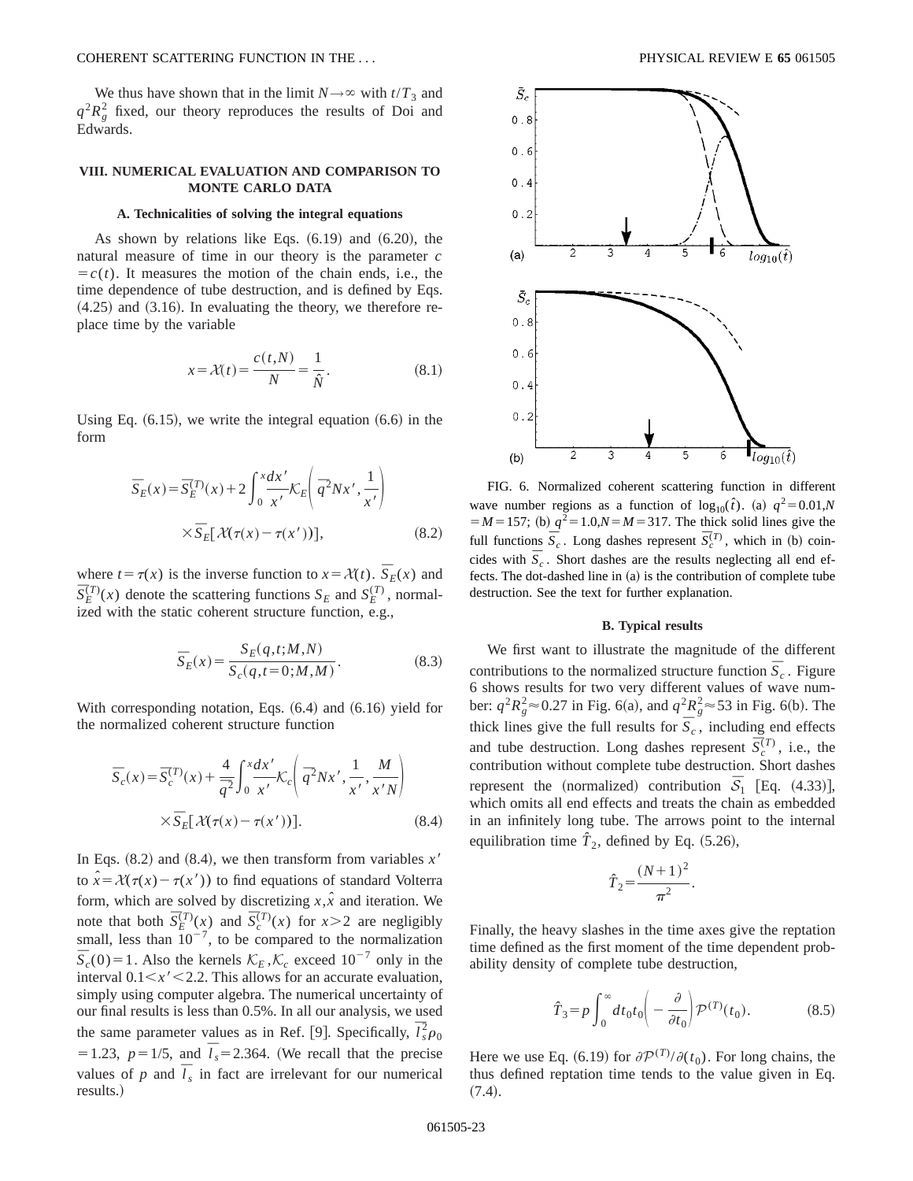### COHERENT SCATTERING FUNCTION IN THE . . . PHYSICAL REVIEW E **65** 061505

We thus have shown that in the limit  $N \rightarrow \infty$  with  $t/T_3$  and  $q^2 R_g^2$  fixed, our theory reproduces the results of Doi and Edwards.

## **VIII. NUMERICAL EVALUATION AND COMPARISON TO MONTE CARLO DATA**

### **A. Technicalities of solving the integral equations**

As shown by relations like Eqs.  $(6.19)$  and  $(6.20)$ , the natural measure of time in our theory is the parameter *c*  $= c(t)$ . It measures the motion of the chain ends, i.e., the time dependence of tube destruction, and is defined by Eqs.  $(4.25)$  and  $(3.16)$ . In evaluating the theory, we therefore replace time by the variable

$$
x = \mathcal{X}(t) = \frac{c(t, N)}{N} = \frac{1}{\hat{N}}.
$$
\n(8.1)

Using Eq.  $(6.15)$ , we write the integral equation  $(6.6)$  in the form

$$
\overline{S}_E(x) = \overline{S}_E^{(T)}(x) + 2 \int_0^x \frac{dx'}{x'} \mathcal{K}_E \left( \overline{q}^2 N x', \frac{1}{x'} \right)
$$

$$
\times \overline{S}_E[\mathcal{X}(\tau(x) - \tau(x'))], \tag{8.2}
$$

where  $t = \tau(x)$  is the inverse function to  $x = \mathcal{X}(t)$ .  $\overline{S}_E(x)$  and  $\overline{S}_{E}^{(T)}(x)$  denote the scattering functions  $S_{E}$  and  $S_{E}^{(T)}$ , normalized with the static coherent structure function, e.g.,

$$
\overline{S}_E(x) = \frac{S_E(q, t; M, N)}{S_c(q, t = 0; M, M)}.
$$
\n(8.3)

With corresponding notation, Eqs.  $(6.4)$  and  $(6.16)$  yield for the normalized coherent structure function

$$
\overline{S}_c(x) = \overline{S}_c^{(T)}(x) + \frac{4}{\overline{q}^2} \int_0^x \frac{dx'}{x'} \mathcal{K}_c \left( \overline{q}^2 N x', \frac{1}{x'}, \frac{M}{x'N} \right)
$$
  
 
$$
\times \overline{S}_E[\mathcal{X}(\tau(x) - \tau(x'))]. \tag{8.4}
$$

In Eqs.  $(8.2)$  and  $(8.4)$ , we then transform from variables  $x<sup>7</sup>$ to  $\hat{x} = \mathcal{X}(\tau(x) - \tau(x'))$  to find equations of standard Volterra form, which are solved by discretizing  $x, \hat{x}$  and iteration. We note that both  $\overline{S}_{E}^{(T)}(x)$  and  $\overline{S}_{c}^{(T)}(x)$  for  $x>2$  are negligibly small, less than  $10^{-7}$ , to be compared to the normalization  $\overline{S}_c(0) = 1$ . Also the kernels  $\mathcal{K}_E, \mathcal{K}_c$  exceed  $10^{-7}$  only in the interval  $0.1 \le x' \le 2.2$ . This allows for an accurate evaluation, simply using computer algebra. The numerical uncertainty of our final results is less than 0.5%. In all our analysis, we used the same parameter values as in Ref. [9]. Specifically,  $\overline{l}_s^2 \rho_0$  $= 1.23, p = 1/5, \text{ and } \bar{l}_s = 2.364.$  (We recall that the precise values of *p* and  $\overline{I}_s$  in fact are irrelevant for our numerical results.)



FIG. 6. Normalized coherent scattering function in different wave number regions as a function of  $log_{10}(\hat{t})$ . (a)  $q^2 = 0.01$ ,*N*  $=$  *M* = 157; (b)  $q^2$  = 1.0, $N$  = *M* = 317. The thick solid lines give the full functions  $\overline{S}_c$ . Long dashes represent  $\overline{S}_c^{(T)}$ , which in (b) coincides with  $\overline{S}_c$ . Short dashes are the results neglecting all end effects. The dot-dashed line in  $(a)$  is the contribution of complete tube destruction. See the text for further explanation.

### **B. Typical results**

We first want to illustrate the magnitude of the different contributions to the normalized structure function  $\overline{S}_c$ . Figure 6 shows results for two very different values of wave number:  $q^2 R_g^2 \approx 0.27$  in Fig. 6(a), and  $q^2 R_g^2 \approx 53$  in Fig. 6(b). The thick lines give the full results for  $\overline{S}_c$ , including end effects and tube destruction. Long dashes represent  $\overline{S}_c^{(T)}$ , i.e., the contribution without complete tube destruction. Short dashes represent the (normalized) contribution  $S_1$  [Eq.  $(4.33)$ ], which omits all end effects and treats the chain as embedded in an infinitely long tube. The arrows point to the internal equilibration time  $\hat{T}_2$ , defined by Eq.  $(5.26)$ ,

$$
\hat{T}_2 = \frac{(N+1)^2}{\pi^2}.
$$

Finally, the heavy slashes in the time axes give the reptation time defined as the first moment of the time dependent probability density of complete tube destruction,

$$
\hat{T}_3 = p \int_0^\infty dt_0 t_0 \left( -\frac{\partial}{\partial t_0} \right) \mathcal{P}^{(T)}(t_0).
$$
 (8.5)

Here we use Eq. (6.19) for  $\partial \mathcal{P}^{(T)}/\partial(t_0)$ . For long chains, the thus defined reptation time tends to the value given in Eq.  $(7.4).$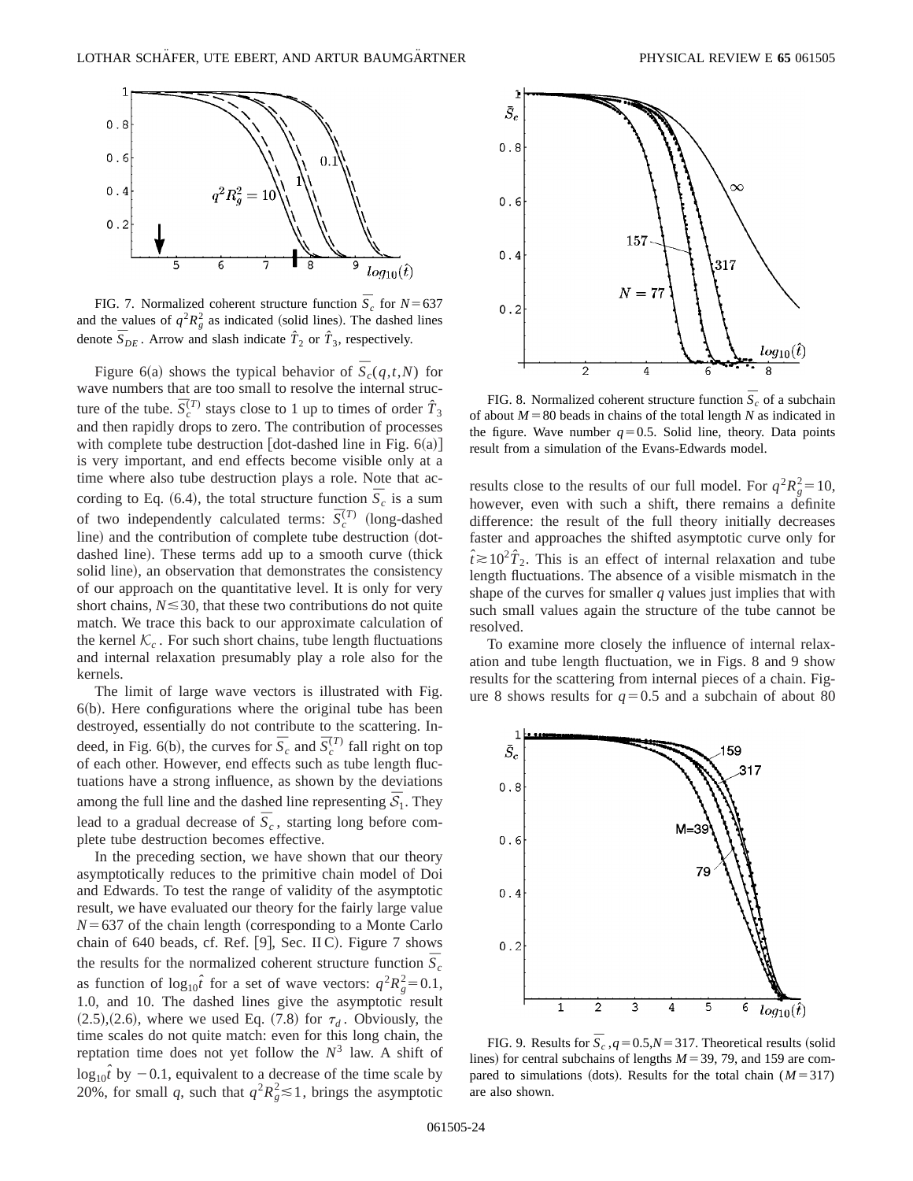

FIG. 7. Normalized coherent structure function  $\overline{S}_c$  for  $N=637$ and the values of  $q^2 R_g^2$  as indicated (solid lines). The dashed lines denote  $\overline{S}_{DE}$ . Arrow and slash indicate  $\hat{T}_2$  or  $\hat{T}_3$ , respectively.

Figure 6(a) shows the typical behavior of  $\overline{S}_c(q,t,N)$  for wave numbers that are too small to resolve the internal structure of the tube.  $\overline{S}_c^{(T)}$  stays close to 1 up to times of order  $\hat{T}_3$ and then rapidly drops to zero. The contribution of processes with complete tube destruction  $[dot-dashed line in Fig. 6(a)]$ is very important, and end effects become visible only at a time where also tube destruction plays a role. Note that according to Eq. (6.4), the total structure function  $\bar{S}_c$  is a sum of two independently calculated terms:  $\overline{S}_c^{(T)}$  (long-dashed line) and the contribution of complete tube destruction (dotdashed line). These terms add up to a smooth curve (thick solid line), an observation that demonstrates the consistency of our approach on the quantitative level. It is only for very short chains,  $N \leq 30$ , that these two contributions do not quite match. We trace this back to our approximate calculation of the kernel  $K_c$ . For such short chains, tube length fluctuations and internal relaxation presumably play a role also for the kernels.

The limit of large wave vectors is illustrated with Fig.  $6(b)$ . Here configurations where the original tube has been destroyed, essentially do not contribute to the scattering. Indeed, in Fig. 6(b), the curves for  $\overline{S}_c$  and  $\overline{S}_c^{(T)}$  fall right on top of each other. However, end effects such as tube length fluctuations have a strong influence, as shown by the deviations among the full line and the dashed line representing  $\bar{S}_1$ . They lead to a gradual decrease of  $\bar{S}_c$ , starting long before complete tube destruction becomes effective.

In the preceding section, we have shown that our theory asymptotically reduces to the primitive chain model of Doi and Edwards. To test the range of validity of the asymptotic result, we have evaluated our theory for the fairly large value  $N=637$  of the chain length (corresponding to a Monte Carlo chain of 640 beads, cf. Ref. [9], Sec. II C). Figure 7 shows the results for the normalized coherent structure function  $\overline{S}_c$ as function of  $log_{10}\hat{i}$  for a set of wave vectors:  $q^2R_g^2=0.1$ , 1.0, and 10. The dashed lines give the asymptotic result  $(2.5)$ ,  $(2.6)$ , where we used Eq.  $(7.8)$  for  $\tau_d$ . Obviously, the time scales do not quite match: even for this long chain, the reptation time does not yet follow the  $N<sup>3</sup>$  law. A shift of  $\log_{10} \hat{t}$  by  $-0.1$ , equivalent to a decrease of the time scale by 20%, for small *q*, such that  $q^2 R_g^2 \le 1$ , brings the asymptotic



FIG. 8. Normalized coherent structure function  $\bar{S}_c$  of a subchain of about  $M=80$  beads in chains of the total length *N* as indicated in the figure. Wave number  $q=0.5$ . Solid line, theory. Data points result from a simulation of the Evans-Edwards model.

results close to the results of our full model. For  $q^2 R_g^2 = 10$ , however, even with such a shift, there remains a definite difference: the result of the full theory initially decreases faster and approaches the shifted asymptotic curve only for  $\hat{t} \ge 10^2 \hat{T}_2$ . This is an effect of internal relaxation and tube length fluctuations. The absence of a visible mismatch in the shape of the curves for smaller *q* values just implies that with such small values again the structure of the tube cannot be resolved.

To examine more closely the influence of internal relaxation and tube length fluctuation, we in Figs. 8 and 9 show results for the scattering from internal pieces of a chain. Figure 8 shows results for  $q=0.5$  and a subchain of about 80



FIG. 9. Results for  $\overline{S}_c$ ,  $q=0.5$ ,  $N=317$ . Theoretical results (solid lines) for central subchains of lengths  $M=39, 79$ , and 159 are compared to simulations (dots). Results for the total chain  $(M=317)$ are also shown.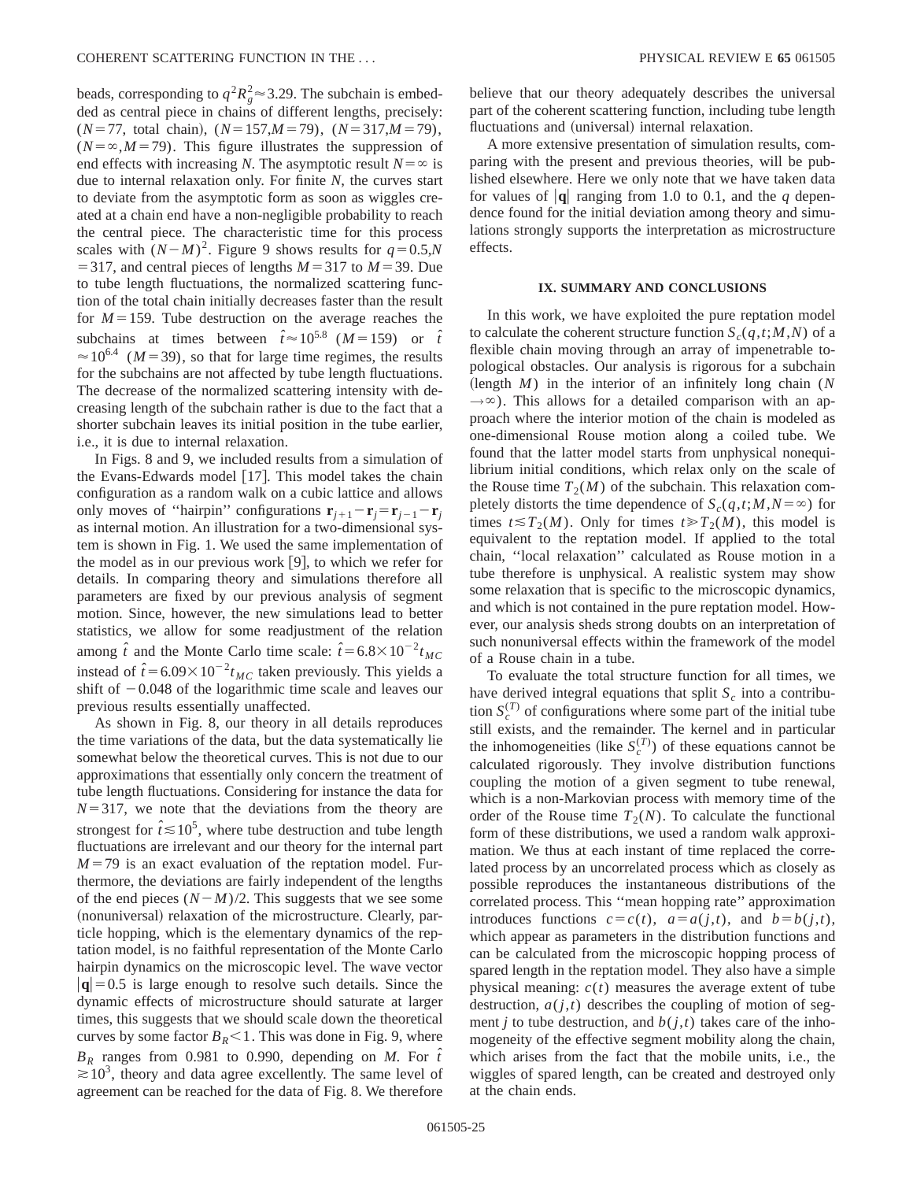beads, corresponding to  $q^2 R_g^2 \approx 3.29$ . The subchain is embedded as central piece in chains of different lengths, precisely:  $(N=77, \text{ total chain}), (N=157, M=79), (N=317, M=79),$  $(N=\infty, M=79)$ . This figure illustrates the suppression of end effects with increasing *N*. The asymptotic result  $N = \infty$  is due to internal relaxation only. For finite *N*, the curves start to deviate from the asymptotic form as soon as wiggles created at a chain end have a non-negligible probability to reach the central piece. The characteristic time for this process scales with  $(N-M)^2$ . Figure 9 shows results for  $q=0.5$ ,*N*  $=$  317, and central pieces of lengths  $M=317$  to  $M=39$ . Due to tube length fluctuations, the normalized scattering function of the total chain initially decreases faster than the result for  $M=159$ . Tube destruction on the average reaches the subchains at times between  $\hat{t} \approx 10^{5.8}$  ( $M = 159$ ) or  $\hat{t}$  $\approx 10^{6.4}$  (*M* = 39), so that for large time regimes, the results for the subchains are not affected by tube length fluctuations. The decrease of the normalized scattering intensity with decreasing length of the subchain rather is due to the fact that a shorter subchain leaves its initial position in the tube earlier, i.e., it is due to internal relaxation.

In Figs. 8 and 9, we included results from a simulation of the Evans-Edwards model  $[17]$ . This model takes the chain configuration as a random walk on a cubic lattice and allows only moves of "hairpin" configurations  $\mathbf{r}_{i+1} - \mathbf{r}_i = \mathbf{r}_{i-1} - \mathbf{r}_i$ as internal motion. An illustration for a two-dimensional system is shown in Fig. 1. We used the same implementation of the model as in our previous work  $[9]$ , to which we refer for details. In comparing theory and simulations therefore all parameters are fixed by our previous analysis of segment motion. Since, however, the new simulations lead to better statistics, we allow for some readjustment of the relation among  $\hat{t}$  and the Monte Carlo time scale:  $\hat{t} = 6.8 \times 10^{-2} t_{MC}$ instead of  $\hat{t} = 6.09 \times 10^{-2} t_{MC}$  taken previously. This yields a shift of  $-0.048$  of the logarithmic time scale and leaves our previous results essentially unaffected.

As shown in Fig. 8, our theory in all details reproduces the time variations of the data, but the data systematically lie somewhat below the theoretical curves. This is not due to our approximations that essentially only concern the treatment of tube length fluctuations. Considering for instance the data for  $N=317$ , we note that the deviations from the theory are strongest for  $\hat{t} \le 10^5$ , where tube destruction and tube length fluctuations are irrelevant and our theory for the internal part  $M=79$  is an exact evaluation of the reptation model. Furthermore, the deviations are fairly independent of the lengths of the end pieces  $(N-M)/2$ . This suggests that we see some (nonuniversal) relaxation of the microstructure. Clearly, particle hopping, which is the elementary dynamics of the reptation model, is no faithful representation of the Monte Carlo hairpin dynamics on the microscopic level. The wave vector  $|{\bf q}|$ =0.5 is large enough to resolve such details. Since the dynamic effects of microstructure should saturate at larger times, this suggests that we should scale down the theoretical curves by some factor  $B_R < 1$ . This was done in Fig. 9, where  $B_R$  ranges from 0.981 to 0.990, depending on *M*. For  $\hat{t}$  $\approx 10^3$ , theory and data agree excellently. The same level of agreement can be reached for the data of Fig. 8. We therefore

believe that our theory adequately describes the universal part of the coherent scattering function, including tube length fluctuations and (universal) internal relaxation.

A more extensive presentation of simulation results, comparing with the present and previous theories, will be published elsewhere. Here we only note that we have taken data for values of  $|\mathbf{q}|$  ranging from 1.0 to 0.1, and the *q* dependence found for the initial deviation among theory and simulations strongly supports the interpretation as microstructure effects.

### **IX. SUMMARY AND CONCLUSIONS**

In this work, we have exploited the pure reptation model to calculate the coherent structure function  $S_c(q,t;M,N)$  of a flexible chain moving through an array of impenetrable topological obstacles. Our analysis is rigorous for a subchain  $\lambda$  (length *M*) in the interior of an infinitely long chain (*N*)  $\rightarrow \infty$ ). This allows for a detailed comparison with an approach where the interior motion of the chain is modeled as one-dimensional Rouse motion along a coiled tube. We found that the latter model starts from unphysical nonequilibrium initial conditions, which relax only on the scale of the Rouse time  $T_2(M)$  of the subchain. This relaxation completely distorts the time dependence of  $S_c(q,t;M,N=\infty)$  for times  $t \leq T_2(M)$ . Only for times  $t \geq T_2(M)$ , this model is equivalent to the reptation model. If applied to the total chain, ''local relaxation'' calculated as Rouse motion in a tube therefore is unphysical. A realistic system may show some relaxation that is specific to the microscopic dynamics, and which is not contained in the pure reptation model. However, our analysis sheds strong doubts on an interpretation of such nonuniversal effects within the framework of the model of a Rouse chain in a tube.

To evaluate the total structure function for all times, we have derived integral equations that split  $S_c$  into a contribution  $S_c^{(T)}$  of configurations where some part of the initial tube still exists, and the remainder. The kernel and in particular the inhomogeneities (like  $S_c^{(T)}$ ) of these equations cannot be calculated rigorously. They involve distribution functions coupling the motion of a given segment to tube renewal, which is a non-Markovian process with memory time of the order of the Rouse time  $T_2(N)$ . To calculate the functional form of these distributions, we used a random walk approximation. We thus at each instant of time replaced the correlated process by an uncorrelated process which as closely as possible reproduces the instantaneous distributions of the correlated process. This ''mean hopping rate'' approximation introduces functions  $c = c(t)$ ,  $a = a(j,t)$ , and  $b = b(j,t)$ , which appear as parameters in the distribution functions and can be calculated from the microscopic hopping process of spared length in the reptation model. They also have a simple physical meaning:  $c(t)$  measures the average extent of tube destruction,  $a(j,t)$  describes the coupling of motion of segment *j* to tube destruction, and  $b(j,t)$  takes care of the inhomogeneity of the effective segment mobility along the chain, which arises from the fact that the mobile units, i.e., the wiggles of spared length, can be created and destroyed only at the chain ends.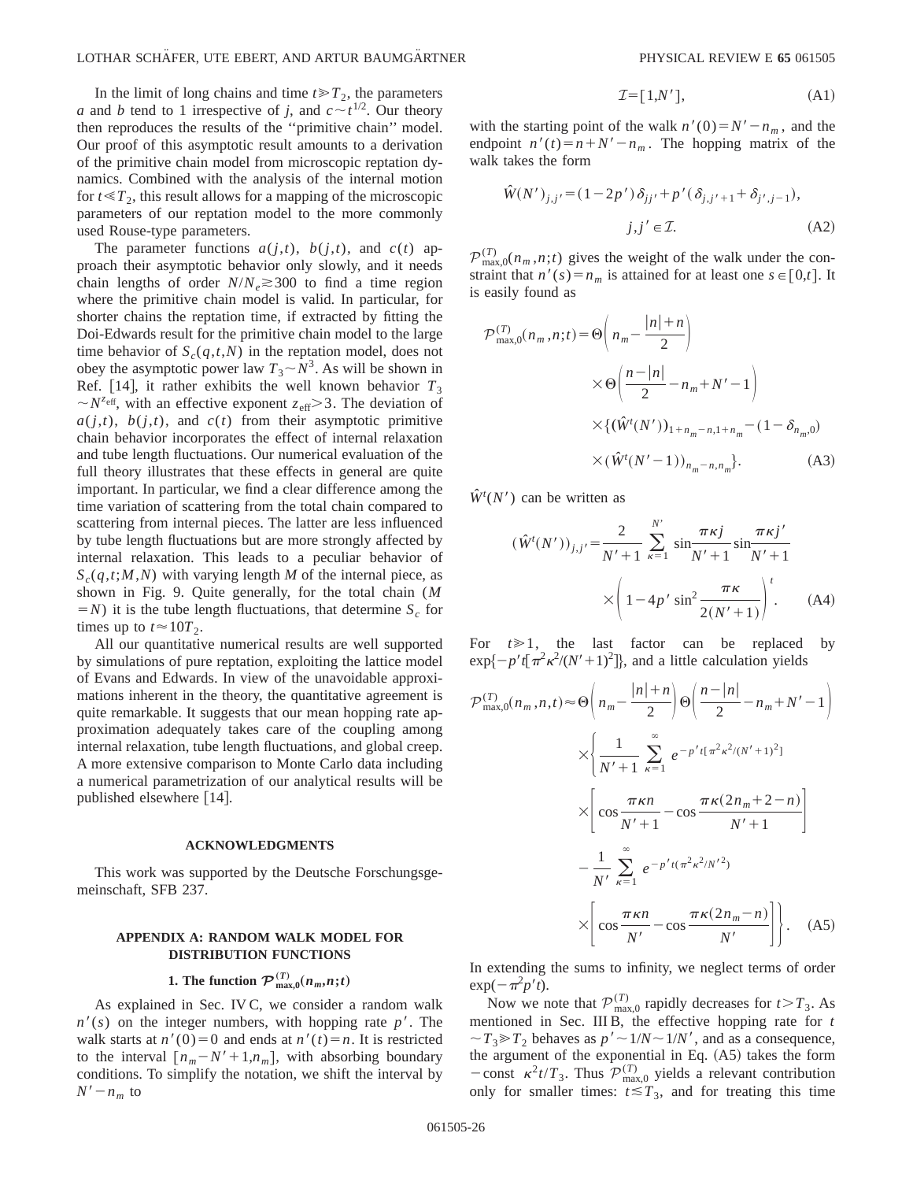In the limit of long chains and time  $t \ge T_2$ , the parameters *a* and *b* tend to 1 irrespective of *j*, and  $c \sim t^{1/2}$ . Our theory then reproduces the results of the ''primitive chain'' model. Our proof of this asymptotic result amounts to a derivation of the primitive chain model from microscopic reptation dynamics. Combined with the analysis of the internal motion for  $t \ll T_2$ , this result allows for a mapping of the microscopic parameters of our reptation model to the more commonly used Rouse-type parameters.

The parameter functions  $a(j,t)$ ,  $b(j,t)$ , and  $c(t)$  approach their asymptotic behavior only slowly, and it needs chain lengths of order  $N/N_e \gtrsim 300$  to find a time region where the primitive chain model is valid. In particular, for shorter chains the reptation time, if extracted by fitting the Doi-Edwards result for the primitive chain model to the large time behavior of  $S_c(q,t,N)$  in the reptation model, does not obey the asymptotic power law  $T_3 \sim N^3$ . As will be shown in Ref. [14], it rather exhibits the well known behavior  $T_3$  $\sim N^{z_{\text{eff}}}$ , with an effective exponent  $z_{\text{eff}} > 3$ . The deviation of  $a(j,t)$ ,  $b(j,t)$ , and  $c(t)$  from their asymptotic primitive chain behavior incorporates the effect of internal relaxation and tube length fluctuations. Our numerical evaluation of the full theory illustrates that these effects in general are quite important. In particular, we find a clear difference among the time variation of scattering from the total chain compared to scattering from internal pieces. The latter are less influenced by tube length fluctuations but are more strongly affected by internal relaxation. This leads to a peculiar behavior of  $S_c(q,t;M,N)$  with varying length *M* of the internal piece, as shown in Fig. 9. Quite generally, for the total chain (*M*  $(N = N)$  it is the tube length fluctuations, that determine *S<sub>c</sub>* for times up to  $t \approx 10T_2$ .

All our quantitative numerical results are well supported by simulations of pure reptation, exploiting the lattice model of Evans and Edwards. In view of the unavoidable approximations inherent in the theory, the quantitative agreement is quite remarkable. It suggests that our mean hopping rate approximation adequately takes care of the coupling among internal relaxation, tube length fluctuations, and global creep. A more extensive comparison to Monte Carlo data including a numerical parametrization of our analytical results will be published elsewhere  $[14]$ .

### **ACKNOWLEDGMENTS**

This work was supported by the Deutsche Forschungsgemeinschaft, SFB 237.

## **APPENDIX A: RANDOM WALK MODEL FOR DISTRIBUTION FUNCTIONS**

# **1.** The function  $\mathcal{P}_{\max,0}^{(T)}(n_m,n;t)$

As explained in Sec. IV C, we consider a random walk  $n'(s)$  on the integer numbers, with hopping rate  $p'$ . The walk starts at  $n'(0)=0$  and ends at  $n'(t)=n$ . It is restricted to the interval  $[n_m - N' + 1, n_m]$ , with absorbing boundary conditions. To simplify the notation, we shift the interval by  $N'-n_m$  to

$$
\mathcal{I} = [1, N'], \tag{A1}
$$

with the starting point of the walk  $n'(0) = N' - n_m$ , and the endpoint  $n'(t) = n + N' - n_m$ . The hopping matrix of the walk takes the form

$$
\hat{W}(N')_{j,j'} = (1 - 2p') \delta_{jj'} + p' (\delta_{j,j'+1} + \delta_{j',j-1}),
$$
  

$$
j, j' \in \mathcal{I}.
$$
 (A2)

 $\mathcal{P}_{\max,0}^{(T)}(n_m,n;t)$  gives the weight of the walk under the constraint that  $n'(s) = n_m$  is attained for at least one  $s \in [0,t]$ . It is easily found as

$$
\mathcal{P}_{\max,0}^{(T)}(n_m, n; t) = \Theta\left(n_m - \frac{|n| + n}{2}\right)
$$
  
 
$$
\times \Theta\left(\frac{n - |n|}{2} - n_m + N' - 1\right)
$$
  
 
$$
\times \{(\hat{W}^t(N'))_{1 + n_m - n, 1 + n_m} - (1 - \delta_{n_m,0})
$$
  
 
$$
\times (\hat{W}^t(N'-1))_{n_m - n, n_m}\}.
$$
 (A3)

 $\hat{W}^{t}(N')$  can be written as

$$
(\hat{W}^{t}(N'))_{j,j'} = \frac{2}{N' + 1} \sum_{\kappa=1}^{N'} \sin \frac{\pi \kappa j}{N' + 1} \sin \frac{\pi \kappa j'}{N' + 1}
$$

$$
\times \left(1 - 4p' \sin^{2} \frac{\pi \kappa}{2(N' + 1)}\right)^{t}.
$$
 (A4)

For  $t \geq 1$ , the last factor can be replaced by  $\exp\{-p't\left[\pi^2\kappa^2/(N'+1)^2\right]\}$ , and a little calculation yields

$$
\mathcal{P}_{\max,0}^{(T)}(n_m, n, t) \approx \Theta\left(n_m - \frac{|n| + n}{2}\right) \Theta\left(\frac{n - |n|}{2} - n_m + N' - 1\right)
$$

$$
\times \left\{\frac{1}{N' + 1} \sum_{\kappa=1}^{\infty} e^{-p' t [\pi^2 \kappa^2/(N' + 1)^2]}
$$

$$
\times \left[\cos \frac{\pi \kappa n}{N' + 1} - \cos \frac{\pi \kappa (2n_m + 2 - n)}{N' + 1}\right]
$$

$$
- \frac{1}{N'} \sum_{\kappa=1}^{\infty} e^{-p' t (\pi^2 \kappa^2/N'^2)}
$$

$$
\times \left[\cos \frac{\pi \kappa n}{N'} - \cos \frac{\pi \kappa (2n_m - n)}{N'}\right]. \quad (A5)
$$

In extending the sums to infinity, we neglect terms of order  $\exp(-\pi^2 p' t).$ 

Now we note that  $\mathcal{P}_{\text{max},0}^{(T)}$  rapidly decreases for  $t > T_3$ . As mentioned in Sec. III B, the effective hopping rate for *t*  $\sim T_3 \gg T_2$  behaves as  $p' \sim 1/N \sim 1/N'$ , and as a consequence, the argument of the exponential in Eq.  $(A5)$  takes the form  $-\text{const} \ \kappa^2 t/T_3$ . Thus  $\mathcal{P}_{\text{max},0}^{(T)}$  yields a relevant contribution only for smaller times:  $t \leq T_3$ , and for treating this time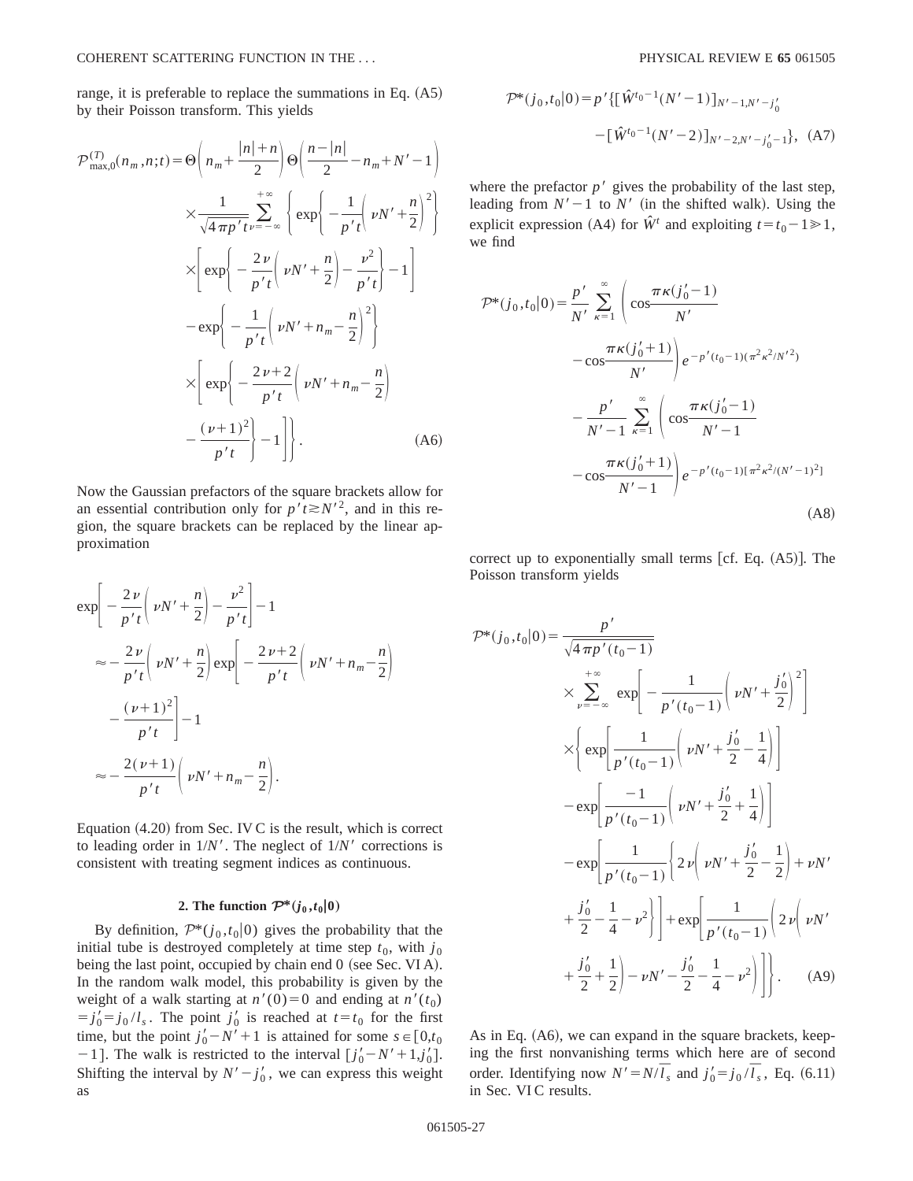range, it is preferable to replace the summations in Eq.  $(A5)$ by their Poisson transform. This yields

$$
\mathcal{P}_{\max,0}^{(T)}(n_m, n;t) = \Theta\left(n_m + \frac{|n|+n}{2}\right) \Theta\left(\frac{n-|n|}{2} - n_m + N' - 1\right)
$$
  

$$
\times \frac{1}{\sqrt{4\pi p' t}} \sum_{\nu=-\infty}^{+\infty} \left\{ \exp\left(-\frac{1}{p' t}\left(\nu N' + \frac{n}{2}\right)^2\right) \right\}
$$
  

$$
\times \left[\exp\left(-\frac{2\nu}{p' t}\left(\nu N' + \frac{n}{2}\right) - \frac{\nu^2}{p' t}\right) - 1\right]
$$
  

$$
-\exp\left(-\frac{1}{p' t}\left(\nu N' + n_m - \frac{n}{2}\right)^2\right)
$$
  

$$
\times \left[\exp\left(-\frac{2\nu + 2}{p' t}\left(\nu N' + n_m - \frac{n}{2}\right)\right) - \frac{(\nu+1)^2}{p' t}\right) - 1\right].
$$
 (A6)

Now the Gaussian prefactors of the square brackets allow for an essential contribution only for  $p't \ge N^{2}$ , and in this region, the square brackets can be replaced by the linear approximation

$$
\exp\left[-\frac{2\nu}{p't}\left(\nu N' + \frac{n}{2}\right) - \frac{\nu^2}{p't}\right] - 1
$$
  
\n
$$
\approx -\frac{2\nu}{p't}\left(\nu N' + \frac{n}{2}\right)\exp\left[-\frac{2\nu+2}{p't}\left(\nu N' + n_m - \frac{n}{2}\right)\right]
$$
  
\n
$$
-\frac{(\nu+1)^2}{p't}\right] - 1
$$
  
\n
$$
\approx -\frac{2(\nu+1)}{p't}\left(\nu N' + n_m - \frac{n}{2}\right).
$$

Equation  $(4.20)$  from Sec. IV C is the result, which is correct to leading order in  $1/N'$ . The neglect of  $1/N'$  corrections is consistent with treating segment indices as continuous.

### 2. The function  $\mathcal{P}^*(j_0,t_0|0)$

By definition,  $\mathcal{P}^*(j_0,t_0|0)$  gives the probability that the initial tube is destroyed completely at time step  $t_0$ , with  $j_0$ being the last point, occupied by chain end  $0$  (see Sec. VI A). In the random walk model, this probability is given by the weight of a walk starting at  $n'(0)=0$  and ending at  $n'(t_0)$  $j_0' = j_0 / l_s$ . The point  $j_0'$  is reached at  $t = t_0$  for the first time, but the point  $j'_0 - N' + 1$  is attained for some  $s \in [0, t_0]$  $-1$ ]. The walk is restricted to the interval  $[j'_0 - N' + 1, j'_0]$ . Shifting the interval by  $N' - j'_0$ , we can express this weight as

$$
\mathcal{P}^*(j_0, t_0|0) = p' \{ [\hat{W}^{t_0-1}(N'-1)]_{N'-1,N'-j'_0}
$$

$$
- [\hat{W}^{t_0-1}(N'-2)]_{N'-2,N'-j'_0-1} \}, (A7)
$$

where the prefactor  $p'$  gives the probability of the last step, leading from  $N' - 1$  to  $N'$  (in the shifted walk). Using the explicit expression (A4) for  $\hat{W}^t$  and exploiting  $t = t_0 - 1 \ge 1$ , we find

$$
\mathcal{P}^*(j_0, t_0|0) = \frac{p'}{N'} \sum_{\kappa=1}^{\infty} \left( \cos \frac{\pi \kappa (j'_0 - 1)}{N'} - \cos \frac{\pi \kappa (j'_0 + 1)}{N'} \right) e^{-p'(t_0 - 1)(\pi^2 \kappa^2 / N'^2)} - \frac{p'}{N' - 1} \sum_{\kappa=1}^{\infty} \left( \cos \frac{\pi \kappa (j'_0 - 1)}{N' - 1} - \cos \frac{\pi \kappa (j'_0 + 1)}{N' - 1} \right) e^{-p'(t_0 - 1)(\pi^2 \kappa^2 / (N' - 1)^2)}
$$
\n(A8)

correct up to exponentially small terms  $[cf. Eq. (A5)]$ . The Poisson transform yields

$$
\mathcal{P}^*(j_0, t_0|0) = \frac{p'}{\sqrt{4\pi p'(t_0 - 1)}}
$$
  
\n
$$
\times \sum_{\nu=-\infty}^{+\infty} \exp\left[-\frac{1}{p'(t_0 - 1)} \left(\nu N' + \frac{j'_0}{2}\right)^2\right]
$$
  
\n
$$
\times \left\{\exp\left[\frac{1}{p'(t_0 - 1)} \left(\nu N' + \frac{j'_0}{2} - \frac{1}{4}\right)\right]
$$
  
\n
$$
-\exp\left[\frac{-1}{p'(t_0 - 1)} \left(\nu N' + \frac{j'_0}{2} + \frac{1}{4}\right)\right]
$$
  
\n
$$
-\exp\left[\frac{1}{p'(t_0 - 1)} \left\{2\nu \left(\nu N' + \frac{j'_0}{2} - \frac{1}{2}\right) + \nu N'\right\}
$$
  
\n
$$
+\frac{j'_0}{2} - \frac{1}{4} - \nu^2 \right] + \exp\left[\frac{1}{p'(t_0 - 1)} \left(2\nu \left(\nu N' + \frac{j'_0}{2} + \frac{1}{2}\right) - \nu N' - \frac{j'_0}{2} - \frac{1}{4} - \nu^2\right)\right].
$$
 (A9)

As in Eq.  $(A6)$ , we can expand in the square brackets, keeping the first nonvanishing terms which here are of second order. Identifying now  $N' = N/\overline{l}_s$  and  $j'_0 = j_0/\overline{l}_s$ , Eq. (6.11) in Sec. VI C results.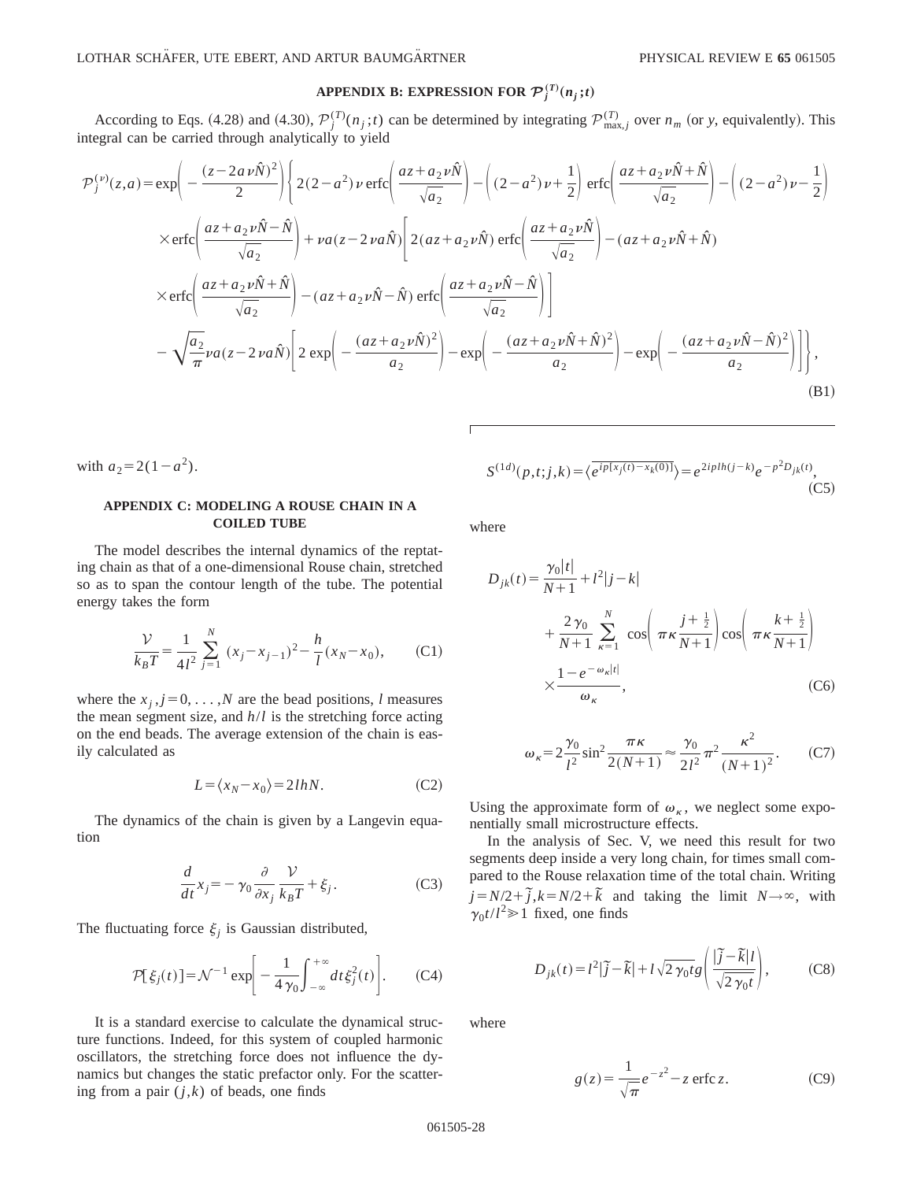# APPENDIX B: EXPRESSION FOR  $\mathcal{P}_j^{(T)}(n_j\,;t)$

According to Eqs. (4.28) and (4.30),  $\mathcal{P}_j^{(T)}(n_j;t)$  can be determined by integrating  $\mathcal{P}_{\text{max},j}^{(T)}$  over  $n_m$  (or y, equivalently). This integral can be carried through analytically to yield

$$
\mathcal{P}_{j}^{(\nu)}(z,a) = \exp\left(-\frac{(z-2a\nu\hat{N})^{2}}{2}\right) \left\{ 2(2-a^{2})\nu \operatorname{erfc}\left(\frac{az+a_{2}\nu\hat{N}}{\sqrt{a_{2}}}\right) - \left((2-a^{2})\nu + \frac{1}{2}\right) \operatorname{erfc}\left(\frac{az+a_{2}\nu\hat{N}+\hat{N}}{\sqrt{a_{2}}}\right) - \left((2-a^{2})\nu - \frac{1}{2}\right) \right\}
$$
  
\n
$$
\times \operatorname{erfc}\left(\frac{az+a_{2}\nu\hat{N}-\hat{N}}{\sqrt{a_{2}}}\right) + \nu a(z-2\nu a\hat{N}) \left[ 2(az+a_{2}\nu\hat{N}) \operatorname{erfc}\left(\frac{az+a_{2}\nu\hat{N}}{\sqrt{a_{2}}}\right) - (az+a_{2}\nu\hat{N}+\hat{N}) \right]
$$
  
\n
$$
\times \operatorname{erfc}\left(\frac{az+a_{2}\nu\hat{N}+\hat{N}}{\sqrt{a_{2}}}\right) - (az+a_{2}\nu\hat{N}-\hat{N}) \operatorname{erfc}\left(\frac{az+a_{2}\nu\hat{N}-\hat{N}}{\sqrt{a_{2}}}\right) \right]
$$
  
\n
$$
-\sqrt{\frac{a_{2}}{\pi}}\nu a(z-2\nu a\hat{N}) \left[ 2\exp\left(-\frac{(az+a_{2}\nu\hat{N})^{2}}{a_{2}}\right) - \exp\left(-\frac{(az+a_{2}\nu\hat{N}+\hat{N})^{2}}{a_{2}}\right) - \exp\left(-\frac{(az+a_{2}\nu\hat{N}-\hat{N})^{2}}{a_{2}}\right) \right] \right],
$$
\n(B1)

with  $a_2 = 2(1 - a^2)$ .

## **APPENDIX C: MODELING A ROUSE CHAIN IN A COILED TUBE**

The model describes the internal dynamics of the reptating chain as that of a one-dimensional Rouse chain, stretched so as to span the contour length of the tube. The potential energy takes the form

$$
\frac{\mathcal{V}}{k_B T} = \frac{1}{4l^2} \sum_{j=1}^{N} (x_j - x_{j-1})^2 - \frac{h}{l} (x_N - x_0),
$$
 (C1)

where the  $x_j$ ,  $j=0, \ldots, N$  are the bead positions, *l* measures the mean segment size, and *h*/*l* is the stretching force acting on the end beads. The average extension of the chain is easily calculated as

$$
L = \langle x_N - x_0 \rangle = 2lhN. \tag{C2}
$$

The dynamics of the chain is given by a Langevin equation

$$
\frac{d}{dt}x_j = -\gamma_0 \frac{\partial}{\partial x_j} \frac{\mathcal{V}}{k_B T} + \xi_j.
$$
 (C3)

The fluctuating force  $\xi_j$  is Gaussian distributed,

$$
\mathcal{P}[\xi_j(t)] = \mathcal{N}^{-1} \exp\bigg[-\frac{1}{4\,\gamma_0}\int_{-\infty}^{+\infty} dt \,\xi_j^2(t)\bigg].\tag{C4}
$$

It is a standard exercise to calculate the dynamical structure functions. Indeed, for this system of coupled harmonic oscillators, the stretching force does not influence the dynamics but changes the static prefactor only. For the scattering from a pair  $(j,k)$  of beads, one finds

$$
S^{(1d)}(p,t;j,k) = \langle e^{ip[x_j(t) - x_k(0)]} \rangle = e^{2iplh(j-k)}e^{-p^2D_{jk}(t)},
$$
\n(C5)

where

$$
D_{jk}(t) = \frac{\gamma_0 |t|}{N+1} + l^2 |j - k|
$$
  
+ 
$$
\frac{2 \gamma_0}{N+1} \sum_{\kappa=1}^N \cos\left(\pi \kappa \frac{j + \frac{1}{2}}{N+1}\right) \cos\left(\pi \kappa \frac{k + \frac{1}{2}}{N+1}\right)
$$
  

$$
\times \frac{1 - e^{-\omega_{\kappa}|t|}}{\omega_{\kappa}}, \qquad (C6)
$$

$$
\omega_{\kappa} = 2\frac{\gamma_0}{l^2} \sin^2 \frac{\pi \kappa}{2(N+1)} \approx \frac{\gamma_0}{2l^2} \pi^2 \frac{\kappa^2}{(N+1)^2}.
$$
 (C7)

Using the approximate form of  $\omega_{\kappa}$ , we neglect some exponentially small microstructure effects.

In the analysis of Sec. V, we need this result for two segments deep inside a very long chain, for times small compared to the Rouse relaxation time of the total chain. Writing  $j=N/2+\tilde{j}$ , $k=N/2+\tilde{k}$  and taking the limit  $N\rightarrow\infty$ , with  $\gamma_0 t/l^2 \ge 1$  fixed, one finds

$$
D_{jk}(t) = l^2 |\tilde{j} - \tilde{k}| + l \sqrt{2 \gamma_0 t} g \left( \frac{|\tilde{j} - \tilde{k}| l}{\sqrt{2 \gamma_0 t}} \right),
$$
 (C8)

where

$$
g(z) = \frac{1}{\sqrt{\pi}} e^{-z^2} - z \operatorname{erfc} z. \tag{C9}
$$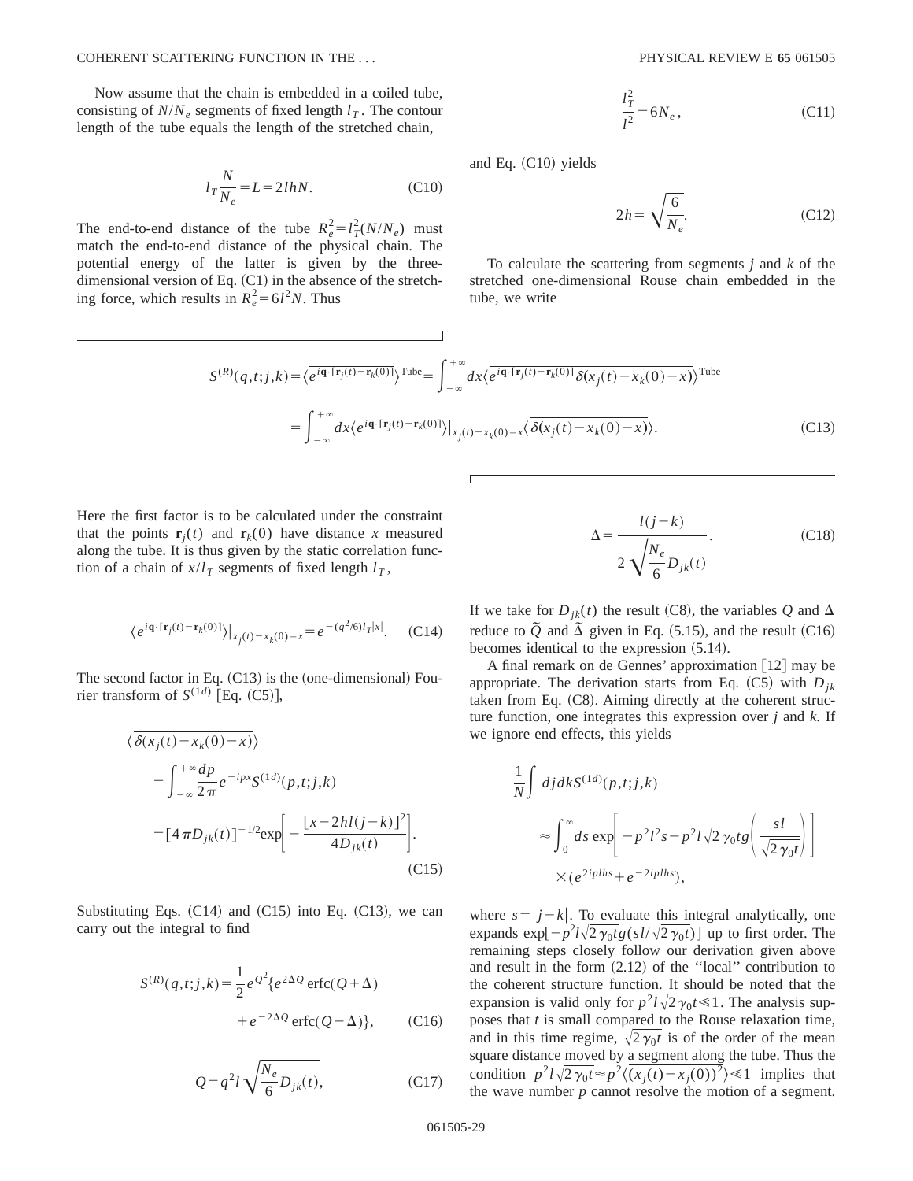Now assume that the chain is embedded in a coiled tube, consisting of  $N/N_e$  segments of fixed length  $l<sub>T</sub>$ . The contour length of the tube equals the length of the stretched chain,

$$
l_T \frac{N}{N_e} = L = 2lhN.
$$
 (C10)

The end-to-end distance of the tube  $R_e^2 = l_T^2 (N/N_e)$  must match the end-to-end distance of the physical chain. The potential energy of the latter is given by the threedimensional version of Eq.  $(C1)$  in the absence of the stretching force, which results in  $R_e^2 = 6l^2N$ . Thus

$$
\frac{l_T^2}{l^2} = 6N_e, \tag{C11}
$$

and Eq.  $(C10)$  yields

$$
2h = \sqrt{\frac{6}{N_e}}.\tag{C12}
$$

To calculate the scattering from segments *j* and *k* of the stretched one-dimensional Rouse chain embedded in the tube, we write

$$
S^{(R)}(q,t;j,k) = \langle \overline{e^{i\mathbf{q}\cdot[\mathbf{r}_j(t)-\mathbf{r}_k(0)]}} \rangle^{\text{Tube}} = \int_{-\infty}^{+\infty} dx \langle \overline{e^{i\mathbf{q}\cdot[\mathbf{r}_j(t)-\mathbf{r}_k(0)]}} \delta(x_j(t)-x_k(0)-x) \rangle^{\text{Tube}}
$$

$$
= \int_{-\infty}^{+\infty} dx \langle e^{i\mathbf{q}\cdot[\mathbf{r}_j(t)-\mathbf{r}_k(0)]} \rangle |_{x_j(t)-x_k(0)=x} \langle \overline{\delta(x_j(t)-x_k(0)-x)} \rangle.
$$
(C13)

Here the first factor is to be calculated under the constraint that the points  $\mathbf{r}_i(t)$  and  $\mathbf{r}_k(0)$  have distance x measured along the tube. It is thus given by the static correlation function of a chain of  $x/l<sub>T</sub>$  segments of fixed length  $l<sub>T</sub>$ ,

$$
\langle e^{i\mathbf{q}\cdot[\mathbf{r}_j(t)-\mathbf{r}_k(0)]}\rangle |_{x_j(t)-x_k(0)=x} = e^{-(q^2/6)l_T|x|}.\tag{C14}
$$

The second factor in Eq.  $(C13)$  is the (one-dimensional) Fourier transform of  $S^{(1d)}$  [Eq. (C5)],

$$
\langle \overline{\delta(x_j(t) - x_k(0) - x)} \rangle
$$
  
=  $\int_{-\infty}^{+\infty} \frac{dp}{2\pi} e^{-ipx} S^{(1d)}(p, t; j, k)$   
=  $[4\pi D_{jk}(t)]^{-1/2} \exp \left[-\frac{[x - 2hl(j - k)]^2}{4D_{jk}(t)}\right].$  (C15)

Substituting Eqs.  $(C14)$  and  $(C15)$  into Eq.  $(C13)$ , we can carry out the integral to find

$$
S^{(R)}(q,t;j,k) = \frac{1}{2}e^{\mathcal{Q}^2}\{e^{2\Delta Q}\operatorname{erfc}(Q+\Delta) + e^{-2\Delta Q}\operatorname{erfc}(Q-\Delta)\},\qquad( C16)
$$

$$
Q = q^2 l \sqrt{\frac{N_e}{6} D_{jk}(t)},
$$
 (C17)

$$
\Delta = \frac{l(j-k)}{2\sqrt{\frac{N_e}{6}D_{jk}(t)}}.
$$
\n(C18)

If we take for  $D_{ik}(t)$  the result (C8), the variables *Q* and  $\Delta$ reduce to  $\tilde{Q}$  and  $\tilde{\Delta}$  given in Eq. (5.15), and the result (C16) becomes identical to the expression  $(5.14)$ .

A final remark on de Gennes' approximation  $\lceil 12 \rceil$  may be appropriate. The derivation starts from Eq.  $(C5)$  with  $D_{ik}$ taken from Eq.  $(C8)$ . Aiming directly at the coherent structure function, one integrates this expression over *j* and *k*. If we ignore end effects, this yields

$$
\frac{1}{N} \int dj dk S^{(1d)}(p,t;j,k)
$$
\n
$$
\approx \int_0^\infty ds \exp\left[-p^2 l^2 s - p^2 l \sqrt{2 \gamma_0 t} g\left(\frac{sl}{\sqrt{2 \gamma_0 t}}\right)\right]
$$
\n
$$
\times (e^{2iplh s} + e^{-2iplh s}),
$$

where  $s = |j - k|$ . To evaluate this integral analytically, one expands  $\exp[-p^2l\sqrt{2\gamma_0t}g(sl/\sqrt{2\gamma_0t})]$  up to first order. The remaining steps closely follow our derivation given above and result in the form  $(2.12)$  of the "local" contribution to the coherent structure function. It should be noted that the expansion is valid only for  $p^2 l \sqrt{2 \gamma_0 t} \ll 1$ . The analysis supposes that *t* is small compared to the Rouse relaxation time, and in this time regime,  $\sqrt{2\gamma_0t}$  is of the order of the mean square distance moved by a segment along the tube. Thus the condition  $p^2 l \sqrt{2 \gamma_0 t} \approx p^2 \langle \overline{(x_j(t) - x_j(0))^2} \rangle \ll 1$  implies that the wave number *p* cannot resolve the motion of a segment.